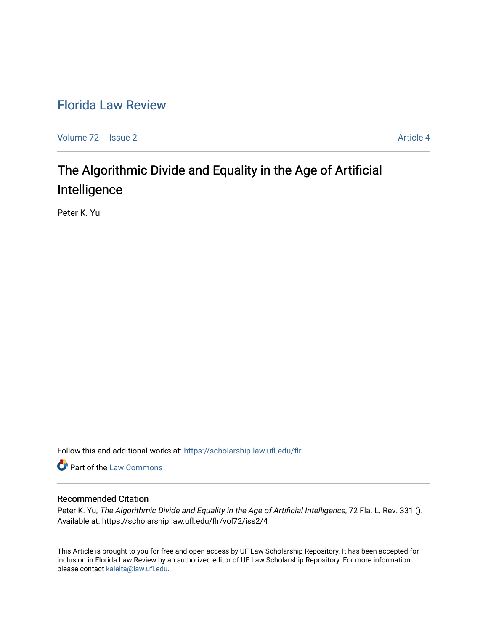# [Florida Law Review](https://scholarship.law.ufl.edu/flr)

[Volume 72](https://scholarship.law.ufl.edu/flr/vol72) | [Issue 2](https://scholarship.law.ufl.edu/flr/vol72/iss2) Article 4

# The Algorithmic Divide and Equality in the Age of Artificial Intelligence

Peter K. Yu

Follow this and additional works at: [https://scholarship.law.ufl.edu/flr](https://scholarship.law.ufl.edu/flr?utm_source=scholarship.law.ufl.edu%2Fflr%2Fvol72%2Fiss2%2F4&utm_medium=PDF&utm_campaign=PDFCoverPages)

Part of the [Law Commons](http://network.bepress.com/hgg/discipline/578?utm_source=scholarship.law.ufl.edu%2Fflr%2Fvol72%2Fiss2%2F4&utm_medium=PDF&utm_campaign=PDFCoverPages)

### Recommended Citation

Peter K. Yu, The Algorithmic Divide and Equality in the Age of Artificial Intelligence, 72 Fla. L. Rev. 331 (). Available at: https://scholarship.law.ufl.edu/flr/vol72/iss2/4

This Article is brought to you for free and open access by UF Law Scholarship Repository. It has been accepted for inclusion in Florida Law Review by an authorized editor of UF Law Scholarship Repository. For more information, please contact [kaleita@law.ufl.edu](mailto:kaleita@law.ufl.edu).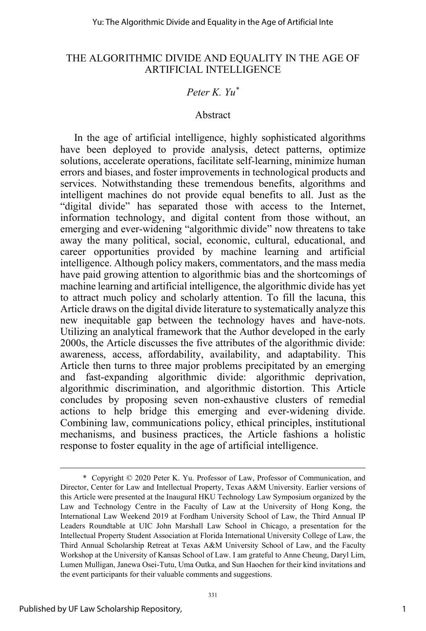## *Peter K. Yu\**

### Abstract

In the age of artificial intelligence, highly sophisticated algorithms have been deployed to provide analysis, detect patterns, optimize solutions, accelerate operations, facilitate self-learning, minimize human errors and biases, and foster improvements in technological products and services. Notwithstanding these tremendous benefits, algorithms and intelligent machines do not provide equal benefits to all. Just as the "digital divide" has separated those with access to the Internet, information technology, and digital content from those without, an emerging and ever-widening "algorithmic divide" now threatens to take away the many political, social, economic, cultural, educational, and career opportunities provided by machine learning and artificial intelligence. Although policy makers, commentators, and the mass media have paid growing attention to algorithmic bias and the shortcomings of machine learning and artificial intelligence, the algorithmic divide has yet to attract much policy and scholarly attention. To fill the lacuna, this Article draws on the digital divide literature to systematically analyze this new inequitable gap between the technology haves and have-nots. Utilizing an analytical framework that the Author developed in the early 2000s, the Article discusses the five attributes of the algorithmic divide: awareness, access, affordability, availability, and adaptability. This Article then turns to three major problems precipitated by an emerging and fast-expanding algorithmic divide: algorithmic deprivation, algorithmic discrimination, and algorithmic distortion. This Article concludes by proposing seven non-exhaustive clusters of remedial actions to help bridge this emerging and ever-widening divide. Combining law, communications policy, ethical principles, institutional mechanisms, and business practices, the Article fashions a holistic response to foster equality in the age of artificial intelligence.

 <sup>\*</sup> Copyright © 2020 Peter K. Yu. Professor of Law, Professor of Communication, and Director, Center for Law and Intellectual Property, Texas A&M University. Earlier versions of this Article were presented at the Inaugural HKU Technology Law Symposium organized by the Law and Technology Centre in the Faculty of Law at the University of Hong Kong, the International Law Weekend 2019 at Fordham University School of Law, the Third Annual IP Leaders Roundtable at UIC John Marshall Law School in Chicago, a presentation for the Intellectual Property Student Association at Florida International University College of Law, the Third Annual Scholarship Retreat at Texas A&M University School of Law, and the Faculty Workshop at the University of Kansas School of Law. I am grateful to Anne Cheung, Daryl Lim, Lumen Mulligan, Janewa Osei-Tutu, Uma Outka, and Sun Haochen for their kind invitations and the event participants for their valuable comments and suggestions.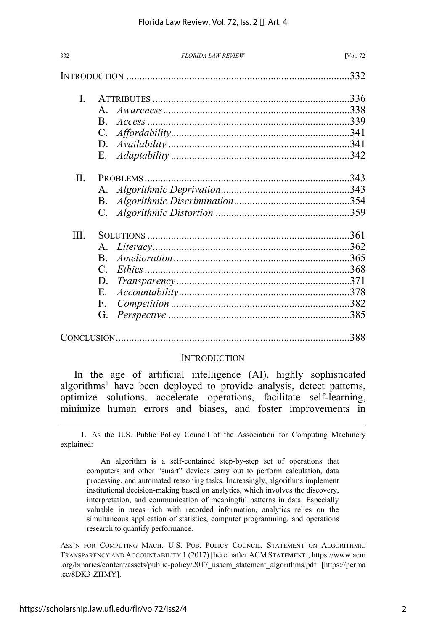| 332  | <b>FLORIDA LAW REVIEW</b> | [Vol. 72 |
|------|---------------------------|----------|
|      |                           | .332     |
| L    |                           |          |
|      | $\mathsf{A}$              |          |
|      | $\mathbf{B}$              |          |
|      | C.                        |          |
|      | D.                        |          |
|      | Е.                        |          |
| II.  |                           |          |
|      | $A_{\cdot}$               |          |
|      | <b>B</b> .                |          |
|      | C.                        |          |
| III. |                           |          |
|      | $\mathsf{A}$              |          |
|      | $\mathbf{B}$              |          |
|      | $\mathcal{C}$             |          |
|      | D.                        |          |
|      | E.                        |          |
|      | F.                        |          |
|      | G.                        |          |
|      |                           | 388      |

### **INTRODUCTION**

In the age of artificial intelligence (AI), highly sophisticated algorithms<sup>1</sup> have been deployed to provide analysis, detect patterns, optimize solutions, accelerate operations, facilitate self-learning, minimize human errors and biases, and foster improvements in

 1. As the U.S. Public Policy Council of the Association for Computing Machinery explained:

An algorithm is a self-contained step-by-step set of operations that computers and other "smart" devices carry out to perform calculation, data processing, and automated reasoning tasks. Increasingly, algorithms implement institutional decision-making based on analytics, which involves the discovery, interpretation, and communication of meaningful patterns in data. Especially valuable in areas rich with recorded information, analytics relies on the simultaneous application of statistics, computer programming, and operations research to quantify performance.

ASS'N FOR COMPUTING MACH. U.S. PUB. POLICY COUNCIL, STATEMENT ON ALGORITHMIC TRANSPARENCY AND ACCOUNTABILITY 1 (2017) [hereinafter ACM STATEMENT], https://www.acm .org/binaries/content/assets/public-policy/2017\_usacm\_statement\_algorithms.pdf [https://perma .cc/8DK3-ZHMY].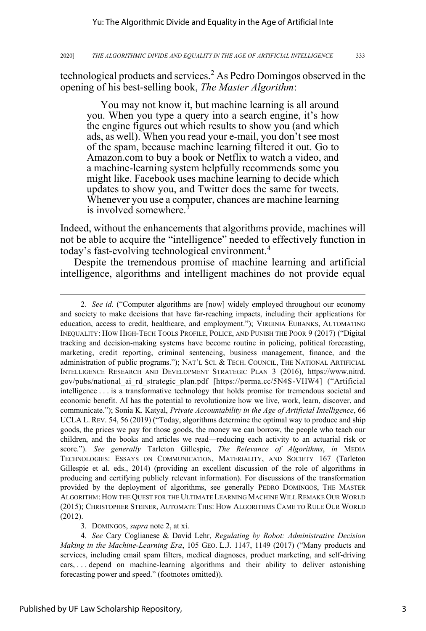technological products and services.<sup>2</sup> As Pedro Domingos observed in the opening of his best-selling book, *The Master Algorithm*:

You may not know it, but machine learning is all around you. When you type a query into a search engine, it's how the engine figures out which results to show you (and which ads, as well). When you read your e-mail, you don't see most of the spam, because machine learning filtered it out. Go to Amazon.com to buy a book or Netflix to watch a video, and a machine-learning system helpfully recommends some you might like. Facebook uses machine learning to decide which updates to show you, and Twitter does the same for tweets. Whenever you use a computer, chances are machine learning is involved somewhere.<sup>3</sup>

Indeed, without the enhancements that algorithms provide, machines will not be able to acquire the "intelligence" needed to effectively function in today's fast-evolving technological environment.<sup>4</sup>

Despite the tremendous promise of machine learning and artificial intelligence, algorithms and intelligent machines do not provide equal

 <sup>2.</sup> *See id.* ("Computer algorithms are [now] widely employed throughout our economy and society to make decisions that have far-reaching impacts, including their applications for education, access to credit, healthcare, and employment."); VIRGINIA EUBANKS, AUTOMATING INEQUALITY: HOW HIGH-TECH TOOLS PROFILE, POLICE, AND PUNISH THE POOR 9 (2017) ("Digital tracking and decision-making systems have become routine in policing, political forecasting, marketing, credit reporting, criminal sentencing, business management, finance, and the administration of public programs."); NAT'L SCI. & TECH. COUNCIL, THE NATIONAL ARTIFICIAL INTELLIGENCE RESEARCH AND DEVELOPMENT STRATEGIC PLAN 3 (2016), https://www.nitrd. gov/pubs/national\_ai\_rd\_strategic\_plan.pdf [https://perma.cc/5N4S-VHW4] ("Artificial intelligence . . . is a transformative technology that holds promise for tremendous societal and economic benefit. AI has the potential to revolutionize how we live, work, learn, discover, and communicate."); Sonia K. Katyal, *Private Accountability in the Age of Artificial Intelligence*, 66 UCLA L. REV. 54, 56 (2019) ("Today, algorithms determine the optimal way to produce and ship goods, the prices we pay for those goods, the money we can borrow, the people who teach our children, and the books and articles we read—reducing each activity to an actuarial risk or score."). *See generally* Tarleton Gillespie, *The Relevance of Algorithms*, *in* MEDIA TECHNOLOGIES: ESSAYS ON COMMUNICATION, MATERIALITY, AND SOCIETY 167 (Tarleton Gillespie et al. eds., 2014) (providing an excellent discussion of the role of algorithms in producing and certifying publicly relevant information). For discussions of the transformation provided by the deployment of algorithms, see generally PEDRO DOMINGOS, THE MASTER ALGORITHM: HOW THE QUEST FOR THE ULTIMATE LEARNING MACHINE WILL REMAKE OUR WORLD (2015); CHRISTOPHER STEINER, AUTOMATE THIS: HOW ALGORITHMS CAME TO RULE OUR WORLD (2012).

 <sup>3.</sup> DOMINGOS, *supra* note 2, at xi.

 <sup>4.</sup> *See* Cary Coglianese & David Lehr, *Regulating by Robot: Administrative Decision Making in the Machine-Learning Era*, 105 GEO. L.J. 1147, 1149 (2017) ("Many products and services, including email spam filters, medical diagnoses, product marketing, and self-driving cars, . . . depend on machine-learning algorithms and their ability to deliver astonishing forecasting power and speed." (footnotes omitted)).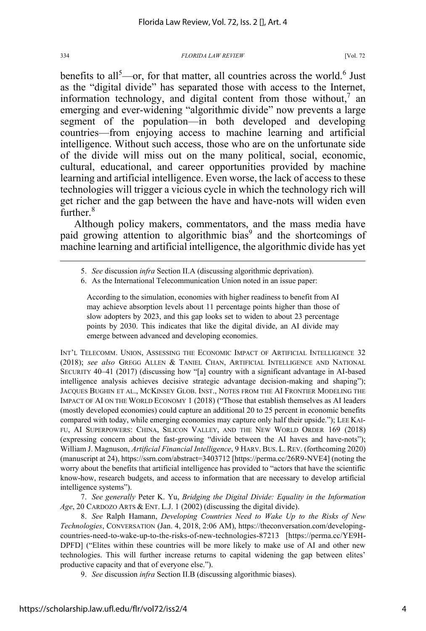benefits to all<sup>5</sup>—or, for that matter, all countries across the world.<sup>6</sup> Just as the "digital divide" has separated those with access to the Internet, information technology, and digital content from those without,<sup>7</sup> an emerging and ever-widening "algorithmic divide" now prevents a large segment of the population—in both developed and developing countries—from enjoying access to machine learning and artificial intelligence. Without such access, those who are on the unfortunate side of the divide will miss out on the many political, social, economic, cultural, educational, and career opportunities provided by machine learning and artificial intelligence. Even worse, the lack of access to these technologies will trigger a vicious cycle in which the technology rich will get richer and the gap between the have and have-nots will widen even further.<sup>8</sup>

Although policy makers, commentators, and the mass media have paid growing attention to algorithmic bias<sup>9</sup> and the shortcomings of machine learning and artificial intelligence, the algorithmic divide has yet

According to the simulation, economies with higher readiness to benefit from AI may achieve absorption levels about 11 percentage points higher than those of slow adopters by 2023, and this gap looks set to widen to about 23 percentage points by 2030. This indicates that like the digital divide, an AI divide may emerge between advanced and developing economies.

INT'L TELECOMM. UNION, ASSESSING THE ECONOMIC IMPACT OF ARTIFICIAL INTELLIGENCE 32 (2018); *see also* GREGG ALLEN & TANIEL CHAN, ARTIFICIAL INTELLIGENCE AND NATIONAL SECURITY 40–41 (2017) (discussing how "[a] country with a significant advantage in AI-based intelligence analysis achieves decisive strategic advantage decision-making and shaping"); JACQUES BUGHIN ET AL., MCKINSEY GLOB. INST., NOTES FROM THE AI FRONTIER MODELING THE IMPACT OF AI ON THE WORLD ECONOMY 1 (2018) ("Those that establish themselves as AI leaders (mostly developed economies) could capture an additional 20 to 25 percent in economic benefits compared with today, while emerging economies may capture only half their upside."); LEE KAI-FU, AI SUPERPOWERS: CHINA, SILICON VALLEY, AND THE NEW WORLD ORDER 169 (2018) (expressing concern about the fast-growing "divide between the AI haves and have-nots"); William J. Magnuson, *Artificial Financial Intelligence*, 9 HARV. BUS. L. REV. (forthcoming 2020) (manuscript at 24), https://ssrn.com/abstract=3403712 [https://perma.cc/26R9-NVE4] (noting the worry about the benefits that artificial intelligence has provided to "actors that have the scientific know-how, research budgets, and access to information that are necessary to develop artificial intelligence systems").

 7. *See generally* Peter K. Yu, *Bridging the Digital Divide: Equality in the Information Age*, 20 CARDOZO ARTS & ENT. L.J. 1 (2002) (discussing the digital divide).

 8. *See* Ralph Hamann, *Developing Countries Need to Wake Up to the Risks of New Technologies*, CONVERSATION (Jan. 4, 2018, 2:06 AM), https://theconversation.com/developingcountries-need-to-wake-up-to-the-risks-of-new-technologies-87213 [https://perma.cc/YE9H-DPFD] ("Elites within these countries will be more likely to make use of AI and other new technologies. This will further increase returns to capital widening the gap between elites' productive capacity and that of everyone else.").

9. *See* discussion *infra* Section II.B (discussing algorithmic biases).

 <sup>5.</sup> *See* discussion *infra* Section II.A (discussing algorithmic deprivation).

 <sup>6.</sup> As the International Telecommunication Union noted in an issue paper: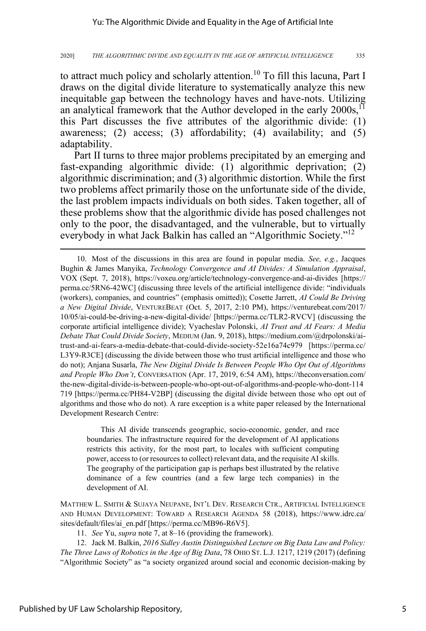to attract much policy and scholarly attention.<sup>10</sup> To fill this lacuna, Part I draws on the digital divide literature to systematically analyze this new inequitable gap between the technology haves and have-nots. Utilizing an analytical framework that the Author developed in the early  $2000s$ ,<sup>11</sup> this Part discusses the five attributes of the algorithmic divide: (1) awareness; (2) access; (3) affordability; (4) availability; and (5) adaptability.

Part II turns to three major problems precipitated by an emerging and fast-expanding algorithmic divide: (1) algorithmic deprivation; (2) algorithmic discrimination; and (3) algorithmic distortion. While the first two problems affect primarily those on the unfortunate side of the divide, the last problem impacts individuals on both sides. Taken together, all of these problems show that the algorithmic divide has posed challenges not only to the poor, the disadvantaged, and the vulnerable, but to virtually everybody in what Jack Balkin has called an "Algorithmic Society."<sup>12</sup>

This AI divide transcends geographic, socio-economic, gender, and race boundaries. The infrastructure required for the development of AI applications restricts this activity, for the most part, to locales with sufficient computing power, access to (or resources to collect) relevant data, and the requisite AI skills. The geography of the participation gap is perhaps best illustrated by the relative dominance of a few countries (and a few large tech companies) in the development of AI.

MATTHEW L. SMITH & SUJAYA NEUPANE, INT'L DEV. RESEARCH CTR., ARTIFICIAL INTELLIGENCE AND HUMAN DEVELOPMENT: TOWARD A RESEARCH AGENDA 58 (2018), https://www.idrc.ca/ sites/default/files/ai\_en.pdf [https://perma.cc/MB96-R6V5].

11. *See* Yu, *supra* note 7, at 8–16 (providing the framework).

12. Jack M. Balkin, *2016 Sidley Austin Distinguished Lecture on Big Data Law and Policy: The Three Laws of Robotics in the Age of Big Data*, 78 OHIO ST. L.J. 1217, 1219 (2017) (defining "Algorithmic Society" as "a society organized around social and economic decision-making by

<sup>10.</sup> Most of the discussions in this area are found in popular media. *See, e.g.*, Jacques Bughin & James Manyika, *Technology Convergence and AI Divides: A Simulation Appraisal*, VOX (Sept. 7, 2018), https://voxeu.org/article/technology-convergence-and-ai-divides [https:// perma.cc/5RN6-42WC] (discussing three levels of the artificial intelligence divide: "individuals (workers), companies, and countries" (emphasis omitted)); Cosette Jarrett, *AI Could Be Driving a New Digital Divide*, VENTUREBEAT (Oct. 5, 2017, 2:10 PM), https://venturebeat.com/2017/ 10/05/ai-could-be-driving-a-new-digital-divide/ [https://perma.cc/TLR2-RVCV] (discussing the corporate artificial intelligence divide); Vyacheslav Polonski, *AI Trust and AI Fears: A Media Debate That Could Divide Society*, MEDIUM (Jan. 9, 2018), https://medium.com/@drpolonski/aitrust-and-ai-fears-a-media-debate-that-could-divide-society-52e16a74c979 [https://perma.cc/ L3Y9-R3CE] (discussing the divide between those who trust artificial intelligence and those who do not); Anjana Susarla, *The New Digital Divide Is Between People Who Opt Out of Algorithms and People Who Don't*, CONVERSATION (Apr. 17, 2019, 6:54 AM), https://theconversation.com/ the-new-digital-divide-is-between-people-who-opt-out-of-algorithms-and-people-who-dont-114 719 [https://perma.cc/PH84-V2BP] (discussing the digital divide between those who opt out of algorithms and those who do not). A rare exception is a white paper released by the International Development Research Centre: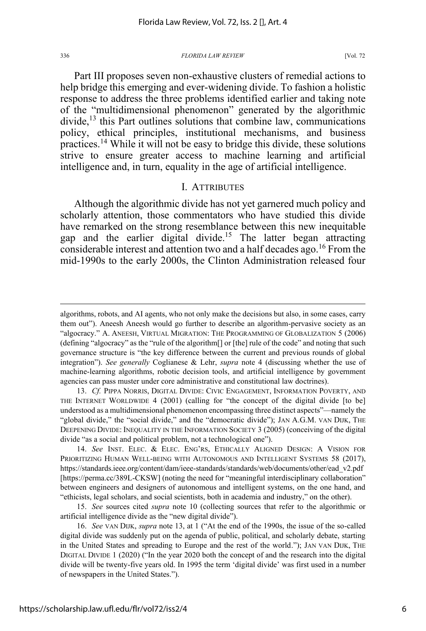Part III proposes seven non-exhaustive clusters of remedial actions to help bridge this emerging and ever-widening divide. To fashion a holistic response to address the three problems identified earlier and taking note of the "multidimensional phenomenon" generated by the algorithmic  $divide<sup>13</sup>$ , this Part outlines solutions that combine law, communications policy, ethical principles, institutional mechanisms, and business practices. <sup>14</sup> While it will not be easy to bridge this divide, these solutions strive to ensure greater access to machine learning and artificial intelligence and, in turn, equality in the age of artificial intelligence.

### I. ATTRIBUTES

Although the algorithmic divide has not yet garnered much policy and scholarly attention, those commentators who have studied this divide have remarked on the strong resemblance between this new inequitable gap and the earlier digital divide.15 The latter began attracting considerable interest and attention two and a half decades ago.<sup>16</sup> From the mid-1990s to the early 2000s, the Clinton Administration released four

algorithms, robots, and AI agents, who not only make the decisions but also, in some cases, carry them out"). Aneesh Aneesh would go further to describe an algorithm-pervasive society as an "algocracy." A. ANEESH, VIRTUAL MIGRATION: THE PROGRAMMING OF GLOBALIZATION 5 (2006) (defining "algocracy" as the "rule of the algorithm[] or [the] rule of the code" and noting that such governance structure is "the key difference between the current and previous rounds of global integration"). *See generally* Coglianese & Lehr, *supra* note 4 (discussing whether the use of machine-learning algorithms, robotic decision tools, and artificial intelligence by government agencies can pass muster under core administrative and constitutional law doctrines).

<sup>13.</sup> *Cf.* PIPPA NORRIS, DIGITAL DIVIDE: CIVIC ENGAGEMENT, INFORMATION POVERTY, AND THE INTERNET WORLDWIDE 4 (2001) (calling for "the concept of the digital divide [to be] understood as a multidimensional phenomenon encompassing three distinct aspects"—namely the "global divide," the "social divide," and the "democratic divide"); JAN A.G.M. VAN DIJK, THE DEEPENING DIVIDE: INEQUALITY IN THE INFORMATION SOCIETY 3 (2005) (conceiving of the digital divide "as a social and political problem, not a technological one").

<sup>14.</sup> *See* INST. ELEC. & ELEC. ENG'RS, ETHICALLY ALIGNED DESIGN: A VISION FOR PRIORITIZING HUMAN WELL-BEING WITH AUTONOMOUS AND INTELLIGENT SYSTEMS 58 (2017), https://standards.ieee.org/content/dam/ieee-standards/standards/web/documents/other/ead\_v2.pdf [https://perma.cc/389L-CKSW] (noting the need for "meaningful interdisciplinary collaboration" between engineers and designers of autonomous and intelligent systems, on the one hand, and "ethicists, legal scholars, and social scientists, both in academia and industry," on the other).

<sup>15.</sup> *See* sources cited *supra* note 10 (collecting sources that refer to the algorithmic or artificial intelligence divide as the "new digital divide").

<sup>16.</sup> *See* VAN DIJK, *supra* note 13, at 1 ("At the end of the 1990s, the issue of the so-called digital divide was suddenly put on the agenda of public, political, and scholarly debate, starting in the United States and spreading to Europe and the rest of the world."); JAN VAN DIJK, THE DIGITAL DIVIDE 1 (2020) ("In the year 2020 both the concept of and the research into the digital divide will be twenty-five years old. In 1995 the term 'digital divide' was first used in a number of newspapers in the United States.").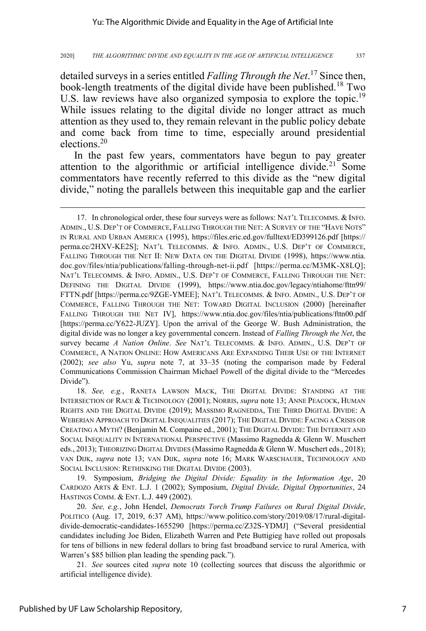detailed surveys in a series entitled *Falling Through the Net*. <sup>17</sup> Since then, book-length treatments of the digital divide have been published.<sup>18</sup> Two U.S. law reviews have also organized symposia to explore the topic.<sup>19</sup> While issues relating to the digital divide no longer attract as much attention as they used to, they remain relevant in the public policy debate and come back from time to time, especially around presidential elections.<sup>20</sup>

In the past few years, commentators have begun to pay greater attention to the algorithmic or artificial intelligence divide.<sup>21</sup> Some commentators have recently referred to this divide as the "new digital divide," noting the parallels between this inequitable gap and the earlier

18. *See, e.g.*, RANETA LAWSON MACK, THE DIGITAL DIVIDE: STANDING AT THE INTERSECTION OF RACE & TECHNOLOGY (2001); NORRIS, *supra* note 13; ANNE PEACOCK, HUMAN RIGHTS AND THE DIGITAL DIVIDE (2019); MASSIMO RAGNEDDA, THE THIRD DIGITAL DIVIDE: A WEBERIAN APPROACH TO DIGITAL INEQUALITIES (2017); THE DIGITAL DIVIDE: FACING A CRISIS OR CREATING A MYTH? (Benjamin M. Compaine ed., 2001); THE DIGITAL DIVIDE: THE INTERNET AND SOCIAL INEQUALITY IN INTERNATIONAL PERSPECTIVE (Massimo Ragnedda & Glenn W. Muschert eds., 2013); THEORIZING DIGITAL DIVIDES (Massimo Ragnedda & Glenn W. Muschert eds., 2018); VAN DIJK, *supra* note 13; VAN DIJK, *supra* note 16; MARK WARSCHAUER, TECHNOLOGY AND SOCIAL INCLUSION: RETHINKING THE DIGITAL DIVIDE (2003).

19. Symposium, *Bridging the Digital Divide: Equality in the Information Age*, 20 CARDOZO ARTS & ENT. L.J. 1 (2002); Symposium, *Digital Divide, Digital Opportunities*, 24 HASTINGS COMM. & ENT. L.J. 449 (2002).

20. *See, e.g.*, John Hendel, *Democrats Torch Trump Failures on Rural Digital Divide*, POLITICO (Aug. 17, 2019, 6:37 AM), https://www.politico.com/story/2019/08/17/rural-digitaldivide-democratic-candidates-1655290 [https://perma.cc/Z32S-YDMJ] ("Several presidential candidates including Joe Biden, Elizabeth Warren and Pete Buttigieg have rolled out proposals for tens of billions in new federal dollars to bring fast broadband service to rural America, with Warren's \$85 billion plan leading the spending pack.").

21. *See* sources cited *supra* note 10 (collecting sources that discuss the algorithmic or artificial intelligence divide).

<sup>17.</sup> In chronological order, these four surveys were as follows: NAT'L TELECOMMS. & INFO. ADMIN., U.S. DEP'T OF COMMERCE, FALLING THROUGH THE NET: A SURVEY OF THE "HAVE NOTS" IN RURAL AND URBAN AMERICA (1995), https://files.eric.ed.gov/fulltext/ED399126.pdf [https:// perma.cc/2HXV-KE2S]; NAT'L TELECOMMS. & INFO. ADMIN., U.S. DEP'T OF COMMERCE, FALLING THROUGH THE NET II: NEW DATA ON THE DIGITAL DIVIDE (1998), https://www.ntia. doc.gov/files/ntia/publications/falling-through-net-ii.pdf [https://perma.cc/M3MK-X8LQ]; NAT'L TELECOMMS. & INFO. ADMIN., U.S. DEP'T OF COMMERCE, FALLING THROUGH THE NET: DEFINING THE DIGITAL DIVIDE (1999), https://www.ntia.doc.gov/legacy/ntiahome/fttn99/ FTTN.pdf [https://perma.cc/9ZGE-YMEE]; NAT'L TELECOMMS. & INFO. ADMIN., U.S. DEP'T OF COMMERCE, FALLING THROUGH THE NET: TOWARD DIGITAL INCLUSION (2000) [hereinafter FALLING THROUGH THE NET IV], https://www.ntia.doc.gov/files/ntia/publications/fttn00.pdf [https://perma.cc/Y622-JUZY]. Upon the arrival of the George W. Bush Administration, the digital divide was no longer a key governmental concern. Instead of *Falling Through the Net*, the survey became *A Nation Online*. *See* NAT'L TELECOMMS. & INFO. ADMIN., U.S. DEP'T OF COMMERCE, A NATION ONLINE: HOW AMERICANS ARE EXPANDING THEIR USE OF THE INTERNET (2002); *see also* Yu, *supra* note 7, at 33–35 (noting the comparison made by Federal Communications Commission Chairman Michael Powell of the digital divide to the "Mercedes Divide").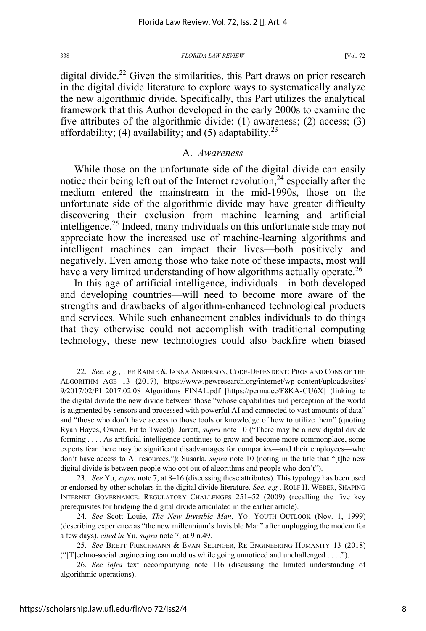digital divide. <sup>22</sup> Given the similarities, this Part draws on prior research in the digital divide literature to explore ways to systematically analyze the new algorithmic divide. Specifically, this Part utilizes the analytical framework that this Author developed in the early 2000s to examine the five attributes of the algorithmic divide: (1) awareness; (2) access; (3) affordability; (4) availability; and (5) adaptability.<sup>23</sup>

### A. *Awareness*

While those on the unfortunate side of the digital divide can easily notice their being left out of the Internet revolution,  $24$  especially after the medium entered the mainstream in the mid-1990s, those on the unfortunate side of the algorithmic divide may have greater difficulty discovering their exclusion from machine learning and artificial intelligence.<sup>25</sup> Indeed, many individuals on this unfortunate side may not appreciate how the increased use of machine-learning algorithms and intelligent machines can impact their lives—both positively and negatively. Even among those who take note of these impacts, most will have a very limited understanding of how algorithms actually operate.<sup>26</sup>

In this age of artificial intelligence, individuals—in both developed and developing countries—will need to become more aware of the strengths and drawbacks of algorithm-enhanced technological products and services. While such enhancement enables individuals to do things that they otherwise could not accomplish with traditional computing technology, these new technologies could also backfire when biased

23. *See* Yu, *supra* note 7, at 8–16 (discussing these attributes). This typology has been used or endorsed by other scholars in the digital divide literature. *See, e.g.*, ROLF H. WEBER, SHAPING INTERNET GOVERNANCE: REGULATORY CHALLENGES 251–52 (2009) (recalling the five key prerequisites for bridging the digital divide articulated in the earlier article).

<sup>22.</sup> *See, e.g.*, LEE RAINIE & JANNA ANDERSON, CODE-DEPENDENT: PROS AND CONS OF THE ALGORITHM AGE 13 (2017), https://www.pewresearch.org/internet/wp-content/uploads/sites/ 9/2017/02/PI\_2017.02.08\_Algorithms\_FINAL.pdf [https://perma.cc/F8KA-CU6X] (linking to the digital divide the new divide between those "whose capabilities and perception of the world is augmented by sensors and processed with powerful AI and connected to vast amounts of data" and "those who don't have access to those tools or knowledge of how to utilize them" (quoting Ryan Hayes, Owner, Fit to Tweet)); Jarrett, *supra* note 10 ("There may be a new digital divide forming . . . . As artificial intelligence continues to grow and become more commonplace, some experts fear there may be significant disadvantages for companies—and their employees—who don't have access to AI resources."); Susarla, *supra* note 10 (noting in the title that "[t]he new digital divide is between people who opt out of algorithms and people who don't").

<sup>24.</sup> *See* Scott Louie, *The New Invisible Man*, YO! YOUTH OUTLOOK (Nov. 1, 1999) (describing experience as "the new millennium's Invisible Man" after unplugging the modem for a few days), *cited in* Yu, *supra* note 7, at 9 n.49.

<sup>25.</sup> *See* BRETT FRISCHMANN & EVAN SELINGER, RE-ENGINEERING HUMANITY 13 (2018) ("[T]echno-social engineering can mold us while going unnoticed and unchallenged . . . .").

<sup>26.</sup> *See infra* text accompanying note 116 (discussing the limited understanding of algorithmic operations).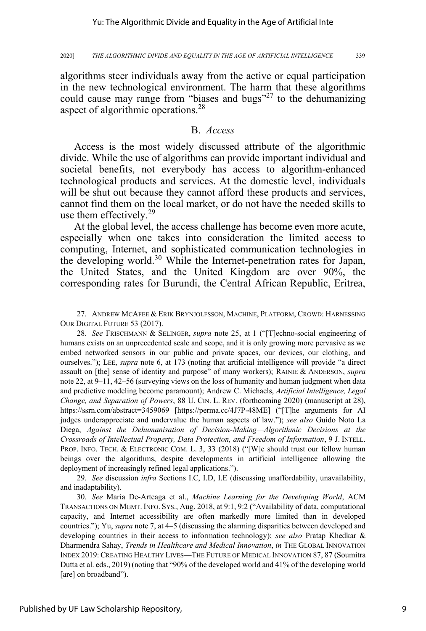algorithms steer individuals away from the active or equal participation in the new technological environment. The harm that these algorithms could cause may range from "biases and bugs"<sup>27</sup> to the dehumanizing aspect of algorithmic operations.28

### B. *Access*

Access is the most widely discussed attribute of the algorithmic divide. While the use of algorithms can provide important individual and societal benefits, not everybody has access to algorithm-enhanced technological products and services. At the domestic level, individuals will be shut out because they cannot afford these products and services, cannot find them on the local market, or do not have the needed skills to use them effectively.<sup>29</sup>

At the global level, the access challenge has become even more acute, especially when one takes into consideration the limited access to computing, Internet, and sophisticated communication technologies in the developing world.<sup>30</sup> While the Internet-penetration rates for Japan, the United States, and the United Kingdom are over 90%, the corresponding rates for Burundi, the Central African Republic, Eritrea,

29. *See* discussion *infra* Sections I.C, I.D, I.E (discussing unaffordability, unavailability, and inadaptability).

30. *See* Maria De-Arteaga et al., *Machine Learning for the Developing World*, ACM TRANSACTIONS ON MGMT. INFO. SYS., Aug. 2018, at 9:1, 9:2 ("Availability of data, computational capacity, and Internet accessibility are often markedly more limited than in developed countries."); Yu, *supra* note 7, at 4–5 (discussing the alarming disparities between developed and developing countries in their access to information technology); *see also* Pratap Khedkar & Dharmendra Sahay, *Trends in Healthcare and Medical Innovation*, *in* THE GLOBAL INNOVATION INDEX 2019:CREATING HEALTHY LIVES—THE FUTURE OF MEDICAL INNOVATION 87, 87 (Soumitra Dutta et al. eds., 2019) (noting that "90% of the developed world and 41% of the developing world [are] on broadband").

<sup>27.</sup> ANDREW MCAFEE & ERIK BRYNJOLFSSON, MACHINE, PLATFORM, CROWD: HARNESSING OUR DIGITAL FUTURE 53 (2017).

<sup>28.</sup> *See* FRISCHMANN & SELINGER, *supra* note 25, at 1 ("[T]echno-social engineering of humans exists on an unprecedented scale and scope, and it is only growing more pervasive as we embed networked sensors in our public and private spaces, our devices, our clothing, and ourselves."); LEE, *supra* note 6, at 173 (noting that artificial intelligence will provide "a direct assault on [the] sense of identity and purpose" of many workers); RAINIE & ANDERSON, *supra* note 22, at 9–11, 42–56 (surveying views on the loss of humanity and human judgment when data and predictive modeling become paramount); Andrew C. Michaels, *Artificial Intelligence, Legal Change, and Separation of Powers*, 88 U. CIN. L. REV. (forthcoming 2020) (manuscript at 28), https://ssrn.com/abstract=3459069 [https://perma.cc/4J7P-48ME] ("[T]he arguments for AI judges underappreciate and undervalue the human aspects of law."); *see also* Guido Noto La Diega, *Against the Dehumanisation of Decision-Making—Algorithmic Decisions at the Crossroads of Intellectual Property, Data Protection, and Freedom of Information*, 9 J. INTELL. PROP. INFO. TECH. & ELECTRONIC COM. L. 3, 33 (2018) ("[W]e should trust our fellow human beings over the algorithms, despite developments in artificial intelligence allowing the deployment of increasingly refined legal applications.").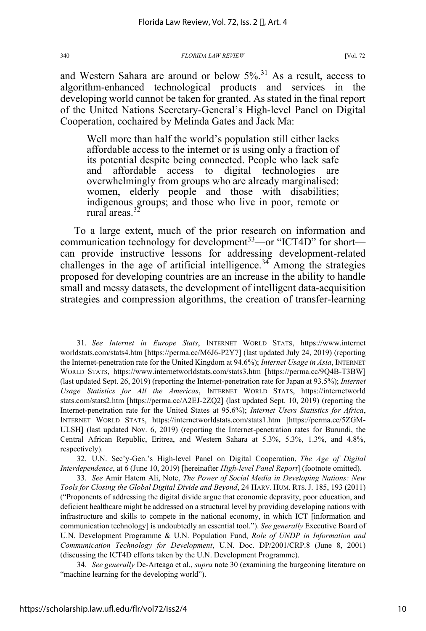and Western Sahara are around or below  $5\%$ <sup>31</sup> As a result, access to algorithm-enhanced technological products and services in the developing world cannot be taken for granted. As stated in the final report of the United Nations Secretary-General's High-level Panel on Digital Cooperation, cochaired by Melinda Gates and Jack Ma:

Well more than half the world's population still either lacks affordable access to the internet or is using only a fraction of its potential despite being connected. People who lack safe and affordable access to digital technologies are overwhelmingly from groups who are already marginalised: women, elderly people and those with disabilities; indigenous groups; and those who live in poor, remote or rural areas. $3$ 

To a large extent, much of the prior research on information and communication technology for development<sup>33</sup>—or "ICT4D" for short can provide instructive lessons for addressing development-related challenges in the age of artificial intelligence.<sup>34</sup> Among the strategies proposed for developing countries are an increase in the ability to handle small and messy datasets, the development of intelligent data-acquisition strategies and compression algorithms, the creation of transfer-learning

32. U.N. Sec'y-Gen.'s High-level Panel on Digital Cooperation, *The Age of Digital Interdependence*, at 6 (June 10, 2019) [hereinafter *High-level Panel Report*] (footnote omitted).

33. *See* Amir Hatem Ali, Note, *The Power of Social Media in Developing Nations: New Tools for Closing the Global Digital Divide and Beyond*, 24 HARV. HUM. RTS.J. 185, 193 (2011) ("Proponents of addressing the digital divide argue that economic depravity, poor education, and deficient healthcare might be addressed on a structural level by providing developing nations with infrastructure and skills to compete in the national economy, in which ICT [information and communication technology] is undoubtedly an essential tool."). *See generally* Executive Board of U.N. Development Programme & U.N. Population Fund, *Role of UNDP in Information and Communication Technology for Development*, U.N. Doc. DP/2001/CRP.8 (June 8, 2001) (discussing the ICT4D efforts taken by the U.N. Development Programme).

34. *See generally* De-Arteaga et al., *supra* note 30 (examining the burgeoning literature on "machine learning for the developing world").

<sup>31.</sup> *See Internet in Europe Stats*, INTERNET WORLD STATS, https://www.internet worldstats.com/stats4.htm [https://perma.cc/M6J6-P2Y7] (last updated July 24, 2019) (reporting the Internet-penetration rate for the United Kingdom at 94.6%); *Internet Usage in Asia*, INTERNET WORLD STATS, https://www.internetworldstats.com/stats3.htm [https://perma.cc/9Q4B-T3BW] (last updated Sept. 26, 2019) (reporting the Internet-penetration rate for Japan at 93.5%); *Internet Usage Statistics for All the Americas*, INTERNET WORLD STATS, https://internetworld stats.com/stats2.htm [https://perma.cc/A2EJ-2ZQ2] (last updated Sept. 10, 2019) (reporting the Internet-penetration rate for the United States at 95.6%); *Internet Users Statistics for Africa*, INTERNET WORLD STATS, https://internetworldstats.com/stats1.htm [https://perma.cc/5ZGM-ULSH] (last updated Nov. 6, 2019) (reporting the Internet-penetration rates for Burundi, the Central African Republic, Eritrea, and Western Sahara at 5.3%, 5.3%, 1.3%, and 4.8%, respectively).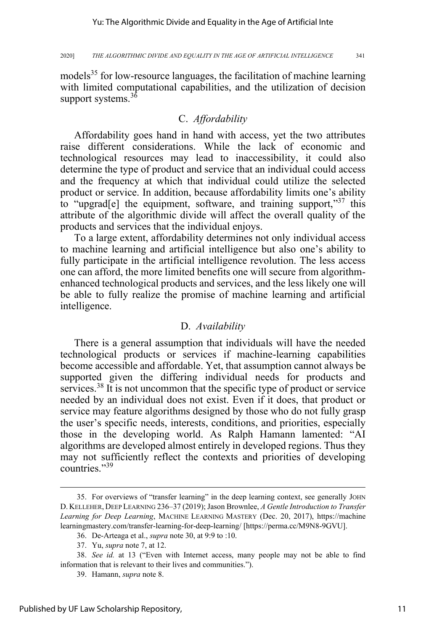models<sup>35</sup> for low-resource languages, the facilitation of machine learning with limited computational capabilities, and the utilization of decision support systems.<sup>36</sup>

### C. *Affordability*

Affordability goes hand in hand with access, yet the two attributes raise different considerations. While the lack of economic and technological resources may lead to inaccessibility, it could also determine the type of product and service that an individual could access and the frequency at which that individual could utilize the selected product or service. In addition, because affordability limits one's ability to "upgrad<sup>[e]</sup> the equipment, software, and training support,"<sup>37</sup> this attribute of the algorithmic divide will affect the overall quality of the products and services that the individual enjoys.

To a large extent, affordability determines not only individual access to machine learning and artificial intelligence but also one's ability to fully participate in the artificial intelligence revolution. The less access one can afford, the more limited benefits one will secure from algorithmenhanced technological products and services, and the less likely one will be able to fully realize the promise of machine learning and artificial intelligence.

### D. *Availability*

There is a general assumption that individuals will have the needed technological products or services if machine-learning capabilities become accessible and affordable. Yet, that assumption cannot always be supported given the differing individual needs for products and services.<sup>38</sup> It is not uncommon that the specific type of product or service needed by an individual does not exist. Even if it does, that product or service may feature algorithms designed by those who do not fully grasp the user's specific needs, interests, conditions, and priorities, especially those in the developing world. As Ralph Hamann lamented: "AI algorithms are developed almost entirely in developed regions. Thus they may not sufficiently reflect the contexts and priorities of developing countries."<sup>39</sup>

<sup>35.</sup> For overviews of "transfer learning" in the deep learning context, see generally JOHN D. KELLEHER, DEEP LEARNING 236–37 (2019); Jason Brownlee, *A Gentle Introduction to Transfer Learning for Deep Learning*, MACHINE LEARNING MASTERY (Dec. 20, 2017), https://machine learningmastery.com/transfer-learning-for-deep-learning/ [https://perma.cc/M9N8-9GVU].

<sup>36.</sup> De-Arteaga et al., *supra* note 30, at 9:9 to :10.

<sup>37.</sup> Yu, *supra* note 7, at 12.

<sup>38.</sup> *See id.* at 13 ("Even with Internet access, many people may not be able to find information that is relevant to their lives and communities.").

<sup>39.</sup> Hamann, *supra* note 8.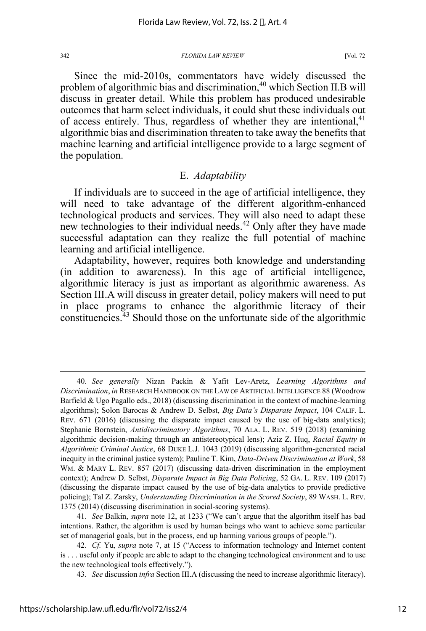Since the mid-2010s, commentators have widely discussed the problem of algorithmic bias and discrimination,<sup>40</sup> which Section II.B will discuss in greater detail. While this problem has produced undesirable outcomes that harm select individuals, it could shut these individuals out of access entirely. Thus, regardless of whether they are intentional, $4<sup>1</sup>$ algorithmic bias and discrimination threaten to take away the benefits that machine learning and artificial intelligence provide to a large segment of the population.

### E. *Adaptability*

If individuals are to succeed in the age of artificial intelligence, they will need to take advantage of the different algorithm-enhanced technological products and services. They will also need to adapt these new technologies to their individual needs.<sup>42</sup> Only after they have made successful adaptation can they realize the full potential of machine learning and artificial intelligence.

Adaptability, however, requires both knowledge and understanding (in addition to awareness). In this age of artificial intelligence, algorithmic literacy is just as important as algorithmic awareness. As Section III.A will discuss in greater detail, policy makers will need to put in place programs to enhance the algorithmic literacy of their constituencies. $43$  Should those on the unfortunate side of the algorithmic

41. *See* Balkin, *supra* note 12, at 1233 ("We can't argue that the algorithm itself has bad intentions. Rather, the algorithm is used by human beings who want to achieve some particular set of managerial goals, but in the process, end up harming various groups of people.").

43. *See* discussion *infra* Section III.A (discussing the need to increase algorithmic literacy).

<sup>40.</sup> *See generally* Nizan Packin & Yafit Lev-Aretz, *Learning Algorithms and Discrimination*, *in* RESEARCH HANDBOOK ON THE LAW OF ARTIFICIAL INTELLIGENCE 88 (Woodrow Barfield & Ugo Pagallo eds., 2018) (discussing discrimination in the context of machine-learning algorithms); Solon Barocas & Andrew D. Selbst, *Big Data's Disparate Impact*, 104 CALIF. L. REV. 671 (2016) (discussing the disparate impact caused by the use of big-data analytics); Stephanie Bornstein, *Antidiscriminatory Algorithms*, 70 ALA. L. REV. 519 (2018) (examining algorithmic decision-making through an antistereotypical lens); Aziz Z. Huq, *Racial Equity in Algorithmic Criminal Justice*, 68 DUKE L.J. 1043 (2019) (discussing algorithm-generated racial inequity in the criminal justice system); Pauline T. Kim, *Data-Driven Discrimination at Work*, 58 WM. & MARY L. REV. 857 (2017) (discussing data-driven discrimination in the employment context); Andrew D. Selbst, *Disparate Impact in Big Data Policing*, 52 GA. L. REV. 109 (2017) (discussing the disparate impact caused by the use of big-data analytics to provide predictive policing); Tal Z. Zarsky, *Understanding Discrimination in the Scored Society*, 89 WASH. L. REV. 1375 (2014) (discussing discrimination in social-scoring systems).

<sup>42.</sup> *Cf.* Yu, *supra* note 7, at 15 ("Access to information technology and Internet content is . . . useful only if people are able to adapt to the changing technological environment and to use the new technological tools effectively.").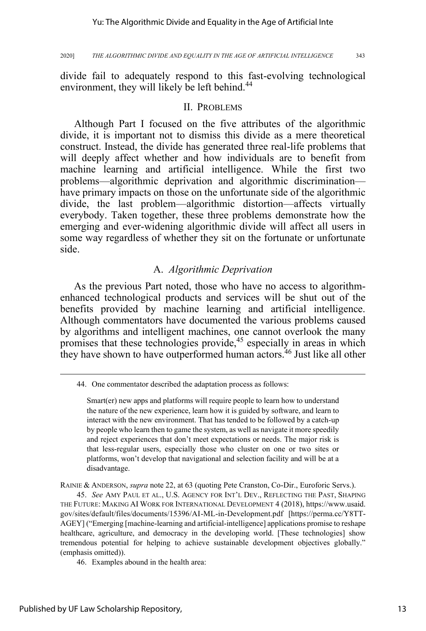divide fail to adequately respond to this fast-evolving technological environment, they will likely be left behind.<sup>44</sup>

### II. PROBLEMS

Although Part I focused on the five attributes of the algorithmic divide, it is important not to dismiss this divide as a mere theoretical construct. Instead, the divide has generated three real-life problems that will deeply affect whether and how individuals are to benefit from machine learning and artificial intelligence. While the first two problems—algorithmic deprivation and algorithmic discrimination have primary impacts on those on the unfortunate side of the algorithmic divide, the last problem—algorithmic distortion—affects virtually everybody. Taken together, these three problems demonstrate how the emerging and ever-widening algorithmic divide will affect all users in some way regardless of whether they sit on the fortunate or unfortunate side.

### A. *Algorithmic Deprivation*

As the previous Part noted, those who have no access to algorithmenhanced technological products and services will be shut out of the benefits provided by machine learning and artificial intelligence. Although commentators have documented the various problems caused by algorithms and intelligent machines, one cannot overlook the many promises that these technologies provide,<sup>45</sup> especially in areas in which they have shown to have outperformed human actors.<sup>46</sup> Just like all other

RAINIE & ANDERSON, *supra* note 22, at 63 (quoting Pete Cranston, Co-Dir., Euroforic Servs.).

45. *See* AMY PAUL ET AL., U.S. AGENCY FOR INT'L DEV., REFLECTING THE PAST, SHAPING THE FUTURE: MAKING AI WORK FOR INTERNATIONAL DEVELOPMENT 4 (2018), https://www.usaid. gov/sites/default/files/documents/15396/AI-ML-in-Development.pdf [https://perma.cc/Y8TT-AGEY] ("Emerging [machine-learning and artificial-intelligence] applications promise to reshape healthcare, agriculture, and democracy in the developing world. [These technologies] show tremendous potential for helping to achieve sustainable development objectives globally." (emphasis omitted)).

46. Examples abound in the health area:

<sup>44.</sup> One commentator described the adaptation process as follows:

Smart(er) new apps and platforms will require people to learn how to understand the nature of the new experience, learn how it is guided by software, and learn to interact with the new environment. That has tended to be followed by a catch-up by people who learn then to game the system, as well as navigate it more speedily and reject experiences that don't meet expectations or needs. The major risk is that less-regular users, especially those who cluster on one or two sites or platforms, won't develop that navigational and selection facility and will be at a disadvantage.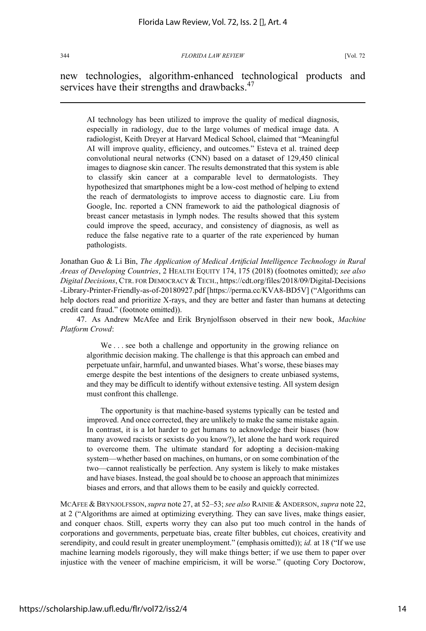new technologies, algorithm-enhanced technological products and services have their strengths and drawbacks.<sup>47</sup>

AI technology has been utilized to improve the quality of medical diagnosis, especially in radiology, due to the large volumes of medical image data. A radiologist, Keith Dreyer at Harvard Medical School, claimed that "Meaningful AI will improve quality, efficiency, and outcomes." Esteva et al. trained deep convolutional neural networks (CNN) based on a dataset of 129,450 clinical images to diagnose skin cancer. The results demonstrated that this system is able to classify skin cancer at a comparable level to dermatologists. They hypothesized that smartphones might be a low-cost method of helping to extend the reach of dermatologists to improve access to diagnostic care. Liu from Google, Inc. reported a CNN framework to aid the pathological diagnosis of breast cancer metastasis in lymph nodes. The results showed that this system could improve the speed, accuracy, and consistency of diagnosis, as well as reduce the false negative rate to a quarter of the rate experienced by human pathologists.

Jonathan Guo & Li Bin, *The Application of Medical Artificial Intelligence Technology in Rural Areas of Developing Countries*, 2 HEALTH EQUITY 174, 175 (2018) (footnotes omitted); *see also Digital Decisions*, CTR. FOR DEMOCRACY &TECH., https://cdt.org/files/2018/09/Digital-Decisions -Library-Printer-Friendly-as-of-20180927.pdf [https://perma.cc/KVA8-BD5V] ("Algorithms can help doctors read and prioritize X-rays, and they are better and faster than humans at detecting credit card fraud." (footnote omitted)).

47. As Andrew McAfee and Erik Brynjolfsson observed in their new book, *Machine Platform Crowd*:

We . . . see both a challenge and opportunity in the growing reliance on algorithmic decision making. The challenge is that this approach can embed and perpetuate unfair, harmful, and unwanted biases. What's worse, these biases may emerge despite the best intentions of the designers to create unbiased systems, and they may be difficult to identify without extensive testing. All system design must confront this challenge.

The opportunity is that machine-based systems typically can be tested and improved. And once corrected, they are unlikely to make the same mistake again. In contrast, it is a lot harder to get humans to acknowledge their biases (how many avowed racists or sexists do you know?), let alone the hard work required to overcome them. The ultimate standard for adopting a decision-making system—whether based on machines, on humans, or on some combination of the two—cannot realistically be perfection. Any system is likely to make mistakes and have biases. Instead, the goal should be to choose an approach that minimizes biases and errors, and that allows them to be easily and quickly corrected.

MCAFEE & BRYNJOLFSSON,*supra* note 27, at 52–53; *see also* RAINIE & ANDERSON, *supra* note 22, at 2 ("Algorithms are aimed at optimizing everything. They can save lives, make things easier, and conquer chaos. Still, experts worry they can also put too much control in the hands of corporations and governments, perpetuate bias, create filter bubbles, cut choices, creativity and serendipity, and could result in greater unemployment." (emphasis omitted)); *id.* at 18 ("If we use machine learning models rigorously, they will make things better; if we use them to paper over injustice with the veneer of machine empiricism, it will be worse." (quoting Cory Doctorow,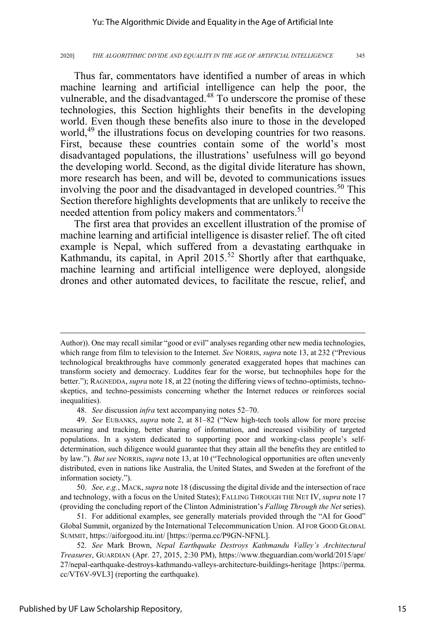### Yu: The Algorithmic Divide and Equality in the Age of Artificial Inte

#### 2020] *THE ALGORITHMIC DIVIDE AND EQUALITY IN THE AGE OF ARTIFICIAL INTELLIGENCE* 345

Thus far, commentators have identified a number of areas in which machine learning and artificial intelligence can help the poor, the vulnerable, and the disadvantaged. $48$  To underscore the promise of these technologies, this Section highlights their benefits in the developing world. Even though these benefits also inure to those in the developed world,<sup>49</sup> the illustrations focus on developing countries for two reasons. First, because these countries contain some of the world's most disadvantaged populations, the illustrations' usefulness will go beyond the developing world. Second, as the digital divide literature has shown, more research has been, and will be, devoted to communications issues involving the poor and the disadvantaged in developed countries.<sup>50</sup> This Section therefore highlights developments that are unlikely to receive the needed attention from policy makers and commentators.<sup>51</sup>

The first area that provides an excellent illustration of the promise of machine learning and artificial intelligence is disaster relief. The oft cited example is Nepal, which suffered from a devastating earthquake in Kathmandu, its capital, in April 2015.<sup>52</sup> Shortly after that earthquake, machine learning and artificial intelligence were deployed, alongside drones and other automated devices, to facilitate the rescue, relief, and

Author)). One may recall similar "good or evil" analyses regarding other new media technologies, which range from film to television to the Internet. *See* NORRIS, *supra* note 13, at 232 ("Previous technological breakthroughs have commonly generated exaggerated hopes that machines can transform society and democracy. Luddites fear for the worse, but technophiles hope for the better."); RAGNEDDA, *supra* note 18, at 22 (noting the differing views of techno-optimists, technoskeptics, and techno-pessimists concerning whether the Internet reduces or reinforces social inequalities).

<sup>48.</sup> *See* discussion *infra* text accompanying notes 52–70.

<sup>49.</sup> *See* EUBANKS, *supra* note 2, at 81–82 ("New high-tech tools allow for more precise measuring and tracking, better sharing of information, and increased visibility of targeted populations. In a system dedicated to supporting poor and working-class people's selfdetermination, such diligence would guarantee that they attain all the benefits they are entitled to by law."). *But see* NORRIS, *supra* note 13, at 10 ("Technological opportunities are often unevenly distributed, even in nations like Australia, the United States, and Sweden at the forefront of the information society.").

<sup>50.</sup> *See, e.g.*, MACK, *supra* note 18 (discussing the digital divide and the intersection of race and technology, with a focus on the United States); FALLING THROUGH THE NET IV, *supra* note 17 (providing the concluding report of the Clinton Administration's *Falling Through the Net* series).

<sup>51.</sup> For additional examples, see generally materials provided through the "AI for Good" Global Summit, organized by the International Telecommunication Union. AI FOR GOOD GLOBAL SUMMIT, https://aiforgood.itu.int/ [https://perma.cc/P9GN-NFNL].

<sup>52.</sup> *See* Mark Brown, *Nepal Earthquake Destroys Kathmandu Valley's Architectural Treasures*, GUARDIAN (Apr. 27, 2015, 2:30 PM), https://www.theguardian.com/world/2015/apr/ 27/nepal-earthquake-destroys-kathmandu-valleys-architecture-buildings-heritage [https://perma. cc/VT6V-9VL3] (reporting the earthquake).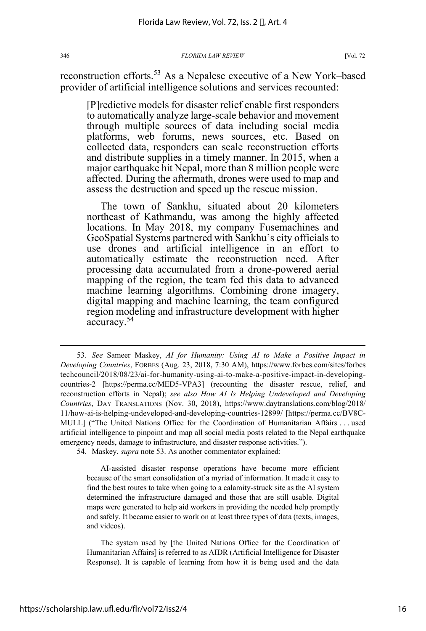reconstruction efforts.<sup>53</sup> As a Nepalese executive of a New York–based provider of artificial intelligence solutions and services recounted:

[P]redictive models for disaster relief enable first responders to automatically analyze large-scale behavior and movement through multiple sources of data including social media platforms, web forums, news sources, etc. Based on collected data, responders can scale reconstruction efforts and distribute supplies in a timely manner. In 2015, when a major earthquake hit Nepal, more than 8 million people were affected. During the aftermath, drones were used to map and assess the destruction and speed up the rescue mission.

The town of Sankhu, situated about 20 kilometers northeast of Kathmandu, was among the highly affected locations. In May 2018, my company Fusemachines and GeoSpatial Systems partnered with Sankhu's city officials to use drones and artificial intelligence in an effort to automatically estimate the reconstruction need. After processing data accumulated from a drone-powered aerial mapping of the region, the team fed this data to advanced machine learning algorithms. Combining drone imagery, digital mapping and machine learning, the team configured region modeling and infrastructure development with higher accuracy.<sup>54</sup>

54. Maskey, *supra* note 53. As another commentator explained:

AI-assisted disaster response operations have become more efficient because of the smart consolidation of a myriad of information. It made it easy to find the best routes to take when going to a calamity-struck site as the AI system determined the infrastructure damaged and those that are still usable. Digital maps were generated to help aid workers in providing the needed help promptly and safely. It became easier to work on at least three types of data (texts, images, and videos).

The system used by [the United Nations Office for the Coordination of Humanitarian Affairs] is referred to as AIDR (Artificial Intelligence for Disaster Response). It is capable of learning from how it is being used and the data

<sup>53.</sup> *See* Sameer Maskey, *AI for Humanity: Using AI to Make a Positive Impact in Developing Countries*, FORBES (Aug. 23, 2018, 7:30 AM), https://www.forbes.com/sites/forbes techcouncil/2018/08/23/ai-for-humanity-using-ai-to-make-a-positive-impact-in-developingcountries-2 [https://perma.cc/MED5-VPA3] (recounting the disaster rescue, relief, and reconstruction efforts in Nepal); *see also How AI Is Helping Undeveloped and Developing Countries*, DAY TRANSLATIONS (Nov. 30, 2018), https://www.daytranslations.com/blog/2018/ 11/how-ai-is-helping-undeveloped-and-developing-countries-12899/ [https://perma.cc/BV8C-MULL] ("The United Nations Office for the Coordination of Humanitarian Affairs . . . used artificial intelligence to pinpoint and map all social media posts related to the Nepal earthquake emergency needs, damage to infrastructure, and disaster response activities.").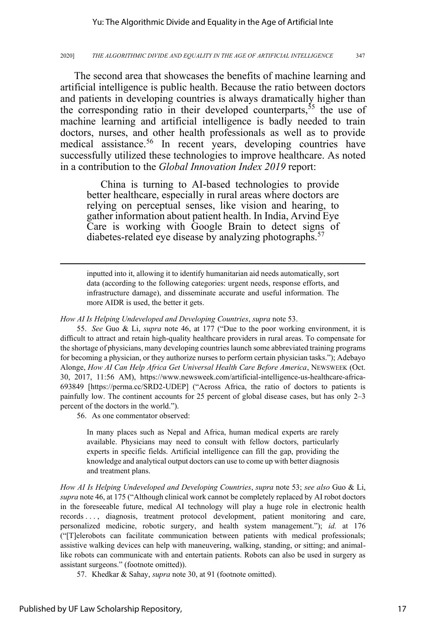The second area that showcases the benefits of machine learning and artificial intelligence is public health. Because the ratio between doctors and patients in developing countries is always dramatically higher than the corresponding ratio in their developed counterparts,  $55$  the use of machine learning and artificial intelligence is badly needed to train doctors, nurses, and other health professionals as well as to provide medical assistance.<sup>56</sup> In recent years, developing countries have successfully utilized these technologies to improve healthcare. As noted in a contribution to the *Global Innovation Index 2019* report:

China is turning to AI-based technologies to provide better healthcare, especially in rural areas where doctors are relying on perceptual senses, like vision and hearing, to gather information about patient health. In India, Arvind Eye Care is working with Google Brain to detect signs of diabetes-related eye disease by analyzing photographs.<sup>57</sup>

inputted into it, allowing it to identify humanitarian aid needs automatically, sort data (according to the following categories: urgent needs, response efforts, and infrastructure damage), and disseminate accurate and useful information. The more AIDR is used, the better it gets.

*How AI Is Helping Undeveloped and Developing Countries*, *supra* note 53.

55. *See* Guo & Li, *supra* note 46, at 177 ("Due to the poor working environment, it is difficult to attract and retain high-quality healthcare providers in rural areas. To compensate for the shortage of physicians, many developing countries launch some abbreviated training programs for becoming a physician, or they authorize nurses to perform certain physician tasks."); Adebayo Alonge, *How AI Can Help Africa Get Universal Health Care Before America*, NEWSWEEK (Oct. 30, 2017, 11:56 AM), https://www.newsweek.com/artificial-intelligence-us-healthcare-africa-693849 [https://perma.cc/SRD2-UDEP] ("Across Africa, the ratio of doctors to patients is painfully low. The continent accounts for 25 percent of global disease cases, but has only 2–3 percent of the doctors in the world.").

56. As one commentator observed:

In many places such as Nepal and Africa, human medical experts are rarely available. Physicians may need to consult with fellow doctors, particularly experts in specific fields. Artificial intelligence can fill the gap, providing the knowledge and analytical output doctors can use to come up with better diagnosis and treatment plans.

*How AI Is Helping Undeveloped and Developing Countries*, *supra* note 53; *see also* Guo & Li, *supra* note 46, at 175 ("Although clinical work cannot be completely replaced by AI robot doctors in the foreseeable future, medical AI technology will play a huge role in electronic health records . . . , diagnosis, treatment protocol development, patient monitoring and care, personalized medicine, robotic surgery, and health system management."); *id.* at 176 ("[T]elerobots can facilitate communication between patients with medical professionals; assistive walking devices can help with maneuvering, walking, standing, or sitting; and animallike robots can communicate with and entertain patients. Robots can also be used in surgery as assistant surgeons." (footnote omitted)).

57. Khedkar & Sahay, *supra* note 30, at 91 (footnote omitted).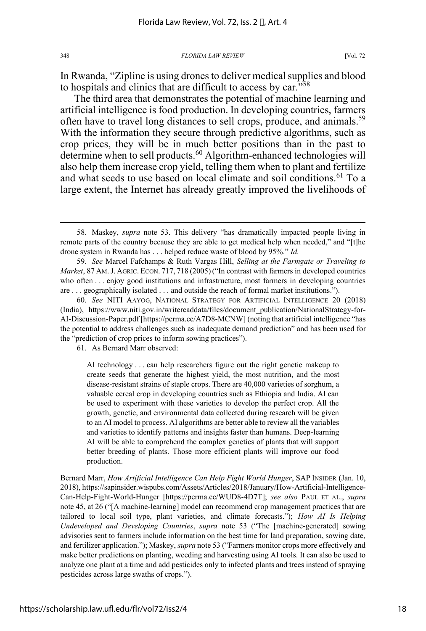In Rwanda, "Zipline is using drones to deliver medical supplies and blood to hospitals and clinics that are difficult to access by car."<sup>58</sup>

The third area that demonstrates the potential of machine learning and artificial intelligence is food production. In developing countries, farmers often have to travel long distances to sell crops, produce, and animals.<sup>59</sup> With the information they secure through predictive algorithms, such as crop prices, they will be in much better positions than in the past to determine when to sell products.<sup>60</sup> Algorithm-enhanced technologies will also help them increase crop yield, telling them when to plant and fertilize and what seeds to use based on local climate and soil conditions.<sup>61</sup> To a large extent, the Internet has already greatly improved the livelihoods of

61. As Bernard Marr observed:

AI technology . . . can help researchers figure out the right genetic makeup to create seeds that generate the highest yield, the most nutrition, and the most disease-resistant strains of staple crops. There are 40,000 varieties of sorghum, a valuable cereal crop in developing countries such as Ethiopia and India. AI can be used to experiment with these varieties to develop the perfect crop. All the growth, genetic, and environmental data collected during research will be given to an AI model to process. AI algorithms are better able to review all the variables and varieties to identify patterns and insights faster than humans. Deep-learning AI will be able to comprehend the complex genetics of plants that will support better breeding of plants. Those more efficient plants will improve our food production.

Bernard Marr, *How Artificial Intelligence Can Help Fight World Hunger*, SAP INSIDER (Jan. 10, 2018), https://sapinsider.wispubs.com/Assets/Articles/2018/January/How-Artificial-Intelligence-Can-Help-Fight-World-Hunger [https://perma.cc/WUD8-4D7T]; *see also* PAUL ET AL., *supra* note 45, at 26 ("[A machine-learning] model can recommend crop management practices that are tailored to local soil type, plant varieties, and climate forecasts."); *How AI Is Helping Undeveloped and Developing Countries*, *supra* note 53 ("The [machine-generated] sowing advisories sent to farmers include information on the best time for land preparation, sowing date, and fertilizer application."); Maskey, *supra* note 53 ("Farmers monitor crops more effectively and make better predictions on planting, weeding and harvesting using AI tools. It can also be used to analyze one plant at a time and add pesticides only to infected plants and trees instead of spraying pesticides across large swaths of crops.").

<sup>58.</sup> Maskey, *supra* note 53. This delivery "has dramatically impacted people living in remote parts of the country because they are able to get medical help when needed," and "[t]he drone system in Rwanda has . . . helped reduce waste of blood by 95%." *Id.*

<sup>59.</sup> *See* Marcel Fafchamps & Ruth Vargas Hill, *Selling at the Farmgate or Traveling to Market*, 87 AM.J. AGRIC. ECON. 717, 718 (2005)("In contrast with farmers in developed countries who often . . . enjoy good institutions and infrastructure, most farmers in developing countries are . . . geographically isolated . . . and outside the reach of formal market institutions.").

<sup>60.</sup> *See* NITI AAYOG, NATIONAL STRATEGY FOR ARTIFICIAL INTELLIGENCE 20 (2018) (India), https://www.niti.gov.in/writereaddata/files/document\_publication/NationalStrategy-for-AI-Discussion-Paper.pdf [https://perma.cc/A7D8-MCNW] (noting that artificial intelligence "has the potential to address challenges such as inadequate demand prediction" and has been used for the "prediction of crop prices to inform sowing practices").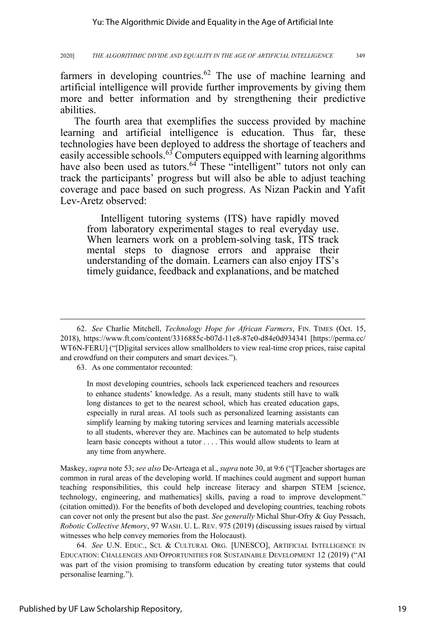farmers in developing countries.<sup>62</sup> The use of machine learning and artificial intelligence will provide further improvements by giving them more and better information and by strengthening their predictive abilities.

The fourth area that exemplifies the success provided by machine learning and artificial intelligence is education. Thus far, these technologies have been deployed to address the shortage of teachers and easily accessible schools. $^{63}$  Computers equipped with learning algorithms have also been used as tutors.<sup>64</sup> These "intelligent" tutors not only can track the participants' progress but will also be able to adjust teaching coverage and pace based on such progress. As Nizan Packin and Yafit Lev-Aretz observed:

Intelligent tutoring systems (ITS) have rapidly moved from laboratory experimental stages to real everyday use. When learners work on a problem-solving task, ITS track mental steps to diagnose errors and appraise their understanding of the domain. Learners can also enjoy ITS's timely guidance, feedback and explanations, and be matched

63. As one commentator recounted:

In most developing countries, schools lack experienced teachers and resources to enhance students' knowledge. As a result, many students still have to walk long distances to get to the nearest school, which has created education gaps, especially in rural areas. AI tools such as personalized learning assistants can simplify learning by making tutoring services and learning materials accessible to all students, wherever they are. Machines can be automated to help students learn basic concepts without a tutor . . . . This would allow students to learn at any time from anywhere.

Maskey, *supra* note 53; *see also* De-Arteaga et al., *supra* note 30, at 9:6 ("[T]eacher shortages are common in rural areas of the developing world. If machines could augment and support human teaching responsibilities, this could help increase literacy and sharpen STEM [science, technology, engineering, and mathematics] skills, paving a road to improve development." (citation omitted)). For the benefits of both developed and developing countries, teaching robots can cover not only the present but also the past. *See generally* Michal Shur-Ofry & Guy Pessach, *Robotic Collective Memory*, 97 WASH. U. L. REV. 975 (2019) (discussing issues raised by virtual witnesses who help convey memories from the Holocaust).

64. *See* U.N. EDUC., SCI. & CULTURAL ORG. [UNESCO], ARTIFICIAL INTELLIGENCE IN EDUCATION: CHALLENGES AND OPPORTUNITIES FOR SUSTAINABLE DEVELOPMENT 12 (2019) ("AI was part of the vision promising to transform education by creating tutor systems that could personalise learning.").

<sup>62.</sup> *See* Charlie Mitchell, *Technology Hope for African Farmers*, FIN. TIMES (Oct. 15, 2018), https://www.ft.com/content/3316885c-b07d-11e8-87e0-d84e0d934341 [https://perma.cc/ WT6N-FERU] ("[D]igital services allow smallholders to view real-time crop prices, raise capital and crowdfund on their computers and smart devices.").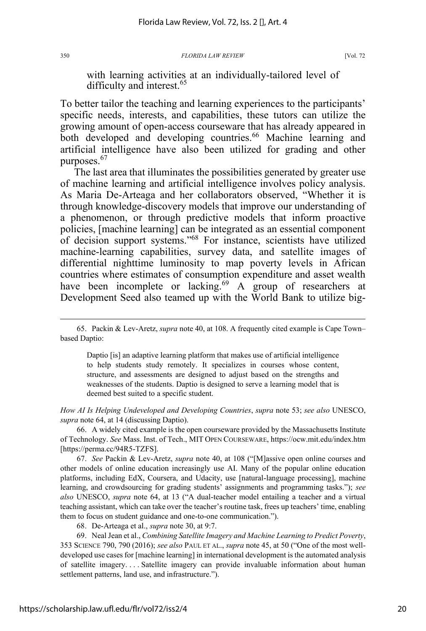with learning activities at an individually-tailored level of difficulty and interest.<sup>65</sup>

To better tailor the teaching and learning experiences to the participants' specific needs, interests, and capabilities, these tutors can utilize the growing amount of open-access courseware that has already appeared in both developed and developing countries.<sup>66</sup> Machine learning and artificial intelligence have also been utilized for grading and other purposes.<sup>67</sup>

The last area that illuminates the possibilities generated by greater use of machine learning and artificial intelligence involves policy analysis. As Maria De-Arteaga and her collaborators observed, "Whether it is through knowledge-discovery models that improve our understanding of a phenomenon, or through predictive models that inform proactive policies, [machine learning] can be integrated as an essential component of decision support systems."68 For instance, scientists have utilized machine-learning capabilities, survey data, and satellite images of differential nighttime luminosity to map poverty levels in African countries where estimates of consumption expenditure and asset wealth have been incomplete or lacking.<sup>69</sup> A group of researchers at Development Seed also teamed up with the World Bank to utilize big-

Daptio [is] an adaptive learning platform that makes use of artificial intelligence to help students study remotely. It specializes in courses whose content, structure, and assessments are designed to adjust based on the strengths and weaknesses of the students. Daptio is designed to serve a learning model that is deemed best suited to a specific student.

*How AI Is Helping Undeveloped and Developing Countries*, *supra* note 53; *see also* UNESCO, *supra* note 64, at 14 (discussing Daptio).

66. A widely cited example is the open courseware provided by the Massachusetts Institute of Technology. *See* Mass. Inst. of Tech., MIT OPEN COURSEWARE, https://ocw.mit.edu/index.htm [https://perma.cc/94R5-TZFS].

67. *See* Packin & Lev-Aretz, *supra* note 40, at 108 ("[M]assive open online courses and other models of online education increasingly use AI. Many of the popular online education platforms, including EdX, Coursera, and Udacity, use [natural-language processing], machine learning, and crowdsourcing for grading students' assignments and programming tasks."); *see also* UNESCO, *supra* note 64, at 13 ("A dual-teacher model entailing a teacher and a virtual teaching assistant, which can take over the teacher's routine task, frees up teachers' time, enabling them to focus on student guidance and one-to-one communication.").

68. De-Arteaga et al., *supra* note 30, at 9:7.

69. Neal Jean et al., *Combining Satellite Imagery and Machine Learning to Predict Poverty*, 353 SCIENCE 790, 790 (2016); *see also* PAUL ET AL., *supra* note 45, at 50 ("One of the most welldeveloped use cases for [machine learning] in international development is the automated analysis of satellite imagery. . . . Satellite imagery can provide invaluable information about human settlement patterns, land use, and infrastructure.").

<sup>65.</sup> Packin & Lev-Aretz, *supra* note 40, at 108. A frequently cited example is Cape Town– based Daptio: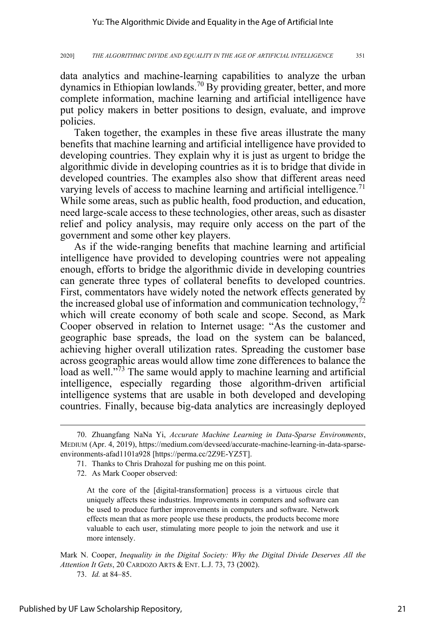data analytics and machine-learning capabilities to analyze the urban dynamics in Ethiopian lowlands.<sup>70</sup> By providing greater, better, and more complete information, machine learning and artificial intelligence have put policy makers in better positions to design, evaluate, and improve policies.

Taken together, the examples in these five areas illustrate the many benefits that machine learning and artificial intelligence have provided to developing countries. They explain why it is just as urgent to bridge the algorithmic divide in developing countries as it is to bridge that divide in developed countries. The examples also show that different areas need varying levels of access to machine learning and artificial intelligence.<sup>71</sup> While some areas, such as public health, food production, and education, need large-scale access to these technologies, other areas, such as disaster relief and policy analysis, may require only access on the part of the government and some other key players.

As if the wide-ranging benefits that machine learning and artificial intelligence have provided to developing countries were not appealing enough, efforts to bridge the algorithmic divide in developing countries can generate three types of collateral benefits to developed countries. First, commentators have widely noted the network effects generated by the increased global use of information and communication technology, $^{72}$ which will create economy of both scale and scope. Second, as Mark Cooper observed in relation to Internet usage: "As the customer and geographic base spreads, the load on the system can be balanced, achieving higher overall utilization rates. Spreading the customer base across geographic areas would allow time zone differences to balance the load as well.<sup>"73</sup> The same would apply to machine learning and artificial intelligence, especially regarding those algorithm-driven artificial intelligence systems that are usable in both developed and developing countries. Finally, because big-data analytics are increasingly deployed

Mark N. Cooper, *Inequality in the Digital Society: Why the Digital Divide Deserves All the Attention It Gets*, 20 CARDOZO ARTS & ENT. L.J. 73, 73 (2002).

<sup>70.</sup> Zhuangfang NaNa Yi, *Accurate Machine Learning in Data-Sparse Environments*, MEDIUM (Apr. 4, 2019), https://medium.com/devseed/accurate-machine-learning-in-data-sparseenvironments-afad1101a928 [https://perma.cc/2Z9E-YZ5T].

<sup>71.</sup> Thanks to Chris Drahozal for pushing me on this point.

<sup>72.</sup> As Mark Cooper observed:

At the core of the [digital-transformation] process is a virtuous circle that uniquely affects these industries. Improvements in computers and software can be used to produce further improvements in computers and software. Network effects mean that as more people use these products, the products become more valuable to each user, stimulating more people to join the network and use it more intensely.

<sup>73.</sup> *Id.* at 84–85.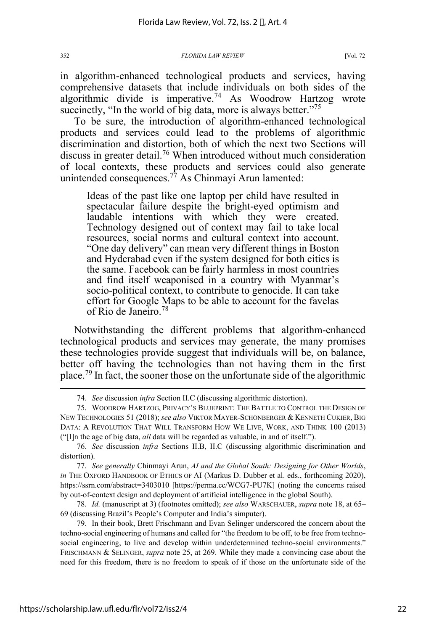in algorithm-enhanced technological products and services, having comprehensive datasets that include individuals on both sides of the algorithmic divide is imperative.<sup>74</sup> As Woodrow Hartzog wrote succinctly, "In the world of big data, more is always better."<sup>75</sup>

To be sure, the introduction of algorithm-enhanced technological products and services could lead to the problems of algorithmic discrimination and distortion, both of which the next two Sections will discuss in greater detail.<sup>76</sup> When introduced without much consideration of local contexts, these products and services could also generate unintended consequences.<sup>77</sup> As Chinmayi Arun lamented:

Ideas of the past like one laptop per child have resulted in spectacular failure despite the bright-eyed optimism and laudable intentions with which they were created. Technology designed out of context may fail to take local resources, social norms and cultural context into account. "One day delivery" can mean very different things in Boston and Hyderabad even if the system designed for both cities is the same. Facebook can be fairly harmless in most countries and find itself weaponised in a country with Myanmar's socio-political context, to contribute to genocide. It can take effort for Google Maps to be able to account for the favelas of Rio de Janeiro.<sup>78</sup>

Notwithstanding the different problems that algorithm-enhanced technological products and services may generate, the many promises these technologies provide suggest that individuals will be, on balance, better off having the technologies than not having them in the first place.<sup>79</sup> In fact, the sooner those on the unfortunate side of the algorithmic

77. *See generally* Chinmayi Arun, *AI and the Global South: Designing for Other Worlds*, *in* THE OXFORD HANDBOOK OF ETHICS OF AI (Markus D. Dubber et al. eds., forthcoming 2020), https://ssrn.com/abstract=3403010 [https://perma.cc/WCG7-PU7K] (noting the concerns raised by out-of-context design and deployment of artificial intelligence in the global South).

78. *Id.* (manuscript at 3) (footnotes omitted); *see also* WARSCHAUER, *supra* note 18, at 65– 69 (discussing Brazil's People's Computer and India's simputer).

79. In their book, Brett Frischmann and Evan Selinger underscored the concern about the techno-social engineering of humans and called for "the freedom to be off, to be free from technosocial engineering, to live and develop within underdetermined techno-social environments." FRISCHMANN & SELINGER, *supra* note 25, at 269. While they made a convincing case about the need for this freedom, there is no freedom to speak of if those on the unfortunate side of the

<sup>74.</sup> *See* discussion *infra* Section II.C (discussing algorithmic distortion).

<sup>75.</sup> WOODROW HARTZOG, PRIVACY'S BLUEPRINT: THE BATTLE TO CONTROL THE DESIGN OF NEW TECHNOLOGIES 51 (2018); *see also* VIKTOR MAYER-SCHÖNBERGER & KENNETH CUKIER, BIG DATA: A REVOLUTION THAT WILL TRANSFORM HOW WE LIVE, WORK, AND THINK 100 (2013) ("[I]n the age of big data, *all* data will be regarded as valuable, in and of itself.").

<sup>76.</sup> *See* discussion *infra* Sections II.B, II.C (discussing algorithmic discrimination and distortion).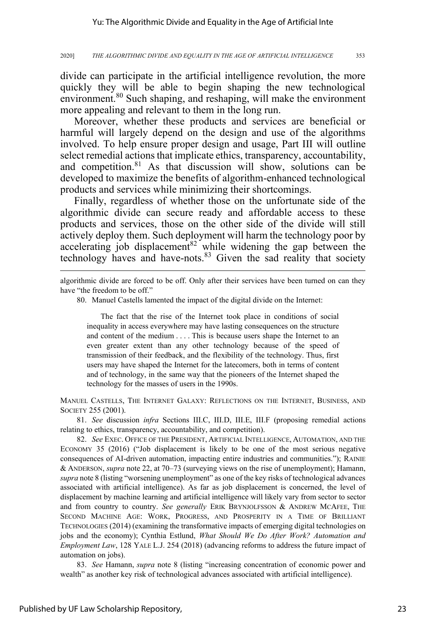divide can participate in the artificial intelligence revolution, the more quickly they will be able to begin shaping the new technological environment.<sup>80</sup> Such shaping, and reshaping, will make the environment more appealing and relevant to them in the long run.

Moreover, whether these products and services are beneficial or harmful will largely depend on the design and use of the algorithms involved. To help ensure proper design and usage, Part III will outline select remedial actions that implicate ethics, transparency, accountability, and competition.<sup>81</sup> As that discussion will show, solutions can be developed to maximize the benefits of algorithm-enhanced technological products and services while minimizing their shortcomings.

Finally, regardless of whether those on the unfortunate side of the algorithmic divide can secure ready and affordable access to these products and services, those on the other side of the divide will still actively deploy them. Such deployment will harm the technology poor by accelerating job displacement<sup>82</sup> while widening the gap between the technology haves and have-nots.<sup>83</sup> Given the sad reality that society

algorithmic divide are forced to be off. Only after their services have been turned on can they have "the freedom to be off."

80. Manuel Castells lamented the impact of the digital divide on the Internet:

The fact that the rise of the Internet took place in conditions of social inequality in access everywhere may have lasting consequences on the structure and content of the medium . . . . This is because users shape the Internet to an even greater extent than any other technology because of the speed of transmission of their feedback, and the flexibility of the technology. Thus, first users may have shaped the Internet for the latecomers, both in terms of content and of technology, in the same way that the pioneers of the Internet shaped the technology for the masses of users in the 1990s.

MANUEL CASTELLS, THE INTERNET GALAXY: REFLECTIONS ON THE INTERNET, BUSINESS, AND SOCIETY 255 (2001).

81. *See* discussion *infra* Sections III.C, III.D, III.E, III.F (proposing remedial actions relating to ethics, transparency, accountability, and competition).

82. *See* EXEC. OFFICE OF THE PRESIDENT, ARTIFICIAL INTELLIGENCE, AUTOMATION, AND THE ECONOMY 35 (2016) ("Job displacement is likely to be one of the most serious negative consequences of AI-driven automation, impacting entire industries and communities."); RAINIE & ANDERSON, *supra* note 22, at 70–73 (surveying views on the rise of unemployment); Hamann, *supra* note 8 (listing "worsening unemployment" as one of the key risks of technological advances associated with artificial intelligence). As far as job displacement is concerned, the level of displacement by machine learning and artificial intelligence will likely vary from sector to sector and from country to country. *See generally* ERIK BRYNJOLFSSON & ANDREW MCAFEE, THE SECOND MACHINE AGE: WORK, PROGRESS, AND PROSPERITY IN A TIME OF BRILLIANT TECHNOLOGIES (2014) (examining the transformative impacts of emerging digital technologies on jobs and the economy); Cynthia Estlund, *What Should We Do After Work? Automation and Employment Law*, 128 YALE L.J. 254 (2018) (advancing reforms to address the future impact of automation on jobs).

83. *See* Hamann, *supra* note 8 (listing "increasing concentration of economic power and wealth" as another key risk of technological advances associated with artificial intelligence).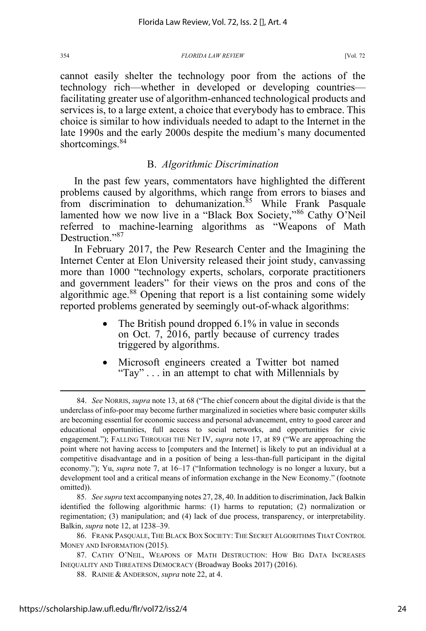cannot easily shelter the technology poor from the actions of the technology rich—whether in developed or developing countries facilitating greater use of algorithm-enhanced technological products and services is, to a large extent, a choice that everybody has to embrace. This choice is similar to how individuals needed to adapt to the Internet in the late 1990s and the early 2000s despite the medium's many documented shortcomings.<sup>84</sup>

### B. *Algorithmic Discrimination*

In the past few years, commentators have highlighted the different problems caused by algorithms, which range from errors to biases and from discrimination to dehumanization. $85$  While Frank Pasquale lamented how we now live in a "Black Box Society,"<sup>86</sup> Cathy O'Neil referred to machine-learning algorithms as "Weapons of Math Destruction."<sup>87</sup>

In February 2017, the Pew Research Center and the Imagining the Internet Center at Elon University released their joint study, canvassing more than 1000 "technology experts, scholars, corporate practitioners and government leaders" for their views on the pros and cons of the algorithmic age.<sup>88</sup> Opening that report is a list containing some widely reported problems generated by seemingly out-of-whack algorithms:

- The British pound dropped 6.1% in value in seconds on Oct. 7, 2016, partly because of currency trades triggered by algorithms.
- Microsoft engineers created a Twitter bot named "Tay" . . . in an attempt to chat with Millennials by

85. *See supra* text accompanying notes 27, 28, 40. In addition to discrimination, Jack Balkin identified the following algorithmic harms: (1) harms to reputation; (2) normalization or regimentation; (3) manipulation; and (4) lack of due process, transparency, or interpretability. Balkin, *supra* note 12, at 1238–39.

<sup>84.</sup> *See* NORRIS, *supra* note 13, at 68 ("The chief concern about the digital divide is that the underclass of info-poor may become further marginalized in societies where basic computer skills are becoming essential for economic success and personal advancement, entry to good career and educational opportunities, full access to social networks, and opportunities for civic engagement."); FALLING THROUGH THE NET IV, *supra* note 17, at 89 ("We are approaching the point where not having access to [computers and the Internet] is likely to put an individual at a competitive disadvantage and in a position of being a less-than-full participant in the digital economy."); Yu, *supra* note 7, at 16–17 ("Information technology is no longer a luxury, but a development tool and a critical means of information exchange in the New Economy." (footnote omitted)).

<sup>86.</sup> FRANK PASQUALE, THE BLACK BOX SOCIETY: THE SECRET ALGORITHMS THAT CONTROL MONEY AND INFORMATION (2015).

<sup>87.</sup> CATHY O'NEIL, WEAPONS OF MATH DESTRUCTION: HOW BIG DATA INCREASES INEQUALITY AND THREATENS DEMOCRACY (Broadway Books 2017) (2016).

<sup>88.</sup> RAINIE & ANDERSON, *supra* note 22, at 4.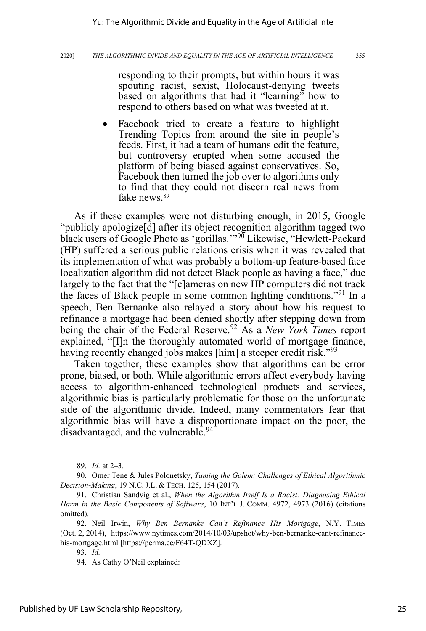responding to their prompts, but within hours it was spouting racist, sexist, Holocaust-denying tweets based on algorithms that had it "learning" how to respond to others based on what was tweeted at it.

Facebook tried to create a feature to highlight Trending Topics from around the site in people's feeds. First, it had a team of humans edit the feature, but controversy erupted when some accused the platform of being biased against conservatives. So, Facebook then turned the job over to algorithms only to find that they could not discern real news from fake news.<sup>89</sup>

As if these examples were not disturbing enough, in 2015, Google "publicly apologize[d] after its object recognition algorithm tagged two black users of Google Photo as 'gorillas.'"<sup>90</sup> Likewise, "Hewlett-Packard (HP) suffered a serious public relations crisis when it was revealed that its implementation of what was probably a bottom-up feature-based face localization algorithm did not detect Black people as having a face," due largely to the fact that the "[c]ameras on new HP computers did not track the faces of Black people in some common lighting conditions."91 In a speech, Ben Bernanke also relayed a story about how his request to refinance a mortgage had been denied shortly after stepping down from being the chair of the Federal Reserve.<sup>92</sup> As a *New York Times* report explained, "[I]n the thoroughly automated world of mortgage finance, having recently changed jobs makes [him] a steeper credit risk."<sup>93</sup>

Taken together, these examples show that algorithms can be error prone, biased, or both. While algorithmic errors affect everybody having access to algorithm-enhanced technological products and services, algorithmic bias is particularly problematic for those on the unfortunate side of the algorithmic divide. Indeed, many commentators fear that algorithmic bias will have a disproportionate impact on the poor, the disadvantaged, and the vulnerable.<sup>94</sup>

<sup>89.</sup> *Id.* at 2–3.

<sup>90.</sup> Omer Tene & Jules Polonetsky, *Taming the Golem: Challenges of Ethical Algorithmic Decision-Making*, 19 N.C.J.L. & TECH. 125, 154 (2017).

<sup>91.</sup> Christian Sandvig et al., *When the Algorithm Itself Is a Racist: Diagnosing Ethical Harm in the Basic Components of Software*, 10 INT'L J. COMM. 4972, 4973 (2016) (citations omitted).

<sup>92.</sup> Neil Irwin, *Why Ben Bernanke Can't Refinance His Mortgage*, N.Y. TIMES (Oct. 2, 2014), https://www.nytimes.com/2014/10/03/upshot/why-ben-bernanke-cant-refinancehis-mortgage.html [https://perma.cc/F64T-QDXZ].

<sup>93.</sup> *Id.*

<sup>94.</sup> As Cathy O'Neil explained: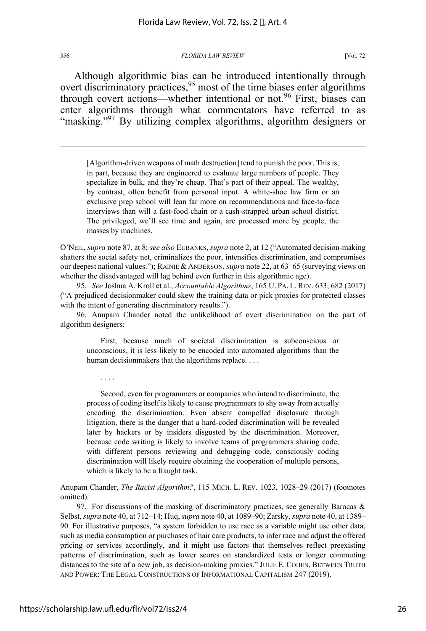Although algorithmic bias can be introduced intentionally through overt discriminatory practices,<sup>95</sup> most of the time biases enter algorithms through covert actions—whether intentional or not.<sup>96</sup> First, biases can enter algorithms through what commentators have referred to as "masking."<sup>97</sup> By utilizing complex algorithms, algorithm designers or

[Algorithm-driven weapons of math destruction] tend to punish the poor. This is, in part, because they are engineered to evaluate large numbers of people. They specialize in bulk, and they're cheap. That's part of their appeal. The wealthy, by contrast, often benefit from personal input. A white-shoe law firm or an exclusive prep school will lean far more on recommendations and face-to-face interviews than will a fast-food chain or a cash-strapped urban school district. The privileged, we'll see time and again, are processed more by people, the masses by machines.

O'NEIL, *supra* note 87, at 8; *see also* EUBANKS, *supra* note 2, at 12 ("Automated decision-making shatters the social safety net, criminalizes the poor, intensifies discrimination, and compromises our deepest national values."); RAINIE & ANDERSON, *supra* note 22, at 63–65 (surveying views on whether the disadvantaged will lag behind even further in this algorithmic age).

95. *See* Joshua A. Kroll et al., *Accountable Algorithms*, 165 U. PA. L. REV. 633, 682 (2017) ("A prejudiced decisionmaker could skew the training data or pick proxies for protected classes with the intent of generating discriminatory results.").

96. Anupam Chander noted the unlikelihood of overt discrimination on the part of algorithm designers:

First, because much of societal discrimination is subconscious or unconscious, it is less likely to be encoded into automated algorithms than the human decisionmakers that the algorithms replace. . . .

. . . .

Second, even for programmers or companies who intend to discriminate, the process of coding itself is likely to cause programmers to shy away from actually encoding the discrimination. Even absent compelled disclosure through litigation, there is the danger that a hard-coded discrimination will be revealed later by hackers or by insiders disgusted by the discrimination. Moreover, because code writing is likely to involve teams of programmers sharing code, with different persons reviewing and debugging code, consciously coding discrimination will likely require obtaining the cooperation of multiple persons, which is likely to be a fraught task.

Anupam Chander, *The Racist Algorithm?*, 115 MICH. L. REV. 1023, 1028–29 (2017) (footnotes omitted).

97. For discussions of the masking of discriminatory practices, see generally Barocas  $\&$ Selbst, *supra* note 40, at 712–14; Huq, *supra* note 40, at 1089–90; Zarsky, *supra* note 40, at 1389– 90. For illustrative purposes, "a system forbidden to use race as a variable might use other data, such as media consumption or purchases of hair care products, to infer race and adjust the offered pricing or services accordingly, and it might use factors that themselves reflect preexisting patterns of discrimination, such as lower scores on standardized tests or longer commuting distances to the site of a new job, as decision-making proxies." JULIE E. COHEN, BETWEEN TRUTH AND POWER: THE LEGAL CONSTRUCTIONS OF INFORMATIONAL CAPITALISM 247 (2019).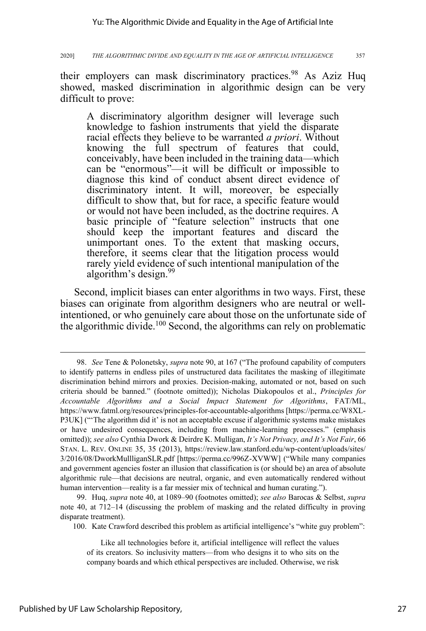their employers can mask discriminatory practices.<sup>98</sup> As Aziz Huq showed, masked discrimination in algorithmic design can be very difficult to prove:

A discriminatory algorithm designer will leverage such knowledge to fashion instruments that yield the disparate racial effects they believe to be warranted *a priori*. Without knowing the full spectrum of features that could, conceivably, have been included in the training data—which can be "enormous"—it will be difficult or impossible to diagnose this kind of conduct absent direct evidence of discriminatory intent. It will, moreover, be especially difficult to show that, but for race, a specific feature would or would not have been included, as the doctrine requires. A basic principle of "feature selection" instructs that one should keep the important features and discard the unimportant ones. To the extent that masking occurs, therefore, it seems clear that the litigation process would rarely yield evidence of such intentional manipulation of the algorithm's design.<sup>99</sup>

Second, implicit biases can enter algorithms in two ways. First, these biases can originate from algorithm designers who are neutral or wellintentioned, or who genuinely care about those on the unfortunate side of the algorithmic divide.<sup>100</sup> Second, the algorithms can rely on problematic

99. Huq, *supra* note 40, at 1089–90 (footnotes omitted); *see also* Barocas & Selbst, *supra* note 40, at 712–14 (discussing the problem of masking and the related difficulty in proving disparate treatment).

100. Kate Crawford described this problem as artificial intelligence's "white guy problem":

<sup>98.</sup> *See* Tene & Polonetsky, *supra* note 90, at 167 ("The profound capability of computers to identify patterns in endless piles of unstructured data facilitates the masking of illegitimate discrimination behind mirrors and proxies. Decision-making, automated or not, based on such criteria should be banned." (footnote omitted)); Nicholas Diakopoulos et al., *Principles for Accountable Algorithms and a Social Impact Statement for Algorithms*, FAT/ML, https://www.fatml.org/resources/principles-for-accountable-algorithms [https://perma.cc/W8XL-P3UK] ("'The algorithm did it' is not an acceptable excuse if algorithmic systems make mistakes or have undesired consequences, including from machine-learning processes." (emphasis omitted)); *see also* Cynthia Dwork & Deirdre K. Mulligan, *It's Not Privacy, and It's Not Fair*, 66 STAN. L. REV. ONLINE 35, 35 (2013), https://review.law.stanford.edu/wp-content/uploads/sites/ 3/2016/08/DworkMullliganSLR.pdf [https://perma.cc/996Z-XVWW] ("While many companies and government agencies foster an illusion that classification is (or should be) an area of absolute algorithmic rule—that decisions are neutral, organic, and even automatically rendered without human intervention—reality is a far messier mix of technical and human curating.").

Like all technologies before it, artificial intelligence will reflect the values of its creators. So inclusivity matters—from who designs it to who sits on the company boards and which ethical perspectives are included. Otherwise, we risk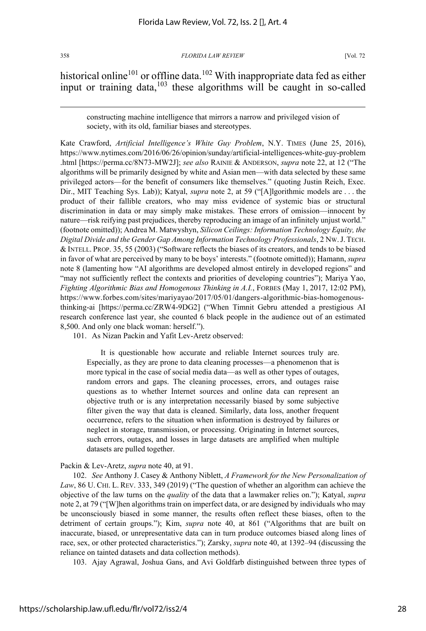historical online<sup>101</sup> or offline data.<sup>102</sup> With inappropriate data fed as either input or training data, 103 these algorithms will be caught in so-called

constructing machine intelligence that mirrors a narrow and privileged vision of society, with its old, familiar biases and stereotypes.

Kate Crawford, *Artificial Intelligence's White Guy Problem*, N.Y. TIMES (June 25, 2016), https://www.nytimes.com/2016/06/26/opinion/sunday/artificial-intelligences-white-guy-problem .html [https://perma.cc/8N73-MW2J]; *see also* RAINIE & ANDERSON, *supra* note 22, at 12 ("The algorithms will be primarily designed by white and Asian men—with data selected by these same privileged actors—for the benefit of consumers like themselves." (quoting Justin Reich, Exec. Dir., MIT Teaching Sys. Lab)); Katyal, *supra* note 2, at 59 ("[A]lgorithmic models are . . . the product of their fallible creators, who may miss evidence of systemic bias or structural discrimination in data or may simply make mistakes. These errors of omission—innocent by nature—risk reifying past prejudices, thereby reproducing an image of an infinitely unjust world." (footnote omitted)); Andrea M. Matwyshyn, *Silicon Ceilings: Information Technology Equity, the Digital Divide and the Gender Gap Among Information Technology Professionals*, 2 NW.J.TECH. & INTELL. PROP. 35, 55 (2003) ("Software reflects the biases of its creators, and tends to be biased in favor of what are perceived by many to be boys' interests." (footnote omitted)); Hamann, *supra* note 8 (lamenting how "AI algorithms are developed almost entirely in developed regions" and "may not sufficiently reflect the contexts and priorities of developing countries"); Mariya Yao, *Fighting Algorithmic Bias and Homogenous Thinking in A.I.*, FORBES (May 1, 2017, 12:02 PM), https://www.forbes.com/sites/mariyayao/2017/05/01/dangers-algorithmic-bias-homogenousthinking-ai [https://perma.cc/ZRW4-9DG2] ("When Timnit Gebru attended a prestigious AI research conference last year, she counted 6 black people in the audience out of an estimated 8,500. And only one black woman: herself.").

101. As Nizan Packin and Yafit Lev-Aretz observed:

It is questionable how accurate and reliable Internet sources truly are. Especially, as they are prone to data cleaning processes—a phenomenon that is more typical in the case of social media data—as well as other types of outages, random errors and gaps. The cleaning processes, errors, and outages raise questions as to whether Internet sources and online data can represent an objective truth or is any interpretation necessarily biased by some subjective filter given the way that data is cleaned. Similarly, data loss, another frequent occurrence, refers to the situation when information is destroyed by failures or neglect in storage, transmission, or processing. Originating in Internet sources, such errors, outages, and losses in large datasets are amplified when multiple datasets are pulled together.

### Packin & Lev-Aretz, *supra* note 40, at 91.

102. *See* Anthony J. Casey & Anthony Niblett, *A Framework for the New Personalization of Law*, 86 U. CHI. L. REV. 333, 349 (2019) ("The question of whether an algorithm can achieve the objective of the law turns on the *quality* of the data that a lawmaker relies on."); Katyal, *supra* note 2, at 79 ("[W]hen algorithms train on imperfect data, or are designed by individuals who may be unconsciously biased in some manner, the results often reflect these biases, often to the detriment of certain groups."); Kim, *supra* note 40, at 861 ("Algorithms that are built on inaccurate, biased, or unrepresentative data can in turn produce outcomes biased along lines of race, sex, or other protected characteristics."); Zarsky, *supra* note 40, at 1392–94 (discussing the reliance on tainted datasets and data collection methods).

103. Ajay Agrawal, Joshua Gans, and Avi Goldfarb distinguished between three types of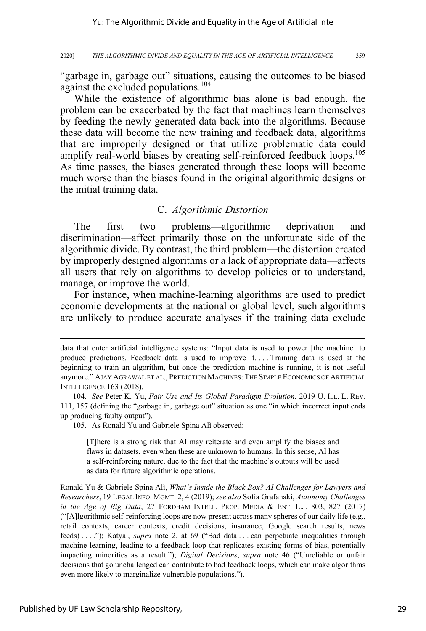"garbage in, garbage out" situations, causing the outcomes to be biased against the excluded populations.<sup>104</sup>

While the existence of algorithmic bias alone is bad enough, the problem can be exacerbated by the fact that machines learn themselves by feeding the newly generated data back into the algorithms. Because these data will become the new training and feedback data, algorithms that are improperly designed or that utilize problematic data could amplify real-world biases by creating self-reinforced feedback loops.<sup>105</sup> As time passes, the biases generated through these loops will become much worse than the biases found in the original algorithmic designs or the initial training data.

### C. *Algorithmic Distortion*

The first two problems—algorithmic deprivation and discrimination—affect primarily those on the unfortunate side of the algorithmic divide. By contrast, the third problem—the distortion created by improperly designed algorithms or a lack of appropriate data—affects all users that rely on algorithms to develop policies or to understand, manage, or improve the world.

For instance, when machine-learning algorithms are used to predict economic developments at the national or global level, such algorithms are unlikely to produce accurate analyses if the training data exclude

105. As Ronald Yu and Gabriele Spina Alì observed:

[T]here is a strong risk that AI may reiterate and even amplify the biases and flaws in datasets, even when these are unknown to humans. In this sense, AI has a self-reinforcing nature, due to the fact that the machine's outputs will be used as data for future algorithmic operations.

Ronald Yu & Gabriele Spina Alì, *What's Inside the Black Box? AI Challenges for Lawyers and Researchers*, 19 LEGAL INFO. MGMT. 2, 4 (2019); *see also* Sofia Grafanaki, *Autonomy Challenges in the Age of Big Data*, 27 FORDHAM INTELL. PROP. MEDIA & ENT. L.J. 803, 827 (2017) ("[A]lgorithmic self-reinforcing loops are now present across many spheres of our daily life (e.g., retail contexts, career contexts, credit decisions, insurance, Google search results, news feeds) . . . ."); Katyal, *supra* note 2, at 69 ("Bad data . . . can perpetuate inequalities through machine learning, leading to a feedback loop that replicates existing forms of bias, potentially impacting minorities as a result."); *Digital Decisions*, *supra* note 46 ("Unreliable or unfair decisions that go unchallenged can contribute to bad feedback loops, which can make algorithms even more likely to marginalize vulnerable populations.").

data that enter artificial intelligence systems: "Input data is used to power [the machine] to produce predictions. Feedback data is used to improve it. . . . Training data is used at the beginning to train an algorithm, but once the prediction machine is running, it is not useful anymore." AJAY AGRAWAL ET AL., PREDICTION MACHINES: THE SIMPLE ECONOMICS OF ARTIFICIAL INTELLIGENCE 163 (2018).

<sup>104.</sup> *See* Peter K. Yu, *Fair Use and Its Global Paradigm Evolution*, 2019 U. ILL. L. REV. 111, 157 (defining the "garbage in, garbage out" situation as one "in which incorrect input ends up producing faulty output").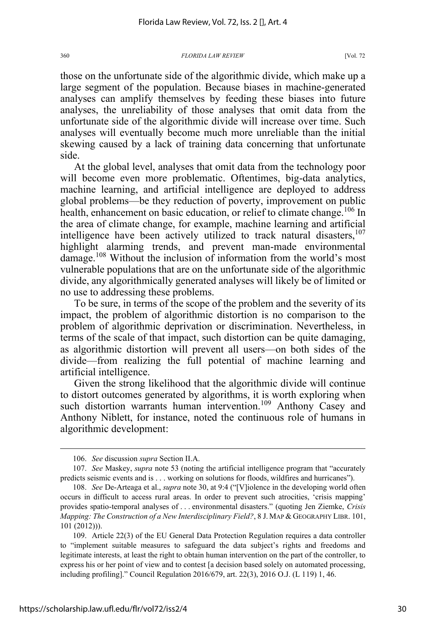those on the unfortunate side of the algorithmic divide, which make up a large segment of the population. Because biases in machine-generated analyses can amplify themselves by feeding these biases into future analyses, the unreliability of those analyses that omit data from the unfortunate side of the algorithmic divide will increase over time. Such analyses will eventually become much more unreliable than the initial skewing caused by a lack of training data concerning that unfortunate side.

At the global level, analyses that omit data from the technology poor will become even more problematic. Oftentimes, big-data analytics, machine learning, and artificial intelligence are deployed to address global problems—be they reduction of poverty, improvement on public health, enhancement on basic education, or relief to climate change.<sup>106</sup> In the area of climate change, for example, machine learning and artificial intelligence have been actively utilized to track natural disasters,<sup>107</sup> highlight alarming trends, and prevent man-made environmental damage.<sup>108</sup> Without the inclusion of information from the world's most vulnerable populations that are on the unfortunate side of the algorithmic divide, any algorithmically generated analyses will likely be of limited or no use to addressing these problems.

To be sure, in terms of the scope of the problem and the severity of its impact, the problem of algorithmic distortion is no comparison to the problem of algorithmic deprivation or discrimination. Nevertheless, in terms of the scale of that impact, such distortion can be quite damaging, as algorithmic distortion will prevent all users—on both sides of the divide—from realizing the full potential of machine learning and artificial intelligence.

Given the strong likelihood that the algorithmic divide will continue to distort outcomes generated by algorithms, it is worth exploring when such distortion warrants human intervention.<sup>109</sup> Anthony Casey and Anthony Niblett, for instance, noted the continuous role of humans in algorithmic development:

<sup>106.</sup> *See* discussion *supra* Section II.A.

<sup>107.</sup> *See* Maskey, *supra* note 53 (noting the artificial intelligence program that "accurately predicts seismic events and is . . . working on solutions for floods, wildfires and hurricanes").

<sup>108.</sup> *See* De-Arteaga et al., *supra* note 30, at 9:4 ("[V]iolence in the developing world often occurs in difficult to access rural areas. In order to prevent such atrocities, 'crisis mapping' provides spatio-temporal analyses of . . . environmental disasters." (quoting Jen Ziemke, *Crisis Mapping: The Construction of a New Interdisciplinary Field?*, 8 J. MAP & GEOGRAPHY LIBR. 101, 101 (2012))).

<sup>109.</sup> Article 22(3) of the EU General Data Protection Regulation requires a data controller to "implement suitable measures to safeguard the data subject's rights and freedoms and legitimate interests, at least the right to obtain human intervention on the part of the controller, to express his or her point of view and to contest [a decision based solely on automated processing, including profiling]." Council Regulation 2016/679, art. 22(3), 2016 O.J. (L 119) 1, 46.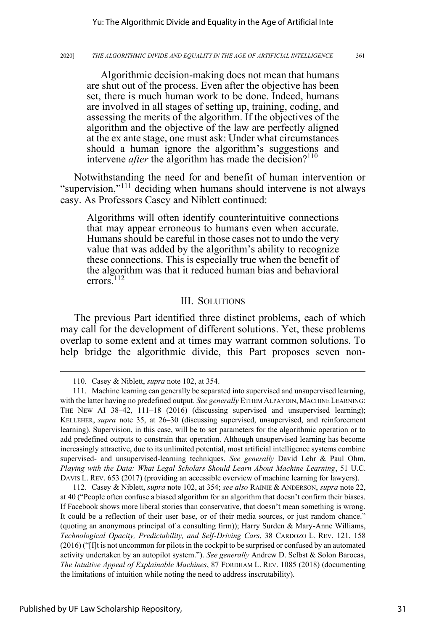Algorithmic decision-making does not mean that humans are shut out of the process. Even after the objective has been set, there is much human work to be done. Indeed, humans are involved in all stages of setting up, training, coding, and assessing the merits of the algorithm. If the objectives of the algorithm and the objective of the law are perfectly aligned at the ex ante stage, one must ask: Under what circumstances should a human ignore the algorithm's suggestions and intervene *after* the algorithm has made the decision?<sup>110</sup>

Notwithstanding the need for and benefit of human intervention or "supervision,"<sup>111</sup> deciding when humans should intervene is not always easy. As Professors Casey and Niblett continued:

Algorithms will often identify counterintuitive connections that may appear erroneous to humans even when accurate. Humans should be careful in those cases not to undo the very value that was added by the algorithm's ability to recognize these connections. This is especially true when the benefit of the algorithm was that it reduced human bias and behavioral errors.<sup>112</sup>

### III. SOLUTIONS

The previous Part identified three distinct problems, each of which may call for the development of different solutions. Yet, these problems overlap to some extent and at times may warrant common solutions. To help bridge the algorithmic divide, this Part proposes seven non-

112. Casey & Niblett, *supra* note 102, at 354; *see also* RAINIE & ANDERSON, *supra* note 22, at 40 ("People often confuse a biased algorithm for an algorithm that doesn't confirm their biases. If Facebook shows more liberal stories than conservative, that doesn't mean something is wrong. It could be a reflection of their user base, or of their media sources, or just random chance." (quoting an anonymous principal of a consulting firm)); Harry Surden & Mary-Anne Williams, *Technological Opacity, Predictability, and Self-Driving Cars*, 38 CARDOZO L. REV. 121, 158 (2016) ("[I]t is not uncommon for pilots in the cockpit to be surprised or confused by an automated activity undertaken by an autopilot system."). *See generally* Andrew D. Selbst & Solon Barocas, *The Intuitive Appeal of Explainable Machines*, 87 FORDHAM L. REV. 1085 (2018) (documenting the limitations of intuition while noting the need to address inscrutability).

<sup>110.</sup> Casey & Niblett, *supra* note 102, at 354.

<sup>111.</sup> Machine learning can generally be separated into supervised and unsupervised learning, with the latter having no predefined output. *See generally* ETHEM ALPAYDIN, MACHINE LEARNING: THE NEW AI 38–42, 111–18 (2016) (discussing supervised and unsupervised learning); KELLEHER, *supra* note 35, at 26–30 (discussing supervised, unsupervised, and reinforcement learning). Supervision, in this case, will be to set parameters for the algorithmic operation or to add predefined outputs to constrain that operation. Although unsupervised learning has become increasingly attractive, due to its unlimited potential, most artificial intelligence systems combine supervised- and unsupervised-learning techniques. *See generally* David Lehr & Paul Ohm, *Playing with the Data: What Legal Scholars Should Learn About Machine Learning*, 51 U.C. DAVIS L. REV. 653 (2017) (providing an accessible overview of machine learning for lawyers).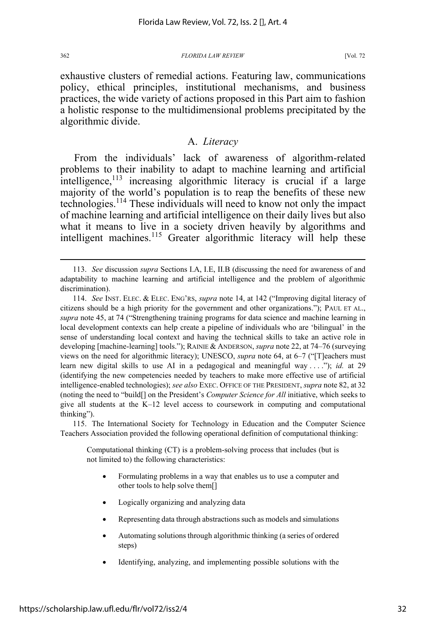exhaustive clusters of remedial actions. Featuring law, communications policy, ethical principles, institutional mechanisms, and business practices, the wide variety of actions proposed in this Part aim to fashion a holistic response to the multidimensional problems precipitated by the algorithmic divide.

### A. *Literacy*

From the individuals' lack of awareness of algorithm-related problems to their inability to adapt to machine learning and artificial  $int$ elligence,<sup>113</sup> increasing algorithmic literacy is crucial if a large majority of the world's population is to reap the benefits of these new technologies.114 These individuals will need to know not only the impact of machine learning and artificial intelligence on their daily lives but also what it means to live in a society driven heavily by algorithms and intelligent machines. $115$  Greater algorithmic literacy will help these

115. The International Society for Technology in Education and the Computer Science Teachers Association provided the following operational definition of computational thinking:

Computational thinking (CT) is a problem-solving process that includes (but is not limited to) the following characteristics:

- Formulating problems in a way that enables us to use a computer and other tools to help solve them[]
- Logically organizing and analyzing data
- Representing data through abstractions such as models and simulations
- Automating solutions through algorithmic thinking (a series of ordered steps)
- Identifying, analyzing, and implementing possible solutions with the

<sup>113.</sup> *See* discussion *supra* Sections I.A, I.E, II.B (discussing the need for awareness of and adaptability to machine learning and artificial intelligence and the problem of algorithmic discrimination).

<sup>114.</sup> *See* INST. ELEC. & ELEC. ENG'RS, *supra* note 14, at 142 ("Improving digital literacy of citizens should be a high priority for the government and other organizations."); PAUL ET AL., *supra* note 45, at 74 ("Strengthening training programs for data science and machine learning in local development contexts can help create a pipeline of individuals who are 'bilingual' in the sense of understanding local context and having the technical skills to take an active role in developing [machine-learning] tools."); RAINIE & ANDERSON, *supra* note 22, at 74–76 (surveying views on the need for algorithmic literacy); UNESCO, *supra* note 64, at 6–7 ("[T]eachers must learn new digital skills to use AI in a pedagogical and meaningful way ...."); *id.* at 29 (identifying the new competencies needed by teachers to make more effective use of artificial intelligence-enabled technologies); *see also* EXEC. OFFICE OF THE PRESIDENT, *supra* note 82, at 32 (noting the need to "build[] on the President's *Computer Science for All* initiative, which seeks to give all students at the K–12 level access to coursework in computing and computational thinking").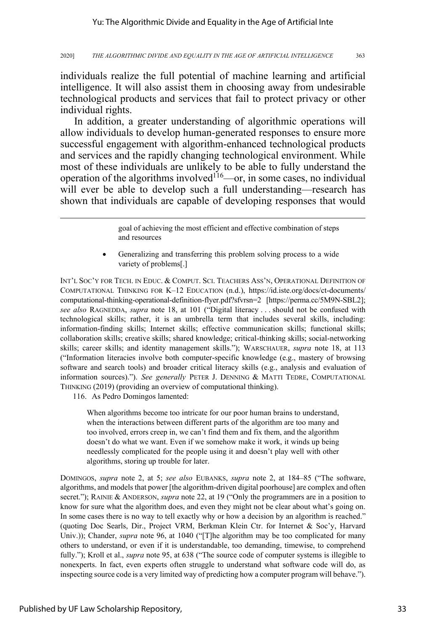individuals realize the full potential of machine learning and artificial intelligence. It will also assist them in choosing away from undesirable technological products and services that fail to protect privacy or other individual rights.

In addition, a greater understanding of algorithmic operations will allow individuals to develop human-generated responses to ensure more successful engagement with algorithm-enhanced technological products and services and the rapidly changing technological environment. While most of these individuals are unlikely to be able to fully understand the operation of the algorithms involved<sup> $116$ </sup>—or, in some cases, no individual will ever be able to develop such a full understanding—research has shown that individuals are capable of developing responses that would

> goal of achieving the most efficient and effective combination of steps and resources

• Generalizing and transferring this problem solving process to a wide variety of problems[.]

INT'L SOC'Y FOR TECH. IN EDUC. & COMPUT. SCI. TEACHERS ASS'N, OPERATIONAL DEFINITION OF COMPUTATIONAL THINKING FOR K–12 EDUCATION (n.d.), https://id.iste.org/docs/ct-documents/ computational-thinking-operational-definition-flyer.pdf?sfvrsn=2 [https://perma.cc/5M9N-SBL2]; *see also* RAGNEDDA, *supra* note 18, at 101 ("Digital literacy . . . should not be confused with technological skills; rather, it is an umbrella term that includes several skills, including: information-finding skills; Internet skills; effective communication skills; functional skills; collaboration skills; creative skills; shared knowledge; critical-thinking skills; social-networking skills; career skills; and identity management skills."); WARSCHAUER, *supra* note 18, at 113 ("Information literacies involve both computer-specific knowledge (e.g., mastery of browsing software and search tools) and broader critical literacy skills (e.g., analysis and evaluation of information sources)."). *See generally* PETER J. DENNING & MATTI TEDRE, COMPUTATIONAL THINKING (2019) (providing an overview of computational thinking).

116. As Pedro Domingos lamented:

When algorithms become too intricate for our poor human brains to understand, when the interactions between different parts of the algorithm are too many and too involved, errors creep in, we can't find them and fix them, and the algorithm doesn't do what we want. Even if we somehow make it work, it winds up being needlessly complicated for the people using it and doesn't play well with other algorithms, storing up trouble for later.

DOMINGOS, *supra* note 2, at 5; *see also* EUBANKS, *supra* note 2, at 184–85 ("The software, algorithms, and models that power [the algorithm-driven digital poorhouse] are complex and often secret."); RAINIE & ANDERSON, *supra* note 22, at 19 ("Only the programmers are in a position to know for sure what the algorithm does, and even they might not be clear about what's going on. In some cases there is no way to tell exactly why or how a decision by an algorithm is reached." (quoting Doc Searls, Dir., Project VRM, Berkman Klein Ctr. for Internet & Soc'y, Harvard Univ.)); Chander, *supra* note 96, at 1040 ("[T]he algorithm may be too complicated for many others to understand, or even if it is understandable, too demanding, timewise, to comprehend fully."); Kroll et al., *supra* note 95, at 638 ("The source code of computer systems is illegible to nonexperts. In fact, even experts often struggle to understand what software code will do, as inspecting source code is a very limited way of predicting how a computer program will behave.").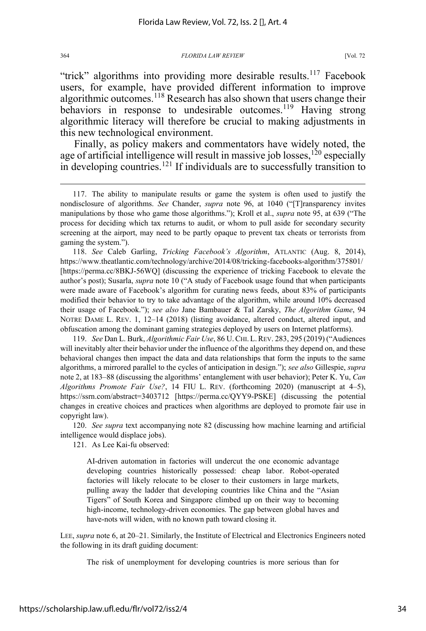"trick" algorithms into providing more desirable results.<sup>117</sup> Facebook users, for example, have provided different information to improve algorithmic outcomes.<sup>118</sup> Research has also shown that users change their behaviors in response to undesirable outcomes.<sup>119</sup> Having strong algorithmic literacy will therefore be crucial to making adjustments in this new technological environment.

Finally, as policy makers and commentators have widely noted, the age of artificial intelligence will result in massive job losses,  $120$  especially in developing countries.<sup>121</sup> If individuals are to successfully transition to

118. *See* Caleb Garling, *Tricking Facebook's Algorithm*, ATLANTIC (Aug. 8, 2014), https://www.theatlantic.com/technology/archive/2014/08/tricking-facebooks-algorithm/375801/ [https://perma.cc/8BKJ-56WQ] (discussing the experience of tricking Facebook to elevate the author's post); Susarla, *supra* note 10 ("A study of Facebook usage found that when participants were made aware of Facebook's algorithm for curating news feeds, about 83% of participants modified their behavior to try to take advantage of the algorithm, while around 10% decreased their usage of Facebook."); *see also* Jane Bambauer & Tal Zarsky, *The Algorithm Game*, 94 NOTRE DAME L. REV. 1, 12–14 (2018) (listing avoidance, altered conduct, altered input, and obfuscation among the dominant gaming strategies deployed by users on Internet platforms).

119. *See* Dan L. Burk, *Algorithmic Fair Use*, 86 U.CHI.L.REV. 283, 295 (2019) ("Audiences will inevitably alter their behavior under the influence of the algorithms they depend on, and these behavioral changes then impact the data and data relationships that form the inputs to the same algorithms, a mirrored parallel to the cycles of anticipation in design."); *see also* Gillespie, *supra* note 2, at 183–88 (discussing the algorithms' entanglement with user behavior); Peter K. Yu, *Can Algorithms Promote Fair Use?*, 14 FIU L. REV. (forthcoming 2020) (manuscript at 4–5), https://ssrn.com/abstract=3403712 [https://perma.cc/QYY9-PSKE] (discussing the potential changes in creative choices and practices when algorithms are deployed to promote fair use in copyright law).

120. *See supra* text accompanying note 82 (discussing how machine learning and artificial intelligence would displace jobs).

121. As Lee Kai-fu observed:

AI-driven automation in factories will undercut the one economic advantage developing countries historically possessed: cheap labor. Robot-operated factories will likely relocate to be closer to their customers in large markets, pulling away the ladder that developing countries like China and the "Asian Tigers" of South Korea and Singapore climbed up on their way to becoming high-income, technology-driven economies. The gap between global haves and have-nots will widen, with no known path toward closing it.

LEE, *supra* note 6, at 20–21. Similarly, the Institute of Electrical and Electronics Engineers noted the following in its draft guiding document:

The risk of unemployment for developing countries is more serious than for

<sup>117.</sup> The ability to manipulate results or game the system is often used to justify the nondisclosure of algorithms. *See* Chander, *supra* note 96, at 1040 ("[T]ransparency invites manipulations by those who game those algorithms."); Kroll et al., *supra* note 95, at 639 ("The process for deciding which tax returns to audit, or whom to pull aside for secondary security screening at the airport, may need to be partly opaque to prevent tax cheats or terrorists from gaming the system.").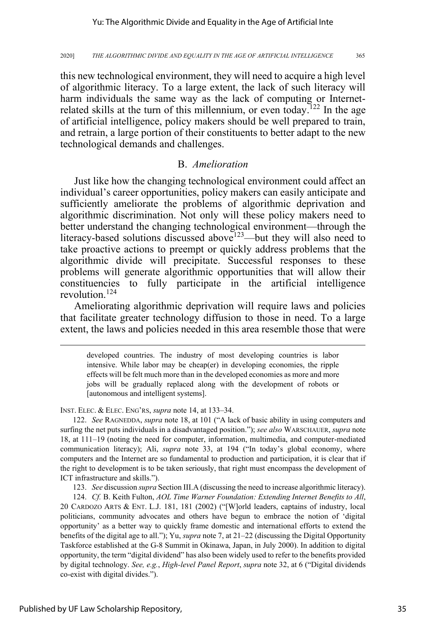this new technological environment, they will need to acquire a high level of algorithmic literacy. To a large extent, the lack of such literacy will harm individuals the same way as the lack of computing or Internetrelated skills at the turn of this millennium, or even today.<sup>122</sup> In the age of artificial intelligence, policy makers should be well prepared to train, and retrain, a large portion of their constituents to better adapt to the new technological demands and challenges.

### B. *Amelioration*

Just like how the changing technological environment could affect an individual's career opportunities, policy makers can easily anticipate and sufficiently ameliorate the problems of algorithmic deprivation and algorithmic discrimination. Not only will these policy makers need to better understand the changing technological environment—through the literacy-based solutions discussed above<sup>123</sup>—but they will also need to take proactive actions to preempt or quickly address problems that the algorithmic divide will precipitate. Successful responses to these problems will generate algorithmic opportunities that will allow their constituencies to fully participate in the artificial intelligence revolution.<sup>124</sup>

Ameliorating algorithmic deprivation will require laws and policies that facilitate greater technology diffusion to those in need. To a large extent, the laws and policies needed in this area resemble those that were

developed countries. The industry of most developing countries is labor intensive. While labor may be cheap(er) in developing economies, the ripple effects will be felt much more than in the developed economies as more and more jobs will be gradually replaced along with the development of robots or [autonomous and intelligent systems].

INST. ELEC. & ELEC. ENG'RS, *supra* note 14, at 133–34.

122. *See* RAGNEDDA, *supra* note 18, at 101 ("A lack of basic ability in using computers and surfing the net puts individuals in a disadvantaged position."); *see also* WARSCHAUER, *supra* note 18, at 111–19 (noting the need for computer, information, multimedia, and computer-mediated communication literacy); Ali, *supra* note 33, at 194 ("In today's global economy, where computers and the Internet are so fundamental to production and participation, it is clear that if the right to development is to be taken seriously, that right must encompass the development of ICT infrastructure and skills.").

123. *See* discussion *supra* Section III.A (discussing the need to increase algorithmic literacy).

124. *Cf.* B. Keith Fulton, *AOL Time Warner Foundation: Extending Internet Benefits to All*, 20 CARDOZO ARTS & ENT. L.J. 181, 181 (2002) ("[W]orld leaders, captains of industry, local politicians, community advocates and others have begun to embrace the notion of 'digital opportunity' as a better way to quickly frame domestic and international efforts to extend the benefits of the digital age to all."); Yu, *supra* note 7, at 21–22 (discussing the Digital Opportunity Taskforce established at the G-8 Summit in Okinawa, Japan, in July 2000). In addition to digital opportunity, the term "digital dividend" has also been widely used to refer to the benefits provided by digital technology. *See, e.g.*, *High-level Panel Report*, *supra* note 32, at 6 ("Digital dividends co-exist with digital divides.").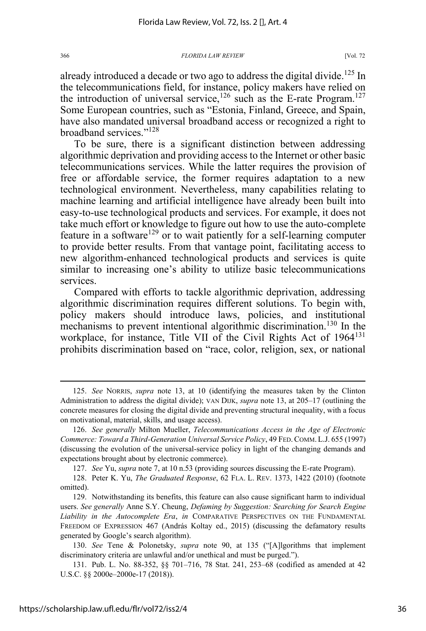already introduced a decade or two ago to address the digital divide.<sup>125</sup> In the telecommunications field, for instance, policy makers have relied on the introduction of universal service,  $126$  such as the E-rate Program.<sup>127</sup> Some European countries, such as "Estonia, Finland, Greece, and Spain, have also mandated universal broadband access or recognized a right to broadband services."<sup>128</sup>

To be sure, there is a significant distinction between addressing algorithmic deprivation and providing access to the Internet or other basic telecommunications services. While the latter requires the provision of free or affordable service, the former requires adaptation to a new technological environment. Nevertheless, many capabilities relating to machine learning and artificial intelligence have already been built into easy-to-use technological products and services. For example, it does not take much effort or knowledge to figure out how to use the auto-complete feature in a software<sup>129</sup> or to wait patiently for a self-learning computer to provide better results. From that vantage point, facilitating access to new algorithm-enhanced technological products and services is quite similar to increasing one's ability to utilize basic telecommunications services.

Compared with efforts to tackle algorithmic deprivation, addressing algorithmic discrimination requires different solutions. To begin with, policy makers should introduce laws, policies, and institutional mechanisms to prevent intentional algorithmic discrimination.<sup>130</sup> In the workplace, for instance, Title VII of the Civil Rights Act of 1964<sup>131</sup> prohibits discrimination based on "race, color, religion, sex, or national

127. *See* Yu, *supra* note 7, at 10 n.53 (providing sources discussing the E-rate Program).

128. Peter K. Yu, *The Graduated Response*, 62 FLA. L. REV. 1373, 1422 (2010) (footnote omitted).

129. Notwithstanding its benefits, this feature can also cause significant harm to individual users. *See generally* Anne S.Y. Cheung, *Defaming by Suggestion: Searching for Search Engine Liability in the Autocomplete Era*, *in* COMPARATIVE PERSPECTIVES ON THE FUNDAMENTAL FREEDOM OF EXPRESSION 467 (András Koltay ed., 2015) (discussing the defamatory results generated by Google's search algorithm).

130. *See* Tene & Polonetsky, *supra* note 90, at 135 ("[A]lgorithms that implement discriminatory criteria are unlawful and/or unethical and must be purged.").

131. Pub. L. No. 88-352, §§ 701–716, 78 Stat. 241, 253–68 (codified as amended at 42 U.S.C. §§ 2000e–2000e-17 (2018)).

<sup>125.</sup> *See* NORRIS, *supra* note 13, at 10 (identifying the measures taken by the Clinton Administration to address the digital divide); VAN DIJK, *supra* note 13, at 205–17 (outlining the concrete measures for closing the digital divide and preventing structural inequality, with a focus on motivational, material, skills, and usage access).

<sup>126.</sup> *See generally* Milton Mueller, *Telecommunications Access in the Age of Electronic Commerce: Toward a Third-Generation Universal Service Policy*, 49 FED.COMM.L.J. 655 (1997) (discussing the evolution of the universal-service policy in light of the changing demands and expectations brought about by electronic commerce).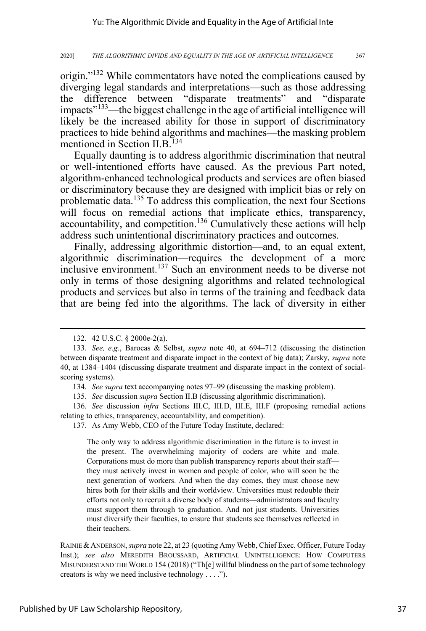origin."<sup>132</sup> While commentators have noted the complications caused by diverging legal standards and interpretations—such as those addressing the difference between "disparate treatments" and "disparate impacts<sup>"133</sup>—the biggest challenge in the age of artificial intelligence will likely be the increased ability for those in support of discriminatory practices to hide behind algorithms and machines—the masking problem mentioned in Section II.B.<sup>134</sup>

Equally daunting is to address algorithmic discrimination that neutral or well-intentioned efforts have caused. As the previous Part noted, algorithm-enhanced technological products and services are often biased or discriminatory because they are designed with implicit bias or rely on problematic data.<sup>135</sup> To address this complication, the next four Sections will focus on remedial actions that implicate ethics, transparency, accountability, and competition.<sup>136</sup> Cumulatively these actions will help address such unintentional discriminatory practices and outcomes.

Finally, addressing algorithmic distortion—and, to an equal extent, algorithmic discrimination—requires the development of a more inclusive environment.<sup>137</sup> Such an environment needs to be diverse not only in terms of those designing algorithms and related technological products and services but also in terms of the training and feedback data that are being fed into the algorithms. The lack of diversity in either

136. *See* discussion *infra* Sections III.C, III.D, III.E, III.F (proposing remedial actions relating to ethics, transparency, accountability, and competition).

137. As Amy Webb, CEO of the Future Today Institute, declared:

The only way to address algorithmic discrimination in the future is to invest in the present. The overwhelming majority of coders are white and male. Corporations must do more than publish transparency reports about their staff they must actively invest in women and people of color, who will soon be the next generation of workers. And when the day comes, they must choose new hires both for their skills and their worldview. Universities must redouble their efforts not only to recruit a diverse body of students—administrators and faculty must support them through to graduation. And not just students. Universities must diversify their faculties, to ensure that students see themselves reflected in their teachers.

RAINIE &ANDERSON, *supra* note 22, at 23 (quoting Amy Webb, Chief Exec. Officer, Future Today Inst.); *see also* MEREDITH BROUSSARD, ARTIFICIAL UNINTELLIGENCE: HOW COMPUTERS MISUNDERSTAND THE WORLD 154 (2018) ("Th[e] willful blindness on the part of some technology creators is why we need inclusive technology . . . .").

<sup>132. 42</sup> U.S.C. § 2000e-2(a).

<sup>133.</sup> *See, e.g.*, Barocas & Selbst, *supra* note 40, at 694–712 (discussing the distinction between disparate treatment and disparate impact in the context of big data); Zarsky, *supra* note 40, at 1384–1404 (discussing disparate treatment and disparate impact in the context of socialscoring systems).

<sup>134.</sup> *See supra* text accompanying notes 97–99 (discussing the masking problem).

<sup>135.</sup> *See* discussion *supra* Section II.B (discussing algorithmic discrimination).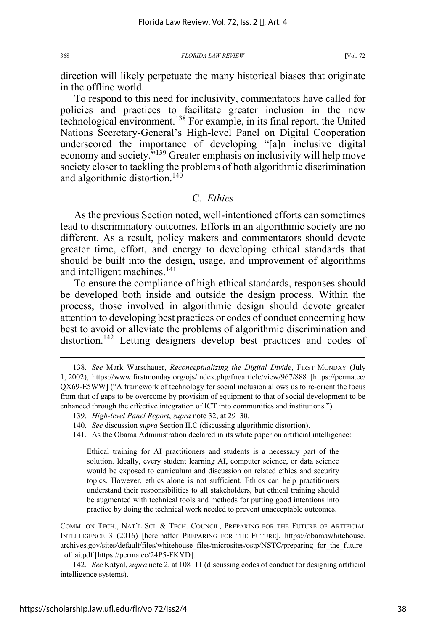direction will likely perpetuate the many historical biases that originate in the offline world.

To respond to this need for inclusivity, commentators have called for policies and practices to facilitate greater inclusion in the new technological environment.138 For example, in its final report, the United Nations Secretary-General's High-level Panel on Digital Cooperation underscored the importance of developing "[a]n inclusive digital economy and society."<sup>139</sup> Greater emphasis on inclusivity will help move society closer to tackling the problems of both algorithmic discrimination and algorithmic distortion.<sup>140</sup>

### C. *Ethics*

As the previous Section noted, well-intentioned efforts can sometimes lead to discriminatory outcomes. Efforts in an algorithmic society are no different. As a result, policy makers and commentators should devote greater time, effort, and energy to developing ethical standards that should be built into the design, usage, and improvement of algorithms and intelligent machines.<sup>141</sup>

To ensure the compliance of high ethical standards, responses should be developed both inside and outside the design process. Within the process, those involved in algorithmic design should devote greater attention to developing best practices or codes of conduct concerning how best to avoid or alleviate the problems of algorithmic discrimination and distortion.<sup>142</sup> Letting designers develop best practices and codes of

Ethical training for AI practitioners and students is a necessary part of the solution. Ideally, every student learning AI, computer science, or data science would be exposed to curriculum and discussion on related ethics and security topics. However, ethics alone is not sufficient. Ethics can help practitioners understand their responsibilities to all stakeholders, but ethical training should be augmented with technical tools and methods for putting good intentions into practice by doing the technical work needed to prevent unacceptable outcomes.

COMM. ON TECH., NAT'L SCI. & TECH. COUNCIL, PREPARING FOR THE FUTURE OF ARTIFICIAL INTELLIGENCE 3 (2016) [hereinafter PREPARING FOR THE FUTURE], https://obamawhitehouse. archives.gov/sites/default/files/whitehouse\_files/microsites/ostp/NSTC/preparing\_for\_the\_future \_of\_ai.pdf [https://perma.cc/24P5-FKYD].

142. *See* Katyal, *supra* note 2, at 108–11 (discussing codes of conduct for designing artificial intelligence systems).

<sup>138.</sup> *See* Mark Warschauer, *Reconceptualizing the Digital Divide*, FIRST MONDAY (July 1, 2002), https://www.firstmonday.org/ojs/index.php/fm/article/view/967/888 [https://perma.cc/ QX69-E5WW] ("A framework of technology for social inclusion allows us to re-orient the focus from that of gaps to be overcome by provision of equipment to that of social development to be enhanced through the effective integration of ICT into communities and institutions.").

<sup>139.</sup> *High-level Panel Report*, *supra* note 32, at 29–30.

<sup>140.</sup> *See* discussion *supra* Section II.C (discussing algorithmic distortion).

<sup>141.</sup> As the Obama Administration declared in its white paper on artificial intelligence: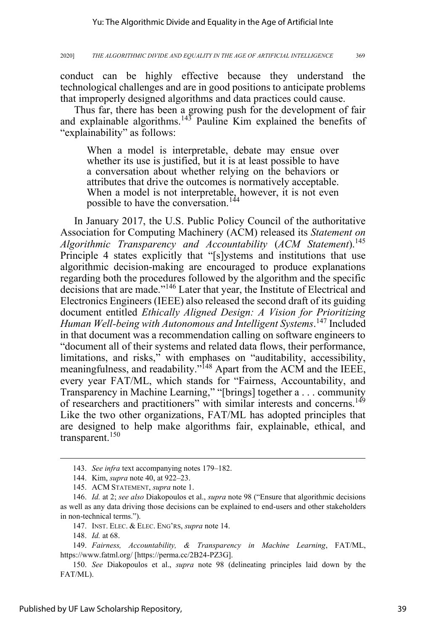conduct can be highly effective because they understand the technological challenges and are in good positions to anticipate problems that improperly designed algorithms and data practices could cause.

Thus far, there has been a growing push for the development of fair and explainable algorithms.<sup>143</sup> Pauline Kim explained the benefits of "explainability" as follows:

When a model is interpretable, debate may ensue over whether its use is justified, but it is at least possible to have a conversation about whether relying on the behaviors or attributes that drive the outcomes is normatively acceptable. When a model is not interpretable, however, it is not even possible to have the conversation.<sup>144</sup>

In January 2017, the U.S. Public Policy Council of the authoritative Association for Computing Machinery (ACM) released its *Statement on Algorithmic Transparency and Accountability* (*ACM Statement*).<sup>145</sup> Principle 4 states explicitly that "[s]ystems and institutions that use algorithmic decision-making are encouraged to produce explanations regarding both the procedures followed by the algorithm and the specific decisions that are made."<sup>146</sup> Later that year, the Institute of Electrical and Electronics Engineers (IEEE) also released the second draft of its guiding document entitled *Ethically Aligned Design: A Vision for Prioritizing Human Well-being with Autonomous and Intelligent Systems*. 147 Included in that document was a recommendation calling on software engineers to "document all of their systems and related data flows, their performance, limitations, and risks," with emphases on "auditability, accessibility, meaningfulness, and readability."<sup>148</sup> Apart from the ACM and the IEEE, every year FAT/ML, which stands for "Fairness, Accountability, and Transparency in Machine Learning," "[brings] together a . . . community of researchers and practitioners" with similar interests and concerns.<sup>149</sup> Like the two other organizations, FAT/ML has adopted principles that are designed to help make algorithms fair, explainable, ethical, and transparent.<sup>150</sup>

<sup>143.</sup> *See infra* text accompanying notes 179–182.

<sup>144.</sup> Kim, *supra* note 40, at 922–23.

<sup>145.</sup> ACM STATEMENT, *supra* note 1.

<sup>146.</sup> *Id.* at 2; *see also* Diakopoulos et al., *supra* note 98 ("Ensure that algorithmic decisions as well as any data driving those decisions can be explained to end-users and other stakeholders in non-technical terms.").

<sup>147.</sup> INST. ELEC. & ELEC. ENG'RS, *supra* note 14.

<sup>148.</sup> *Id.* at 68.

<sup>149.</sup> *Fairness, Accountability, & Transparency in Machine Learning*, FAT/ML, https://www.fatml.org/ [https://perma.cc/2B24-PZ3G].

<sup>150.</sup> *See* Diakopoulos et al., *supra* note 98 (delineating principles laid down by the FAT/ML).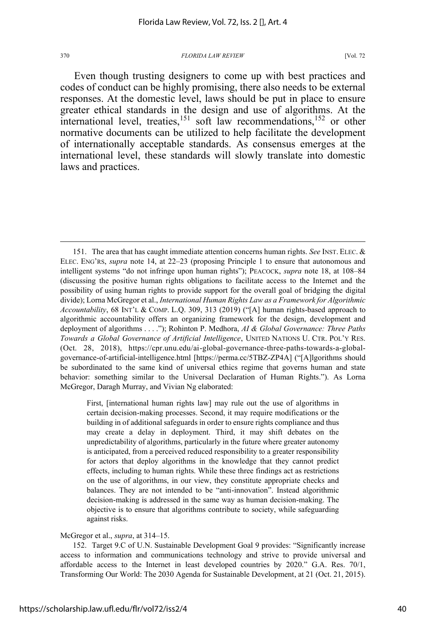Even though trusting designers to come up with best practices and codes of conduct can be highly promising, there also needs to be external responses. At the domestic level, laws should be put in place to ensure greater ethical standards in the design and use of algorithms. At the international level, treaties,<sup>151</sup> soft law recommendations,<sup>152</sup> or other normative documents can be utilized to help facilitate the development of internationally acceptable standards. As consensus emerges at the international level, these standards will slowly translate into domestic laws and practices.

First, [international human rights law] may rule out the use of algorithms in certain decision-making processes. Second, it may require modifications or the building in of additional safeguards in order to ensure rights compliance and thus may create a delay in deployment. Third, it may shift debates on the unpredictability of algorithms, particularly in the future where greater autonomy is anticipated, from a perceived reduced responsibility to a greater responsibility for actors that deploy algorithms in the knowledge that they cannot predict effects, including to human rights. While these three findings act as restrictions on the use of algorithms, in our view, they constitute appropriate checks and balances. They are not intended to be "anti-innovation". Instead algorithmic decision-making is addressed in the same way as human decision-making. The objective is to ensure that algorithms contribute to society, while safeguarding against risks.

### McGregor et al., *supra*, at 314–15.

152. Target 9.C of U.N. Sustainable Development Goal 9 provides: "Significantly increase access to information and communications technology and strive to provide universal and affordable access to the Internet in least developed countries by 2020." G.A. Res. 70/1, Transforming Our World: The 2030 Agenda for Sustainable Development, at 21 (Oct. 21, 2015).

<sup>151.</sup> The area that has caught immediate attention concerns human rights. *See* INST. ELEC. & ELEC. ENG'RS, *supra* note 14, at 22–23 (proposing Principle 1 to ensure that autonomous and intelligent systems "do not infringe upon human rights"); PEACOCK, *supra* note 18, at 108–84 (discussing the positive human rights obligations to facilitate access to the Internet and the possibility of using human rights to provide support for the overall goal of bridging the digital divide); Lorna McGregor et al., *International Human Rights Law as a Framework for Algorithmic Accountability*, 68 INT'L & COMP. L.Q. 309, 313 (2019) ("[A] human rights-based approach to algorithmic accountability offers an organizing framework for the design, development and deployment of algorithms . . . ."); Rohinton P. Medhora, *AI & Global Governance: Three Paths Towards a Global Governance of Artificial Intelligence*, UNITED NATIONS U. CTR. POL'Y RES. (Oct. 28, 2018), https://cpr.unu.edu/ai-global-governance-three-paths-towards-a-globalgovernance-of-artificial-intelligence.html [https://perma.cc/5TBZ-ZP4A] ("[A]lgorithms should be subordinated to the same kind of universal ethics regime that governs human and state behavior: something similar to the Universal Declaration of Human Rights."). As Lorna McGregor, Daragh Murray, and Vivian Ng elaborated: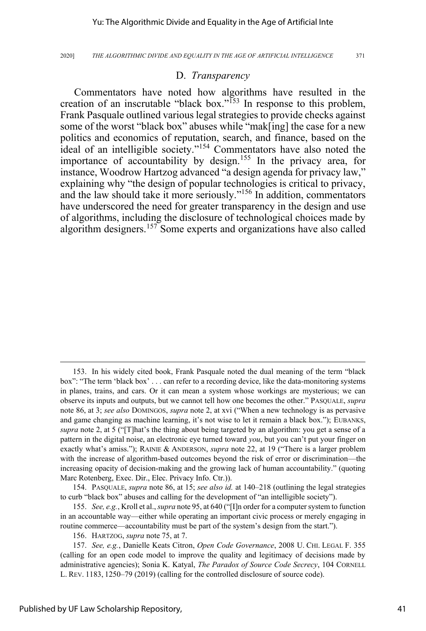### D. *Transparency*

Commentators have noted how algorithms have resulted in the creation of an inscrutable "black box." $\frac{153}{153}$  In response to this problem, Frank Pasquale outlined various legal strategies to provide checks against some of the worst "black box" abuses while "mak[ing] the case for a new politics and economics of reputation, search, and finance, based on the ideal of an intelligible society."<sup>154</sup> Commentators have also noted the importance of accountability by design.<sup>155</sup> In the privacy area, for instance, Woodrow Hartzog advanced "a design agenda for privacy law," explaining why "the design of popular technologies is critical to privacy, and the law should take it more seriously."<sup>156</sup> In addition, commentators have underscored the need for greater transparency in the design and use of algorithms, including the disclosure of technological choices made by algorithm designers.<sup>157</sup> Some experts and organizations have also called

<sup>153.</sup> In his widely cited book, Frank Pasquale noted the dual meaning of the term "black box": "The term 'black box' . . . can refer to a recording device, like the data-monitoring systems in planes, trains, and cars. Or it can mean a system whose workings are mysterious; we can observe its inputs and outputs, but we cannot tell how one becomes the other." PASQUALE, *supra* note 86, at 3; *see also* DOMINGOS, *supra* note 2, at xvi ("When a new technology is as pervasive and game changing as machine learning, it's not wise to let it remain a black box."); EUBANKS, *supra* note 2, at 5 ("[T]hat's the thing about being targeted by an algorithm: you get a sense of a pattern in the digital noise, an electronic eye turned toward *you*, but you can't put your finger on exactly what's amiss."); RAINIE & ANDERSON, *supra* note 22, at 19 ("There is a larger problem with the increase of algorithm-based outcomes beyond the risk of error or discrimination—the increasing opacity of decision-making and the growing lack of human accountability." (quoting Marc Rotenberg, Exec. Dir., Elec. Privacy Info. Ctr.)).

<sup>154.</sup> PASQUALE, *supra* note 86, at 15; *see also id.* at 140–218 (outlining the legal strategies to curb "black box" abuses and calling for the development of "an intelligible society").

<sup>155.</sup> *See, e.g.*, Kroll et al., *supra* note 95, at 640 ("[I]n order for a computer system to function in an accountable way—either while operating an important civic process or merely engaging in routine commerce—accountability must be part of the system's design from the start.").

<sup>156.</sup> HARTZOG, *supra* note 75, at 7.

<sup>157.</sup> *See, e.g.*, Danielle Keats Citron, *Open Code Governance*, 2008 U. CHI. LEGAL F. 355 (calling for an open code model to improve the quality and legitimacy of decisions made by administrative agencies); Sonia K. Katyal, *The Paradox of Source Code Secrecy*, 104 CORNELL L. REV. 1183, 1250–79 (2019) (calling for the controlled disclosure of source code).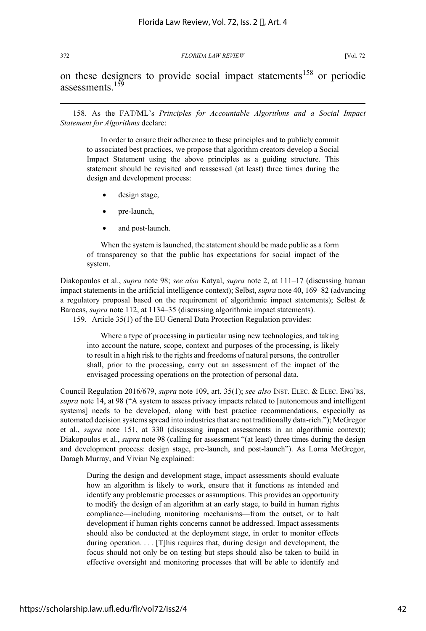on these designers to provide social impact statements<sup>158</sup> or periodic assessments<sup>159</sup>

158. As the FAT/ML's *Principles for Accountable Algorithms and a Social Impact Statement for Algorithms* declare:

In order to ensure their adherence to these principles and to publicly commit to associated best practices, we propose that algorithm creators develop a Social Impact Statement using the above principles as a guiding structure. This statement should be revisited and reassessed (at least) three times during the design and development process:

- design stage,
- pre-launch,
- and post-launch.

When the system is launched, the statement should be made public as a form of transparency so that the public has expectations for social impact of the system.

Diakopoulos et al., *supra* note 98; *see also* Katyal, *supra* note 2, at 111–17 (discussing human impact statements in the artificial intelligence context); Selbst, *supra* note 40, 169–82 (advancing a regulatory proposal based on the requirement of algorithmic impact statements); Selbst & Barocas, *supra* note 112, at 1134–35 (discussing algorithmic impact statements).

159. Article 35(1) of the EU General Data Protection Regulation provides:

Where a type of processing in particular using new technologies, and taking into account the nature, scope, context and purposes of the processing, is likely to result in a high risk to the rights and freedoms of natural persons, the controller shall, prior to the processing, carry out an assessment of the impact of the envisaged processing operations on the protection of personal data.

Council Regulation 2016/679, *supra* note 109, art. 35(1); *see also* INST. ELEC. & ELEC. ENG'RS, *supra* note 14, at 98 ("A system to assess privacy impacts related to [autonomous and intelligent systems] needs to be developed, along with best practice recommendations, especially as automated decision systems spread into industries that are not traditionally data-rich."); McGregor et al., *supra* note 151, at 330 (discussing impact assessments in an algorithmic context); Diakopoulos et al., *supra* note 98 (calling for assessment "(at least) three times during the design and development process: design stage, pre-launch, and post-launch"). As Lorna McGregor, Daragh Murray, and Vivian Ng explained:

During the design and development stage, impact assessments should evaluate how an algorithm is likely to work, ensure that it functions as intended and identify any problematic processes or assumptions. This provides an opportunity to modify the design of an algorithm at an early stage, to build in human rights compliance—including monitoring mechanisms—from the outset, or to halt development if human rights concerns cannot be addressed. Impact assessments should also be conducted at the deployment stage, in order to monitor effects during operation. . . . [T]his requires that, during design and development, the focus should not only be on testing but steps should also be taken to build in effective oversight and monitoring processes that will be able to identify and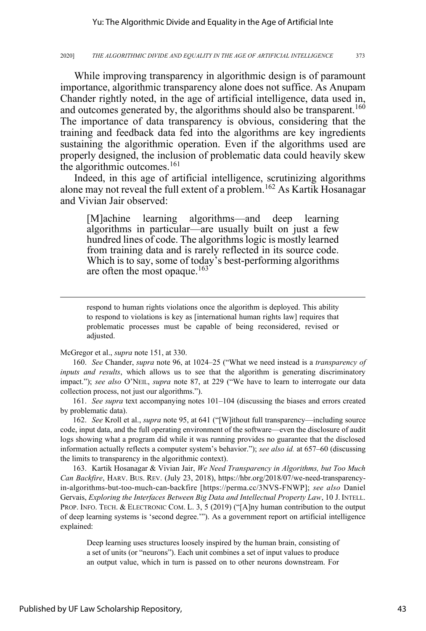While improving transparency in algorithmic design is of paramount importance, algorithmic transparency alone does not suffice. As Anupam Chander rightly noted, in the age of artificial intelligence, data used in, and outcomes generated by, the algorithms should also be transparent.<sup>160</sup> The importance of data transparency is obvious, considering that the training and feedback data fed into the algorithms are key ingredients sustaining the algorithmic operation. Even if the algorithms used are properly designed, the inclusion of problematic data could heavily skew the algorithmic outcomes.<sup>161</sup>

Indeed, in this age of artificial intelligence, scrutinizing algorithms alone may not reveal the full extent of a problem.<sup>162</sup> As Kartik Hosanagar and Vivian Jair observed:

[M]achine learning algorithms—and deep learning algorithms in particular—are usually built on just a few hundred lines of code. The algorithms logic is mostly learned from training data and is rarely reflected in its source code. Which is to say, some of today's best-performing algorithms are often the most opaque.<sup>163</sup>

respond to human rights violations once the algorithm is deployed. This ability to respond to violations is key as [international human rights law] requires that problematic processes must be capable of being reconsidered, revised or adjusted.

McGregor et al., *supra* note 151, at 330.

160. *See* Chander, *supra* note 96, at 1024–25 ("What we need instead is a *transparency of inputs and results*, which allows us to see that the algorithm is generating discriminatory impact."); *see also* O'NEIL, *supra* note 87, at 229 ("We have to learn to interrogate our data collection process, not just our algorithms.").

161. *See supra* text accompanying notes 101–104 (discussing the biases and errors created by problematic data).

162. *See* Kroll et al., *supra* note 95, at 641 ("[W]ithout full transparency—including source code, input data, and the full operating environment of the software—even the disclosure of audit logs showing what a program did while it was running provides no guarantee that the disclosed information actually reflects a computer system's behavior."); *see also id.* at 657–60 (discussing the limits to transparency in the algorithmic context).

163. Kartik Hosanagar & Vivian Jair, *We Need Transparency in Algorithms, but Too Much Can Backfire*, HARV. BUS. REV. (July 23, 2018), https://hbr.org/2018/07/we-need-transparencyin-algorithms-but-too-much-can-backfire [https://perma.cc/3NVS-FNWP]; *see also* Daniel Gervais, *Exploring the Interfaces Between Big Data and Intellectual Property Law*, 10 J. INTELL. PROP. INFO. TECH. & ELECTRONIC COM. L. 3, 5 (2019) ("[A]ny human contribution to the output of deep learning systems is 'second degree.'"). As a government report on artificial intelligence explained:

Deep learning uses structures loosely inspired by the human brain, consisting of a set of units (or "neurons"). Each unit combines a set of input values to produce an output value, which in turn is passed on to other neurons downstream. For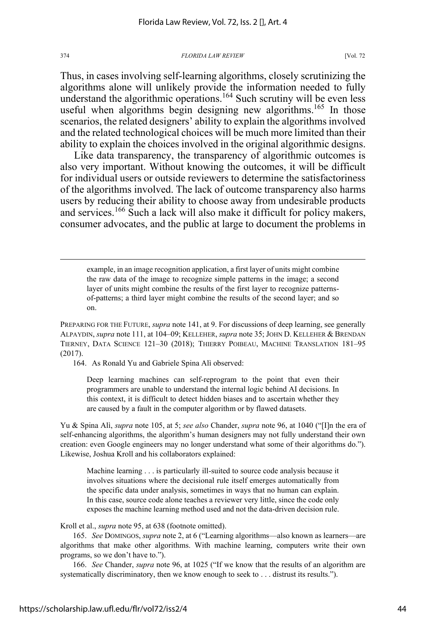Thus, in cases involving self-learning algorithms, closely scrutinizing the algorithms alone will unlikely provide the information needed to fully understand the algorithmic operations.<sup>164</sup> Such scrutiny will be even less useful when algorithms begin designing new algorithms.<sup>165</sup> In those scenarios, the related designers' ability to explain the algorithms involved and the related technological choices will be much more limited than their ability to explain the choices involved in the original algorithmic designs.

Like data transparency, the transparency of algorithmic outcomes is also very important. Without knowing the outcomes, it will be difficult for individual users or outside reviewers to determine the satisfactoriness of the algorithms involved. The lack of outcome transparency also harms users by reducing their ability to choose away from undesirable products and services.<sup>166</sup> Such a lack will also make it difficult for policy makers, consumer advocates, and the public at large to document the problems in

example, in an image recognition application, a first layer of units might combine the raw data of the image to recognize simple patterns in the image; a second layer of units might combine the results of the first layer to recognize patternsof-patterns; a third layer might combine the results of the second layer; and so on.

PREPARING FOR THE FUTURE, *supra* note 141, at 9. For discussions of deep learning, see generally ALPAYDIN, *supra* note 111, at 104–09; KELLEHER, *supra* note 35; JOHN D. KELLEHER & BRENDAN TIERNEY, DATA SCIENCE 121–30 (2018); THIERRY POIBEAU, MACHINE TRANSLATION 181–95 (2017).

164. As Ronald Yu and Gabriele Spina Alì observed:

Deep learning machines can self-reprogram to the point that even their programmers are unable to understand the internal logic behind AI decisions. In this context, it is difficult to detect hidden biases and to ascertain whether they are caused by a fault in the computer algorithm or by flawed datasets.

Yu & Spina Alì, *supra* note 105, at 5; *see also* Chander, *supra* note 96, at 1040 ("[I]n the era of self-enhancing algorithms, the algorithm's human designers may not fully understand their own creation: even Google engineers may no longer understand what some of their algorithms do."). Likewise, Joshua Kroll and his collaborators explained:

Machine learning . . . is particularly ill-suited to source code analysis because it involves situations where the decisional rule itself emerges automatically from the specific data under analysis, sometimes in ways that no human can explain. In this case, source code alone teaches a reviewer very little, since the code only exposes the machine learning method used and not the data-driven decision rule.

Kroll et al., *supra* note 95, at 638 (footnote omitted).

165. *See* DOMINGOS, *supra* note 2, at 6 ("Learning algorithms—also known as learners—are algorithms that make other algorithms. With machine learning, computers write their own programs, so we don't have to.").

166. *See* Chander, *supra* note 96, at 1025 ("If we know that the results of an algorithm are systematically discriminatory, then we know enough to seek to . . . distrust its results.").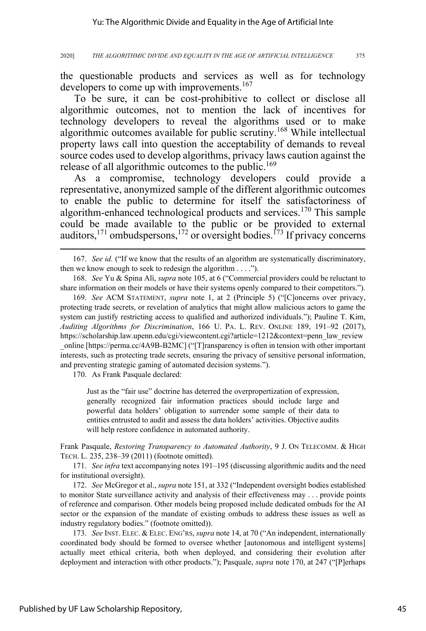the questionable products and services as well as for technology developers to come up with improvements.<sup>167</sup>

To be sure, it can be cost-prohibitive to collect or disclose all algorithmic outcomes, not to mention the lack of incentives for technology developers to reveal the algorithms used or to make algorithmic outcomes available for public scrutiny.<sup>168</sup> While intellectual property laws call into question the acceptability of demands to reveal source codes used to develop algorithms, privacy laws caution against the release of all algorithmic outcomes to the public.<sup>169</sup>

As a compromise, technology developers could provide a representative, anonymized sample of the different algorithmic outcomes to enable the public to determine for itself the satisfactoriness of algorithm-enhanced technological products and services.<sup>170</sup> This sample could be made available to the public or be provided to external auditors,<sup>171</sup> ombudspersons,<sup>172</sup> or oversight bodies.<sup>173</sup> If privacy concerns

170. As Frank Pasquale declared:

Just as the "fair use" doctrine has deterred the overpropertization of expression, generally recognized fair information practices should include large and powerful data holders' obligation to surrender some sample of their data to entities entrusted to audit and assess the data holders' activities. Objective audits will help restore confidence in automated authority.

Frank Pasquale, *Restoring Transparency to Automated Authority*, 9 J. ON TELECOMM. & HIGH TECH. L. 235, 238–39 (2011) (footnote omitted).

171. *See infra* text accompanying notes 191–195 (discussing algorithmic audits and the need for institutional oversight).

172. *See* McGregor et al., *supra* note 151, at 332 ("Independent oversight bodies established to monitor State surveillance activity and analysis of their effectiveness may . . . provide points of reference and comparison. Other models being proposed include dedicated ombuds for the AI sector or the expansion of the mandate of existing ombuds to address these issues as well as industry regulatory bodies." (footnote omitted)).

173. *See* INST. ELEC. & ELEC. ENG'RS, *supra* note 14, at 70 ("An independent, internationally coordinated body should be formed to oversee whether [autonomous and intelligent systems] actually meet ethical criteria, both when deployed, and considering their evolution after deployment and interaction with other products."); Pasquale, *supra* note 170, at 247 ("[P]erhaps

<sup>167.</sup> *See id.* ("If we know that the results of an algorithm are systematically discriminatory, then we know enough to seek to redesign the algorithm . . . .").

<sup>168.</sup> *See* Yu & Spina Alì, *supra* note 105, at 6 ("Commercial providers could be reluctant to share information on their models or have their systems openly compared to their competitors.").

<sup>169.</sup> *See* ACM STATEMENT, *supra* note 1, at 2 (Principle 5) ("[C]oncerns over privacy, protecting trade secrets, or revelation of analytics that might allow malicious actors to game the system can justify restricting access to qualified and authorized individuals."); Pauline T. Kim, *Auditing Algorithms for Discrimination*, 166 U. PA. L. REV. ONLINE 189, 191–92 (2017), https://scholarship.law.upenn.edu/cgi/viewcontent.cgi?article=1212&context=penn\_law\_review \_online [https://perma.cc/4A9B-B2MC] ("[T]ransparency is often in tension with other important interests, such as protecting trade secrets, ensuring the privacy of sensitive personal information, and preventing strategic gaming of automated decision systems.").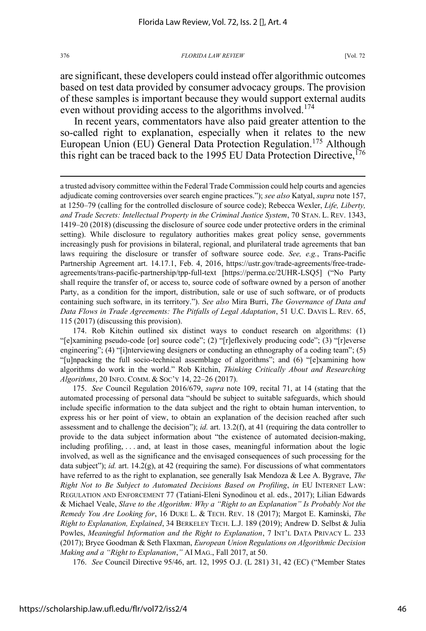are significant, these developers could instead offer algorithmic outcomes based on test data provided by consumer advocacy groups. The provision of these samples is important because they would support external audits even without providing access to the algorithms involved.<sup>174</sup>

In recent years, commentators have also paid greater attention to the so-called right to explanation, especially when it relates to the new European Union (EU) General Data Protection Regulation.<sup>175</sup> Although this right can be traced back to the 1995 EU Data Protection Directive,  $^{176}$ 

a trusted advisory committee within the Federal Trade Commission could help courts and agencies adjudicate coming controversies over search engine practices."); *see also* Katyal, *supra* note 157, at 1250–79 (calling for the controlled disclosure of source code); Rebecca Wexler, *Life, Liberty, and Trade Secrets: Intellectual Property in the Criminal Justice System*, 70 STAN. L. REV. 1343, 1419–20 (2018) (discussing the disclosure of source code under protective orders in the criminal setting). While disclosure to regulatory authorities makes great policy sense, governments increasingly push for provisions in bilateral, regional, and plurilateral trade agreements that ban laws requiring the disclosure or transfer of software source code. *See, e.g.*, Trans-Pacific Partnership Agreement art. 14.17.1, Feb. 4, 2016, https://ustr.gov/trade-agreements/free-tradeagreements/trans-pacific-partnership/tpp-full-text [https://perma.cc/2UHR-LSQ5] ("No Party shall require the transfer of, or access to, source code of software owned by a person of another Party, as a condition for the import, distribution, sale or use of such software, or of products containing such software, in its territory."). *See also* Mira Burri, *The Governance of Data and Data Flows in Trade Agreements: The Pitfalls of Legal Adaptation*, 51 U.C. DAVIS L. REV. 65, 115 (2017) (discussing this provision).

174. Rob Kitchin outlined six distinct ways to conduct research on algorithms: (1) "[e]xamining pseudo-code [or] source code"; (2) "[r]eflexively producing code"; (3) "[r]everse engineering"; (4) "[i]nterviewing designers or conducting an ethnography of a coding team"; (5) "[u]npacking the full socio-technical assemblage of algorithms"; and (6) "[e]xamining how algorithms do work in the world." Rob Kitchin, *Thinking Critically About and Researching Algorithms*, 20 INFO. COMM. & SOC'Y 14, 22–26 (2017).

175. *See* Council Regulation 2016/679, *supra* note 109, recital 71, at 14 (stating that the automated processing of personal data "should be subject to suitable safeguards, which should include specific information to the data subject and the right to obtain human intervention, to express his or her point of view, to obtain an explanation of the decision reached after such assessment and to challenge the decision"); *id.* art. 13.2(f), at 41 (requiring the data controller to provide to the data subject information about "the existence of automated decision-making, including profiling, . . . and, at least in those cases, meaningful information about the logic involved, as well as the significance and the envisaged consequences of such processing for the data subject"); *id.* art. 14.2(g), at 42 (requiring the same). For discussions of what commentators have referred to as the right to explanation, see generally Isak Mendoza & Lee A. Bygrave, *The Right Not to Be Subject to Automated Decisions Based on Profiling*, *in* EU INTERNET LAW: REGULATION AND ENFORCEMENT 77 (Tatiani-Eleni Synodinou et al. eds., 2017); Lilian Edwards & Michael Veale, *Slave to the Algorithm: Why a "Right to an Explanation" Is Probably Not the Remedy You Are Looking for*, 16 DUKE L. & TECH. REV. 18 (2017); Margot E. Kaminski, *The Right to Explanation, Explained*, 34 BERKELEY TECH. L.J. 189 (2019); Andrew D. Selbst & Julia Powles, *Meaningful Information and the Right to Explanation*, 7 INT'L DATA PRIVACY L. 233 (2017); Bryce Goodman & Seth Flaxman, *European Union Regulations on Algorithmic Decision Making and a "Right to Explanation*,*"* AI MAG., Fall 2017, at 50.

176. *See* Council Directive 95/46, art. 12, 1995 O.J. (L 281) 31, 42 (EC) ("Member States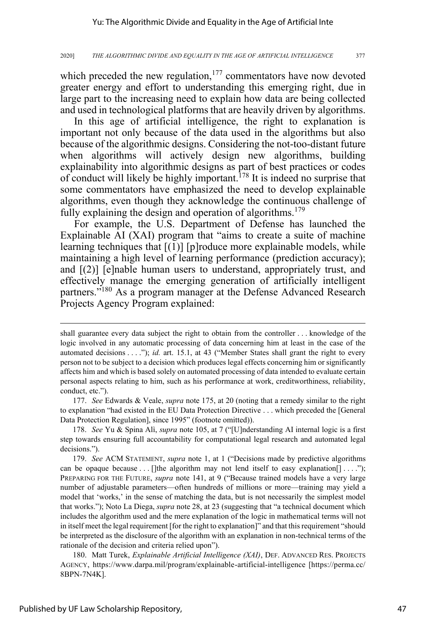which preceded the new regulation, $177$  commentators have now devoted greater energy and effort to understanding this emerging right, due in large part to the increasing need to explain how data are being collected and used in technological platforms that are heavily driven by algorithms.

In this age of artificial intelligence, the right to explanation is important not only because of the data used in the algorithms but also because of the algorithmic designs. Considering the not-too-distant future when algorithms will actively design new algorithms, building explainability into algorithmic designs as part of best practices or codes of conduct will likely be highly important.<sup>178</sup> It is indeed no surprise that some commentators have emphasized the need to develop explainable algorithms, even though they acknowledge the continuous challenge of fully explaining the design and operation of algorithms.<sup>179</sup>

For example, the U.S. Department of Defense has launched the Explainable AI (XAI) program that "aims to create a suite of machine learning techniques that  $[(1)]$  [p]roduce more explainable models, while maintaining a high level of learning performance (prediction accuracy); and  $[(2)]$  [e]nable human users to understand, appropriately trust, and effectively manage the emerging generation of artificially intelligent partners."<sup>180</sup> As a program manager at the Defense Advanced Research Projects Agency Program explained:

177. *See* Edwards & Veale, *supra* note 175, at 20 (noting that a remedy similar to the right to explanation "had existed in the EU Data Protection Directive . . . which preceded the [General Data Protection Regulation], since 1995" (footnote omitted)).

178. *See* Yu & Spina Alì, *supra* note 105, at 7 ("[U]nderstanding AI internal logic is a first step towards ensuring full accountability for computational legal research and automated legal decisions.").

179. *See* ACM STATEMENT, *supra* note 1, at 1 ("Decisions made by predictive algorithms can be opaque because . . . []the algorithm may not lend itself to easy explanation  $[$ ] . . . ."); PREPARING FOR THE FUTURE, *supra* note 141, at 9 ("Because trained models have a very large number of adjustable parameters—often hundreds of millions or more—training may yield a model that 'works,' in the sense of matching the data, but is not necessarily the simplest model that works."); Noto La Diega, *supra* note 28, at 23 (suggesting that "a technical document which includes the algorithm used and the mere explanation of the logic in mathematical terms will not in itself meet the legal requirement [for the right to explanation]" and that this requirement "should be interpreted as the disclosure of the algorithm with an explanation in non-technical terms of the rationale of the decision and criteria relied upon").

180. Matt Turek, *Explainable Artificial Intelligence (XAI)*, DEF. ADVANCED RES. PROJECTS AGENCY, https://www.darpa.mil/program/explainable-artificial-intelligence [https://perma.cc/ 8BPN-7N4K].

shall guarantee every data subject the right to obtain from the controller . . . knowledge of the logic involved in any automatic processing of data concerning him at least in the case of the automated decisions . . . ."); *id.* art. 15.1, at 43 ("Member States shall grant the right to every person not to be subject to a decision which produces legal effects concerning him or significantly affects him and which is based solely on automated processing of data intended to evaluate certain personal aspects relating to him, such as his performance at work, creditworthiness, reliability, conduct, etc.").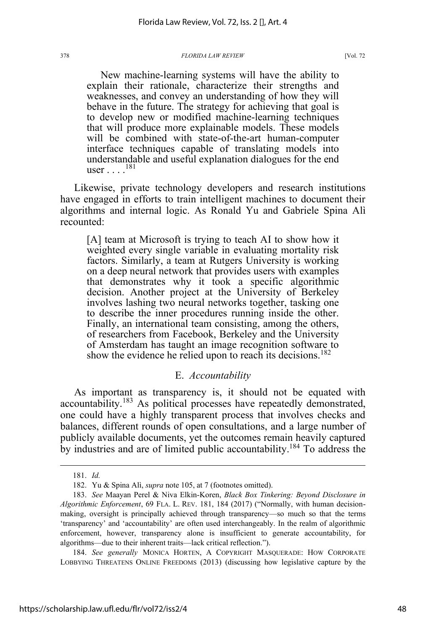New machine-learning systems will have the ability to explain their rationale, characterize their strengths and weaknesses, and convey an understanding of how they will behave in the future. The strategy for achieving that goal is to develop new or modified machine-learning techniques that will produce more explainable models. These models will be combined with state-of-the-art human-computer interface techniques capable of translating models into understandable and useful explanation dialogues for the end user . . . .<sup>181</sup>

Likewise, private technology developers and research institutions have engaged in efforts to train intelligent machines to document their algorithms and internal logic. As Ronald Yu and Gabriele Spina Alì recounted:

[A] team at Microsoft is trying to teach AI to show how it weighted every single variable in evaluating mortality risk factors. Similarly, a team at Rutgers University is working on a deep neural network that provides users with examples that demonstrates why it took a specific algorithmic decision. Another project at the University of Berkeley involves lashing two neural networks together, tasking one to describe the inner procedures running inside the other. Finally, an international team consisting, among the others, of researchers from Facebook, Berkeley and the University of Amsterdam has taught an image recognition software to show the evidence he relied upon to reach its decisions.<sup>182</sup>

### E. *Accountability*

As important as transparency is, it should not be equated with accountability.<sup>183</sup> As political processes have repeatedly demonstrated, one could have a highly transparent process that involves checks and balances, different rounds of open consultations, and a large number of publicly available documents, yet the outcomes remain heavily captured by industries and are of limited public accountability.<sup>184</sup> To address the

<sup>181.</sup> *Id.*

<sup>182.</sup> Yu & Spina Alì, *supra* note 105, at 7 (footnotes omitted).

<sup>183.</sup> *See* Maayan Perel & Niva Elkin-Koren, *Black Box Tinkering: Beyond Disclosure in Algorithmic Enforcement*, 69 FLA. L. REV. 181, 184 (2017) ("Normally, with human decisionmaking, oversight is principally achieved through transparency—so much so that the terms 'transparency' and 'accountability' are often used interchangeably. In the realm of algorithmic enforcement, however, transparency alone is insufficient to generate accountability, for algorithms—due to their inherent traits—lack critical reflection.").

<sup>184.</sup> *See generally* MONICA HORTEN, A COPYRIGHT MASQUERADE: HOW CORPORATE LOBBYING THREATENS ONLINE FREEDOMS (2013) (discussing how legislative capture by the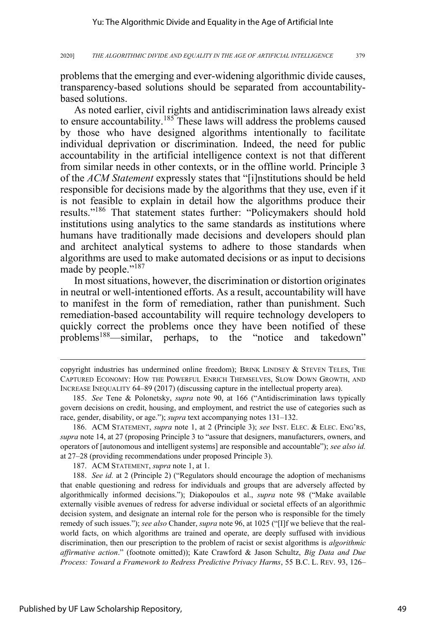problems that the emerging and ever-widening algorithmic divide causes, transparency-based solutions should be separated from accountabilitybased solutions.

As noted earlier, civil rights and antidiscrimination laws already exist to ensure accountability.185 These laws will address the problems caused by those who have designed algorithms intentionally to facilitate individual deprivation or discrimination. Indeed, the need for public accountability in the artificial intelligence context is not that different from similar needs in other contexts, or in the offline world. Principle 3 of the *ACM Statement* expressly states that "[i]nstitutions should be held responsible for decisions made by the algorithms that they use, even if it is not feasible to explain in detail how the algorithms produce their results."<sup>186</sup> That statement states further: "Policymakers should hold institutions using analytics to the same standards as institutions where humans have traditionally made decisions and developers should plan and architect analytical systems to adhere to those standards when algorithms are used to make automated decisions or as input to decisions made by people."<sup>187</sup>

In most situations, however, the discrimination or distortion originates in neutral or well-intentioned efforts. As a result, accountability will have to manifest in the form of remediation, rather than punishment. Such remediation-based accountability will require technology developers to quickly correct the problems once they have been notified of these problems<sup>188</sup>—similar, perhaps, to the "notice and takedown"

copyright industries has undermined online freedom); BRINK LINDSEY & STEVEN TELES, THE CAPTURED ECONOMY: HOW THE POWERFUL ENRICH THEMSELVES, SLOW DOWN GROWTH, AND INCREASE INEQUALITY 64–89 (2017) (discussing capture in the intellectual property area).

<sup>185.</sup> *See* Tene & Polonetsky, *supra* note 90, at 166 ("Antidiscrimination laws typically govern decisions on credit, housing, and employment, and restrict the use of categories such as race, gender, disability, or age."); *supra* text accompanying notes 131–132.

<sup>186.</sup> ACM STATEMENT, *supra* note 1, at 2 (Principle 3); *see* INST. ELEC. & ELEC. ENG'RS, *supra* note 14, at 27 (proposing Principle 3 to "assure that designers, manufacturers, owners, and operators of [autonomous and intelligent systems] are responsible and accountable"); *see also id.* at 27–28 (providing recommendations under proposed Principle 3).

<sup>187.</sup> ACM STATEMENT, *supra* note 1, at 1.

<sup>188.</sup> *See id.* at 2 (Principle 2) ("Regulators should encourage the adoption of mechanisms that enable questioning and redress for individuals and groups that are adversely affected by algorithmically informed decisions."); Diakopoulos et al., *supra* note 98 ("Make available externally visible avenues of redress for adverse individual or societal effects of an algorithmic decision system, and designate an internal role for the person who is responsible for the timely remedy of such issues."); *see also* Chander, *supra* note 96, at 1025 ("[I]f we believe that the realworld facts, on which algorithms are trained and operate, are deeply suffused with invidious discrimination, then our prescription to the problem of racist or sexist algorithms is *algorithmic affirmative action*." (footnote omitted)); Kate Crawford & Jason Schultz, *Big Data and Due Process: Toward a Framework to Redress Predictive Privacy Harms*, 55 B.C. L. REV. 93, 126–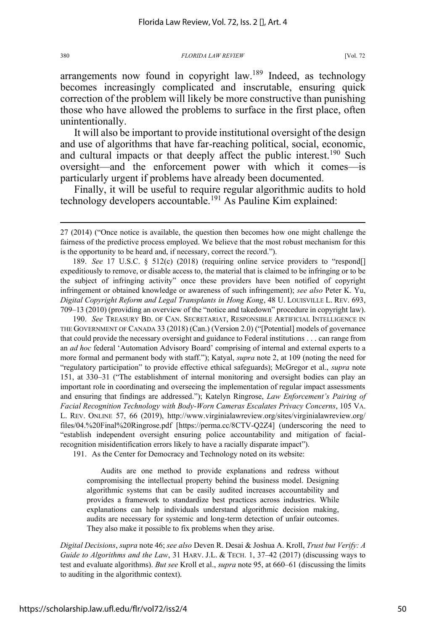arrangements now found in copyright law.<sup>189</sup> Indeed, as technology becomes increasingly complicated and inscrutable, ensuring quick correction of the problem will likely be more constructive than punishing those who have allowed the problems to surface in the first place, often unintentionally.

It will also be important to provide institutional oversight of the design and use of algorithms that have far-reaching political, social, economic, and cultural impacts or that deeply affect the public interest.<sup>190</sup> Such oversight—and the enforcement power with which it comes—is particularly urgent if problems have already been documented.

Finally, it will be useful to require regular algorithmic audits to hold technology developers accountable.<sup>191</sup> As Pauline Kim explained:

190. *See* TREASURY BD. OF CAN. SECRETARIAT, RESPONSIBLE ARTIFICIAL INTELLIGENCE IN THE GOVERNMENT OF CANADA 33 (2018) (Can.) (Version 2.0) ("[Potential] models of governance that could provide the necessary oversight and guidance to Federal institutions . . . can range from an *ad hoc* federal 'Automation Advisory Board' comprising of internal and external experts to a more formal and permanent body with staff."); Katyal, *supra* note 2, at 109 (noting the need for "regulatory participation" to provide effective ethical safeguards); McGregor et al., *supra* note 151, at 330–31 ("The establishment of internal monitoring and oversight bodies can play an important role in coordinating and overseeing the implementation of regular impact assessments and ensuring that findings are addressed."); Katelyn Ringrose, *Law Enforcement's Pairing of Facial Recognition Technology with Body-Worn Cameras Escalates Privacy Concerns*, 105 VA. L. REV. ONLINE 57, 66 (2019), http://www.virginialawreview.org/sites/virginialawreview.org/ files/04.%20Final%20Ringrose.pdf [https://perma.cc/8CTV-Q2Z4] (underscoring the need to "establish independent oversight ensuring police accountability and mitigation of facialrecognition misidentification errors likely to have a racially disparate impact").

191. As the Center for Democracy and Technology noted on its website:

Audits are one method to provide explanations and redress without compromising the intellectual property behind the business model. Designing algorithmic systems that can be easily audited increases accountability and provides a framework to standardize best practices across industries. While explanations can help individuals understand algorithmic decision making, audits are necessary for systemic and long-term detection of unfair outcomes. They also make it possible to fix problems when they arise.

*Digital Decisions*, *supra* note 46; *see also* Deven R. Desai & Joshua A. Kroll, *Trust but Verify: A Guide to Algorithms and the Law*, 31 HARV. J.L. & TECH. 1, 37–42 (2017) (discussing ways to test and evaluate algorithms). *But see* Kroll et al., *supra* note 95, at 660–61 (discussing the limits to auditing in the algorithmic context).

<sup>27 (2014) (&</sup>quot;Once notice is available, the question then becomes how one might challenge the fairness of the predictive process employed. We believe that the most robust mechanism for this is the opportunity to be heard and, if necessary, correct the record.").

<sup>189.</sup> *See* 17 U.S.C. § 512(c) (2018) (requiring online service providers to "respond[] expeditiously to remove, or disable access to, the material that is claimed to be infringing or to be the subject of infringing activity" once these providers have been notified of copyright infringement or obtained knowledge or awareness of such infringement); *see also* Peter K. Yu, *Digital Copyright Reform and Legal Transplants in Hong Kong*, 48 U. LOUISVILLE L. REV. 693, 709–13 (2010) (providing an overview of the "notice and takedown" procedure in copyright law).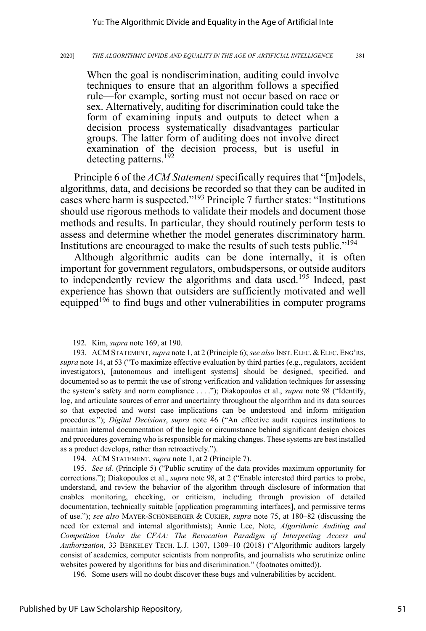When the goal is nondiscrimination, auditing could involve techniques to ensure that an algorithm follows a specified rule—for example, sorting must not occur based on race or sex. Alternatively, auditing for discrimination could take the form of examining inputs and outputs to detect when a decision process systematically disadvantages particular groups. The latter form of auditing does not involve direct examination of the decision process, but is useful in detecting patterns.<sup>192</sup>

Principle 6 of the *ACM Statement* specifically requires that "[m]odels, algorithms, data, and decisions be recorded so that they can be audited in cases where harm is suspected."193 Principle 7 further states: "Institutions should use rigorous methods to validate their models and document those methods and results. In particular, they should routinely perform tests to assess and determine whether the model generates discriminatory harm. Institutions are encouraged to make the results of such tests public."<sup>194</sup>

Although algorithmic audits can be done internally, it is often important for government regulators, ombudspersons, or outside auditors to independently review the algorithms and data used.<sup>195</sup> Indeed, past experience has shown that outsiders are sufficiently motivated and well equipped<sup>196</sup> to find bugs and other vulnerabilities in computer programs

<sup>192.</sup> Kim, *supra* note 169, at 190.

<sup>193.</sup> ACM STATEMENT, *supra* note 1, at 2 (Principle 6); *see also* INST. ELEC. & ELEC. ENG'RS, *supra* note 14, at 53 ("To maximize effective evaluation by third parties (e.g., regulators, accident investigators), [autonomous and intelligent systems] should be designed, specified, and documented so as to permit the use of strong verification and validation techniques for assessing the system's safety and norm compliance . . . ."); Diakopoulos et al., *supra* note 98 ("Identify, log, and articulate sources of error and uncertainty throughout the algorithm and its data sources so that expected and worst case implications can be understood and inform mitigation procedures."); *Digital Decisions*, *supra* note 46 ("An effective audit requires institutions to maintain internal documentation of the logic or circumstance behind significant design choices and procedures governing who is responsible for making changes. These systems are best installed as a product develops, rather than retroactively.").

<sup>194.</sup> ACM STATEMENT, *supra* note 1, at 2 (Principle 7).

<sup>195.</sup> *See id.* (Principle 5) ("Public scrutiny of the data provides maximum opportunity for corrections."); Diakopoulos et al., *supra* note 98, at 2 ("Enable interested third parties to probe, understand, and review the behavior of the algorithm through disclosure of information that enables monitoring, checking, or criticism, including through provision of detailed documentation, technically suitable [application programming interfaces], and permissive terms of use."); *see also* MAYER-SCHÖNBERGER & CUKIER, *supra* note 75, at 180–82 (discussing the need for external and internal algorithmists); Annie Lee, Note, *Algorithmic Auditing and Competition Under the CFAA: The Revocation Paradigm of Interpreting Access and Authorization*, 33 BERKELEY TECH. L.J. 1307, 1309–10 (2018) ("Algorithmic auditors largely consist of academics, computer scientists from nonprofits, and journalists who scrutinize online websites powered by algorithms for bias and discrimination." (footnotes omitted)).

<sup>196.</sup> Some users will no doubt discover these bugs and vulnerabilities by accident.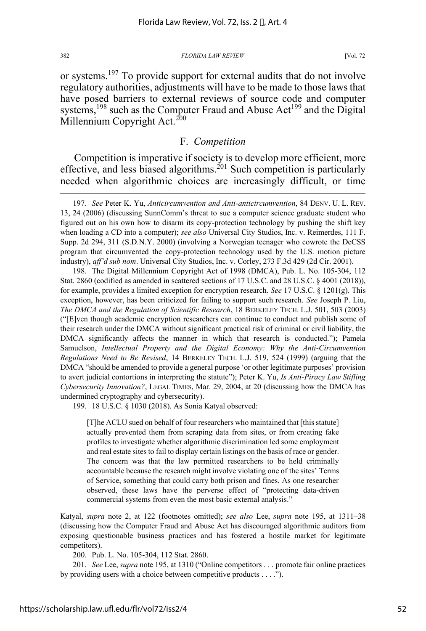or systems.<sup>197</sup> To provide support for external audits that do not involve regulatory authorities, adjustments will have to be made to those laws that have posed barriers to external reviews of source code and computer systems,<sup>198</sup> such as the Computer Fraud and Abuse Act<sup>199</sup> and the Digital Millennium Copyright Act.<sup>200</sup>

### F. *Competition*

Competition is imperative if society is to develop more efficient, more effective, and less biased algorithms.<sup>201</sup> Such competition is particularly needed when algorithmic choices are increasingly difficult, or time

199. 18 U.S.C. § 1030 (2018). As Sonia Katyal observed:

[T]he ACLU sued on behalf of four researchers who maintained that [this statute] actually prevented them from scraping data from sites, or from creating fake profiles to investigate whether algorithmic discrimination led some employment and real estate sites to fail to display certain listings on the basis of race or gender. The concern was that the law permitted researchers to be held criminally accountable because the research might involve violating one of the sites' Terms of Service, something that could carry both prison and fines. As one researcher observed, these laws have the perverse effect of "protecting data-driven commercial systems from even the most basic external analysis."

Katyal, *supra* note 2, at 122 (footnotes omitted); *see also* Lee, *supra* note 195, at 1311–38 (discussing how the Computer Fraud and Abuse Act has discouraged algorithmic auditors from exposing questionable business practices and has fostered a hostile market for legitimate competitors).

200. Pub. L. No. 105-304, 112 Stat. 2860.

201. *See* Lee, *supra* note 195, at 1310 ("Online competitors . . . promote fair online practices by providing users with a choice between competitive products . . . .").

<sup>197.</sup> *See* Peter K. Yu, *Anticircumvention and Anti-anticircumvention*, 84 DENV. U. L. REV. 13, 24 (2006) (discussing SunnComm's threat to sue a computer science graduate student who figured out on his own how to disarm its copy-protection technology by pushing the shift key when loading a CD into a computer); *see also* Universal City Studios, Inc. v. Reimerdes, 111 F. Supp. 2d 294, 311 (S.D.N.Y. 2000) (involving a Norwegian teenager who cowrote the DeCSS program that circumvented the copy-protection technology used by the U.S. motion picture industry), *aff'd sub nom*. Universal City Studios, Inc. v. Corley, 273 F.3d 429 (2d Cir. 2001).

<sup>198.</sup> The Digital Millennium Copyright Act of 1998 (DMCA), Pub. L. No. 105-304, 112 Stat. 2860 (codified as amended in scattered sections of 17 U.S.C. and 28 U.S.C. § 4001 (2018)), for example, provides a limited exception for encryption research. *See* 17 U.S.C. § 1201(g). This exception, however, has been criticized for failing to support such research. *See* Joseph P. Liu, *The DMCA and the Regulation of Scientific Research*, 18 BERKELEY TECH. L.J. 501, 503 (2003) ("[E]ven though academic encryption researchers can continue to conduct and publish some of their research under the DMCA without significant practical risk of criminal or civil liability, the DMCA significantly affects the manner in which that research is conducted."); Pamela Samuelson, *Intellectual Property and the Digital Economy: Why the Anti-Circumvention Regulations Need to Be Revised*, 14 BERKELEY TECH. L.J. 519, 524 (1999) (arguing that the DMCA "should be amended to provide a general purpose 'or other legitimate purposes' provision to avert judicial contortions in interpreting the statute"); Peter K. Yu, *Is Anti-Piracy Law Stifling Cybersecurity Innovation?*, LEGAL TIMES, Mar. 29, 2004, at 20 (discussing how the DMCA has undermined cryptography and cybersecurity).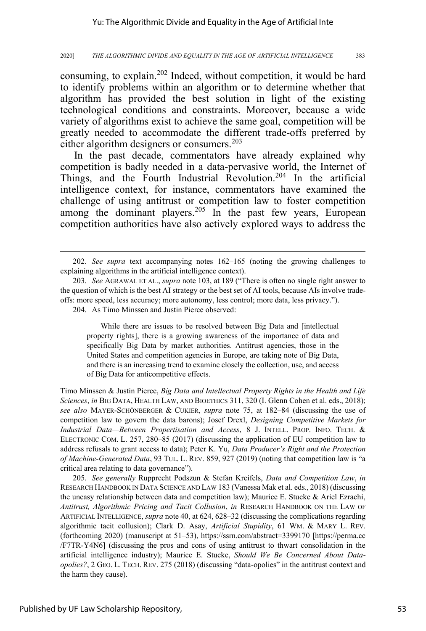consuming, to explain.<sup>202</sup> Indeed, without competition, it would be hard to identify problems within an algorithm or to determine whether that algorithm has provided the best solution in light of the existing technological conditions and constraints. Moreover, because a wide variety of algorithms exist to achieve the same goal, competition will be greatly needed to accommodate the different trade-offs preferred by either algorithm designers or consumers.<sup>203</sup>

In the past decade, commentators have already explained why competition is badly needed in a data-pervasive world, the Internet of Things, and the Fourth Industrial Revolution.<sup>204</sup> In the artificial intelligence context, for instance, commentators have examined the challenge of using antitrust or competition law to foster competition among the dominant players.<sup>205</sup> In the past few years, European competition authorities have also actively explored ways to address the

204. As Timo Minssen and Justin Pierce observed:

While there are issues to be resolved between Big Data and [intellectual property rights], there is a growing awareness of the importance of data and specifically Big Data by market authorities. Antitrust agencies, those in the United States and competition agencies in Europe, are taking note of Big Data, and there is an increasing trend to examine closely the collection, use, and access of Big Data for anticompetitive effects.

Timo Minssen & Justin Pierce, *Big Data and Intellectual Property Rights in the Health and Life Sciences*, *in* BIG DATA, HEALTH LAW, AND BIOETHICS 311, 320 (I. Glenn Cohen et al. eds., 2018); *see also* MAYER-SCHÖNBERGER & CUKIER, *supra* note 75, at 182–84 (discussing the use of competition law to govern the data barons); Josef Drexl, *Designing Competitive Markets for Industrial Data—Between Propertisation and Access*, 8 J. INTELL. PROP. INFO. TECH. & ELECTRONIC COM. L. 257, 280–85 (2017) (discussing the application of EU competition law to address refusals to grant access to data); Peter K. Yu, *Data Producer's Right and the Protection of Machine-Generated Data*, 93 TUL. L. REV. 859, 927 (2019) (noting that competition law is "a critical area relating to data governance").

205. *See generally* Rupprecht Podszun & Stefan Kreifels, *Data and Competition Law*, *in* RESEARCH HANDBOOK IN DATA SCIENCE AND LAW 183 (Vanessa Mak et al. eds., 2018) (discussing the uneasy relationship between data and competition law); Maurice E. Stucke & Ariel Ezrachi, *Antitrust, Algorithmic Pricing and Tacit Collusion*, *in* RESEARCH HANDBOOK ON THE LAW OF ARTIFICIAL INTELLIGENCE, *supra* note 40, at 624, 628–32 (discussing the complications regarding algorithmic tacit collusion); Clark D. Asay, *Artificial Stupidity*, 61 WM. & MARY L. REV. (forthcoming 2020) (manuscript at 51–53), https://ssrn.com/abstract=3399170 [https://perma.cc /F7TR-Y4N6] (discussing the pros and cons of using antitrust to thwart consolidation in the artificial intelligence industry); Maurice E. Stucke, *Should We Be Concerned About Dataopolies?*, 2 GEO. L. TECH. REV. 275 (2018) (discussing "data-opolies" in the antitrust context and the harm they cause).

<sup>202.</sup> *See supra* text accompanying notes 162–165 (noting the growing challenges to explaining algorithms in the artificial intelligence context).

<sup>203.</sup> *See* AGRAWAL ET AL., *supra* note 103, at 189 ("There is often no single right answer to the question of which is the best AI strategy or the best set of AI tools, because AIs involve tradeoffs: more speed, less accuracy; more autonomy, less control; more data, less privacy.").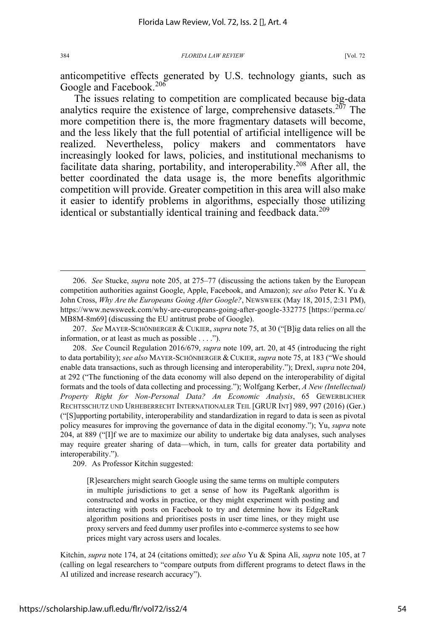anticompetitive effects generated by U.S. technology giants, such as Google and Facebook.<sup>206</sup>

The issues relating to competition are complicated because big-data analytics require the existence of large, comprehensive datasets.<sup>207</sup> The more competition there is, the more fragmentary datasets will become, and the less likely that the full potential of artificial intelligence will be realized. Nevertheless, policy makers and commentators have increasingly looked for laws, policies, and institutional mechanisms to facilitate data sharing, portability, and interoperability.<sup>208</sup> After all, the better coordinated the data usage is, the more benefits algorithmic competition will provide. Greater competition in this area will also make it easier to identify problems in algorithms, especially those utilizing identical or substantially identical training and feedback data.<sup>209</sup>

209. As Professor Kitchin suggested:

[R]esearchers might search Google using the same terms on multiple computers in multiple jurisdictions to get a sense of how its PageRank algorithm is constructed and works in practice, or they might experiment with posting and interacting with posts on Facebook to try and determine how its EdgeRank algorithm positions and prioritises posts in user time lines, or they might use proxy servers and feed dummy user profiles into e-commerce systems to see how prices might vary across users and locales.

<sup>206.</sup> *See* Stucke, *supra* note 205, at 275–77 (discussing the actions taken by the European competition authorities against Google, Apple, Facebook, and Amazon); *see also* Peter K. Yu & John Cross, *Why Are the Europeans Going After Google?*, NEWSWEEK (May 18, 2015, 2:31 PM), https://www.newsweek.com/why-are-europeans-going-after-google-332775 [https://perma.cc/ MB8M-8m69] (discussing the EU antitrust probe of Google).

<sup>207.</sup> *See* MAYER-SCHÖNBERGER & CUKIER, *supra* note 75, at 30 ("[B]ig data relies on all the information, or at least as much as possible . . . .").

<sup>208.</sup> *See* Council Regulation 2016/679, *supra* note 109, art. 20, at 45 (introducing the right to data portability); *see also* MAYER-SCHÖNBERGER & CUKIER, *supra* note 75, at 183 ("We should enable data transactions, such as through licensing and interoperability."); Drexl, *supra* note 204, at 292 ("The functioning of the data economy will also depend on the interoperability of digital formats and the tools of data collecting and processing."); Wolfgang Kerber, *A New (Intellectual) Property Right for Non-Personal Data? An Economic Analysis*, 65 GEWERBLICHER RECHTSSCHUTZ UND URHEBERRECHT INTERNATIONALER TEIL [GRUR INT] 989, 997 (2016) (Ger.) ("[S]upporting portability, interoperability and standardization in regard to data is seen as pivotal policy measures for improving the governance of data in the digital economy."); Yu, *supra* note 204, at 889 ("[I]f we are to maximize our ability to undertake big data analyses, such analyses may require greater sharing of data—which, in turn, calls for greater data portability and interoperability.").

Kitchin, *supra* note 174, at 24 (citations omitted); *see also* Yu & Spina Alì, *supra* note 105, at 7 (calling on legal researchers to "compare outputs from different programs to detect flaws in the AI utilized and increase research accuracy").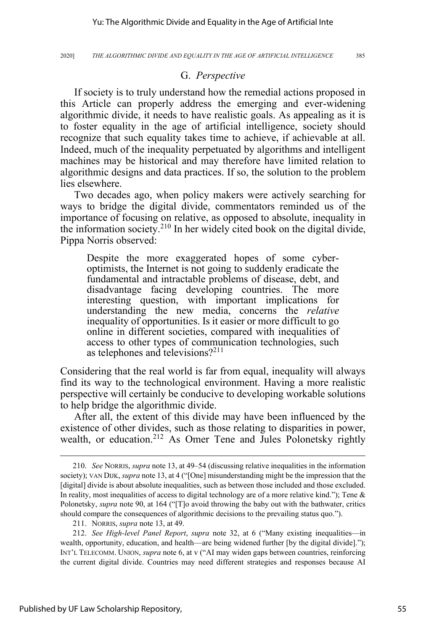### G. *Perspective*

If society is to truly understand how the remedial actions proposed in this Article can properly address the emerging and ever-widening algorithmic divide, it needs to have realistic goals. As appealing as it is to foster equality in the age of artificial intelligence, society should recognize that such equality takes time to achieve, if achievable at all. Indeed, much of the inequality perpetuated by algorithms and intelligent machines may be historical and may therefore have limited relation to algorithmic designs and data practices. If so, the solution to the problem lies elsewhere.

Two decades ago, when policy makers were actively searching for ways to bridge the digital divide, commentators reminded us of the importance of focusing on relative, as opposed to absolute, inequality in the information society.210 In her widely cited book on the digital divide, Pippa Norris observed:

Despite the more exaggerated hopes of some cyberoptimists, the Internet is not going to suddenly eradicate the fundamental and intractable problems of disease, debt, and disadvantage facing developing countries. The more interesting question, with important implications for understanding the new media, concerns the *relative* inequality of opportunities. Is it easier or more difficult to go online in different societies, compared with inequalities of access to other types of communication technologies, such as telephones and televisions?<sup>211</sup>

Considering that the real world is far from equal, inequality will always find its way to the technological environment. Having a more realistic perspective will certainly be conducive to developing workable solutions to help bridge the algorithmic divide.

After all, the extent of this divide may have been influenced by the existence of other divides, such as those relating to disparities in power, wealth, or education.<sup>212</sup> As Omer Tene and Jules Polonetsky rightly

<sup>210.</sup> *See* NORRIS, *supra* note 13, at 49–54 (discussing relative inequalities in the information society); VAN DIJK, *supra* note 13, at 4 ("[One] misunderstanding might be the impression that the [digital] divide is about absolute inequalities, such as between those included and those excluded. In reality, most inequalities of access to digital technology are of a more relative kind."); Tene & Polonetsky, *supra* note 90, at 164 ("[T]o avoid throwing the baby out with the bathwater, critics should compare the consequences of algorithmic decisions to the prevailing status quo.").

<sup>211.</sup> NORRIS, *supra* note 13, at 49.

<sup>212.</sup> *See High-level Panel Report*, *supra* note 32, at 6 ("Many existing inequalities—in wealth, opportunity, education, and health—are being widened further [by the digital divide]."); INT'L TELECOMM. UNION, *supra* note 6, at v ("AI may widen gaps between countries, reinforcing the current digital divide. Countries may need different strategies and responses because AI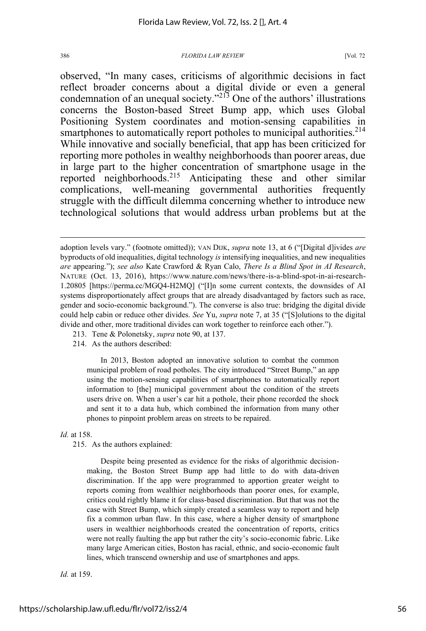observed, "In many cases, criticisms of algorithmic decisions in fact reflect broader concerns about a digital divide or even a general condemnation of an unequal society."213 One of the authors' illustrations concerns the Boston-based Street Bump app, which uses Global Positioning System coordinates and motion-sensing capabilities in smartphones to automatically report potholes to municipal authorities.<sup>214</sup> While innovative and socially beneficial, that app has been criticized for reporting more potholes in wealthy neighborhoods than poorer areas, due in large part to the higher concentration of smartphone usage in the reported neighborhoods.<sup>215</sup> Anticipating these and other similar complications, well-meaning governmental authorities frequently struggle with the difficult dilemma concerning whether to introduce new technological solutions that would address urban problems but at the

- 213. Tene & Polonetsky, *supra* note 90, at 137.
- 214. As the authors described:

In 2013, Boston adopted an innovative solution to combat the common municipal problem of road potholes. The city introduced "Street Bump," an app using the motion-sensing capabilities of smartphones to automatically report information to [the] municipal government about the condition of the streets users drive on. When a user's car hit a pothole, their phone recorded the shock and sent it to a data hub, which combined the information from many other phones to pinpoint problem areas on streets to be repaired.

*Id.* at 158.

215. As the authors explained:

Despite being presented as evidence for the risks of algorithmic decisionmaking, the Boston Street Bump app had little to do with data-driven discrimination. If the app were programmed to apportion greater weight to reports coming from wealthier neighborhoods than poorer ones, for example, critics could rightly blame it for class-based discrimination. But that was not the case with Street Bump, which simply created a seamless way to report and help fix a common urban flaw. In this case, where a higher density of smartphone users in wealthier neighborhoods created the concentration of reports, critics were not really faulting the app but rather the city's socio-economic fabric. Like many large American cities, Boston has racial, ethnic, and socio-economic fault lines, which transcend ownership and use of smartphones and apps.

*Id.* at 159.

adoption levels vary." (footnote omitted)); VAN DIJK, *supra* note 13, at 6 ("[Digital d]ivides *are* byproducts of old inequalities, digital technology *is* intensifying inequalities, and new inequalities *are* appearing."); *see also* Kate Crawford & Ryan Calo, *There Is a Blind Spot in AI Research*, NATURE (Oct. 13, 2016), https://www.nature.com/news/there-is-a-blind-spot-in-ai-research-1.20805 [https://perma.cc/MGQ4-H2MQ] ("[I]n some current contexts, the downsides of AI systems disproportionately affect groups that are already disadvantaged by factors such as race, gender and socio-economic background."). The converse is also true: bridging the digital divide could help cabin or reduce other divides. *See* Yu, *supra* note 7, at 35 ("[S]olutions to the digital divide and other, more traditional divides can work together to reinforce each other.").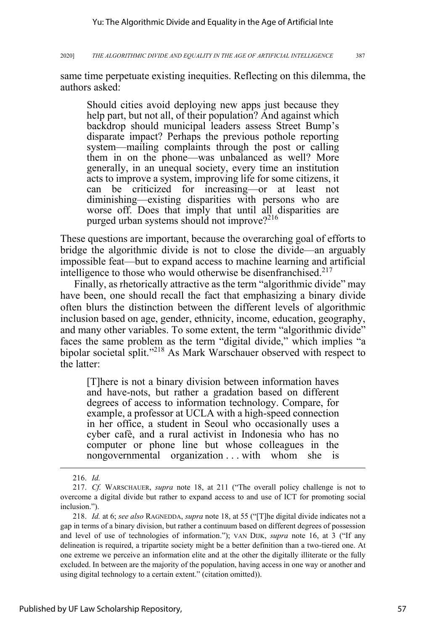same time perpetuate existing inequities. Reflecting on this dilemma, the authors asked:

Should cities avoid deploying new apps just because they help part, but not all, of their population? And against which backdrop should municipal leaders assess Street Bump's disparate impact? Perhaps the previous pothole reporting system—mailing complaints through the post or calling them in on the phone—was unbalanced as well? More generally, in an unequal society, every time an institution acts to improve a system, improving life for some citizens, it can be criticized for increasing—or at least not diminishing—existing disparities with persons who are worse off. Does that imply that until all disparities are purged urban systems should not improve?<sup>216</sup>

These questions are important, because the overarching goal of efforts to bridge the algorithmic divide is not to close the divide—an arguably impossible feat—but to expand access to machine learning and artificial intelligence to those who would otherwise be disenfranchised.<sup>217</sup>

Finally, as rhetorically attractive as the term "algorithmic divide" may have been, one should recall the fact that emphasizing a binary divide often blurs the distinction between the different levels of algorithmic inclusion based on age, gender, ethnicity, income, education, geography, and many other variables. To some extent, the term "algorithmic divide" faces the same problem as the term "digital divide," which implies "a bipolar societal split."<sup>218</sup> As Mark Warschauer observed with respect to the latter:

[T]here is not a binary division between information haves and have-nots, but rather a gradation based on different degrees of access to information technology. Compare, for example, a professor at UCLA with a high-speed connection in her office, a student in Seoul who occasionally uses a cyber cafè, and a rural activist in Indonesia who has no computer or phone line but whose colleagues in the nongovernmental organization . . . with whom she is

<sup>216.</sup> *Id.*

<sup>217.</sup> *Cf.* WARSCHAUER, *supra* note 18, at 211 ("The overall policy challenge is not to overcome a digital divide but rather to expand access to and use of ICT for promoting social inclusion.").

<sup>218.</sup> *Id.* at 6; *see also* RAGNEDDA, *supra* note 18, at 55 ("[T]he digital divide indicates not a gap in terms of a binary division, but rather a continuum based on different degrees of possession and level of use of technologies of information."); VAN DIJK, *supra* note 16, at 3 ("If any delineation is required, a tripartite society might be a better definition than a two-tiered one. At one extreme we perceive an information elite and at the other the digitally illiterate or the fully excluded. In between are the majority of the population, having access in one way or another and using digital technology to a certain extent." (citation omitted)).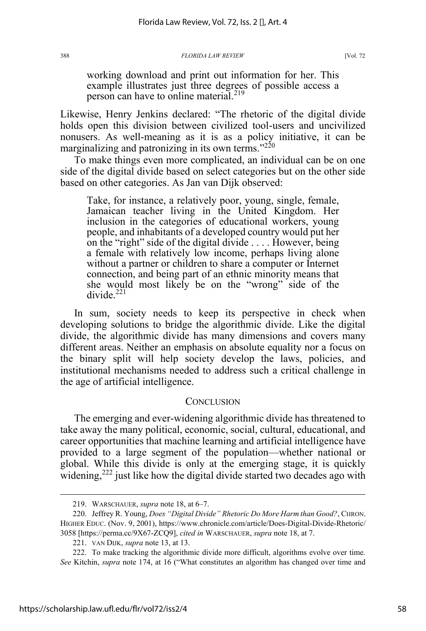working download and print out information for her. This example illustrates just three degrees of possible access a person can have to online material.<sup>219</sup>

Likewise, Henry Jenkins declared: "The rhetoric of the digital divide holds open this division between civilized tool-users and uncivilized nonusers. As well-meaning as it is as a policy initiative, it can be marginalizing and patronizing in its own terms."<sup>220</sup>

To make things even more complicated, an individual can be on one side of the digital divide based on select categories but on the other side based on other categories. As Jan van Dijk observed:

Take, for instance, a relatively poor, young, single, female, Jamaican teacher living in the United Kingdom. Her inclusion in the categories of educational workers, young people, and inhabitants of a developed country would put her on the "right" side of the digital divide . . . . However, being a female with relatively low income, perhaps living alone without a partner or children to share a computer or Internet connection, and being part of an ethnic minority means that she would most likely be on the "wrong" side of the divide.<sup>221</sup>

In sum, society needs to keep its perspective in check when developing solutions to bridge the algorithmic divide. Like the digital divide, the algorithmic divide has many dimensions and covers many different areas. Neither an emphasis on absolute equality nor a focus on the binary split will help society develop the laws, policies, and institutional mechanisms needed to address such a critical challenge in the age of artificial intelligence.

### **CONCLUSION**

The emerging and ever-widening algorithmic divide has threatened to take away the many political, economic, social, cultural, educational, and career opportunities that machine learning and artificial intelligence have provided to a large segment of the population—whether national or global. While this divide is only at the emerging stage, it is quickly widening,<sup>222</sup> just like how the digital divide started two decades ago with

<sup>219.</sup> WARSCHAUER, *supra* note 18, at 6–7.

<sup>220.</sup> Jeffrey R. Young, *Does "Digital Divide" Rhetoric Do More Harm than Good?*, CHRON. HIGHER EDUC. (Nov. 9, 2001), https://www.chronicle.com/article/Does-Digital-Divide-Rhetoric/ 3058 [https://perma.cc/9X67-ZCQ9], *cited in* WARSCHAUER, *supra* note 18, at 7.

<sup>221.</sup> VAN DIJK, *supra* note 13, at 13.

<sup>222.</sup> To make tracking the algorithmic divide more difficult, algorithms evolve over time. *See* Kitchin, *supra* note 174, at 16 ("What constitutes an algorithm has changed over time and